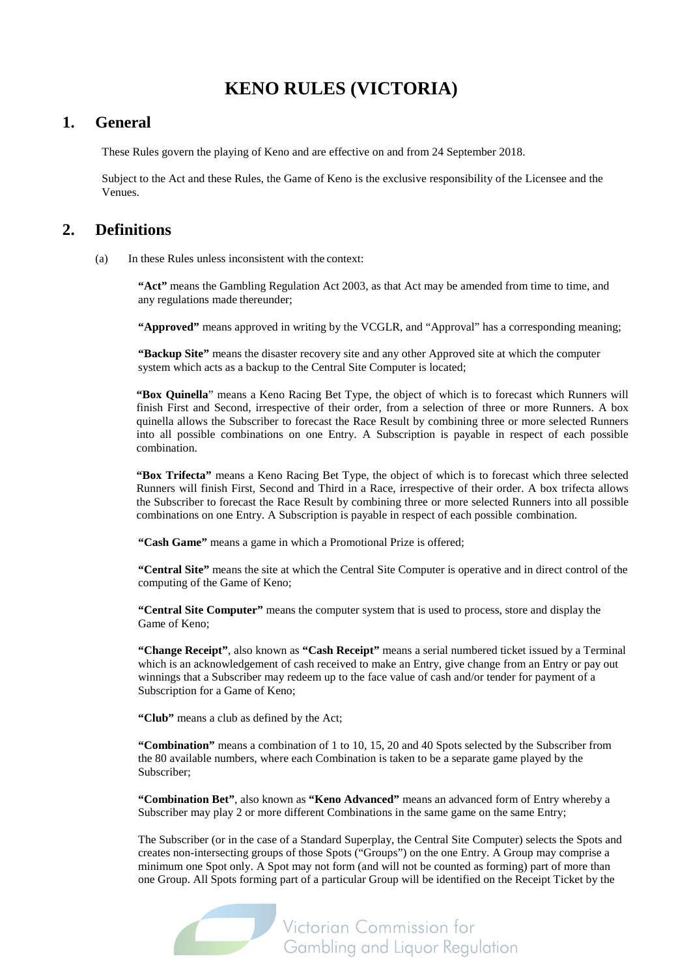## **KENO RULES (VICTORIA)**

## **1. General**

These Rules govern the playing of Keno and are effective on and from 24 September 2018.

Subject to the Act and these Rules, the Game of Keno is the exclusive responsibility of the Licensee and the Venues.

### **2. Definitions**

(a) In these Rules unless inconsistent with the context:

**"Act"** means the Gambling Regulation Act 2003, as that Act may be amended from time to time, and any regulations made thereunder;

**"Approved"** means approved in writing by the VCGLR, and "Approval" has a corresponding meaning;

**"Backup Site"** means the disaster recovery site and any other Approved site at which the computer system which acts as a backup to the Central Site Computer is located;

**"Box Quinella**" means a Keno Racing Bet Type, the object of which is to forecast which Runners will finish First and Second, irrespective of their order, from a selection of three or more Runners. A box quinella allows the Subscriber to forecast the Race Result by combining three or more selected Runners into all possible combinations on one Entry. A Subscription is payable in respect of each possible combination.

**"Box Trifecta"** means a Keno Racing Bet Type, the object of which is to forecast which three selected Runners will finish First, Second and Third in a Race, irrespective of their order. A box trifecta allows the Subscriber to forecast the Race Result by combining three or more selected Runners into all possible combinations on one Entry. A Subscription is payable in respect of each possible combination.

**"Cash Game"** means a game in which a Promotional Prize is offered;

**"Central Site"** means the site at which the Central Site Computer is operative and in direct control of the computing of the Game of Keno;

**"Central Site Computer"** means the computer system that is used to process, store and display the Game of Keno;

**"Change Receipt"**, also known as **"Cash Receipt"** means a serial numbered ticket issued by a Terminal which is an acknowledgement of cash received to make an Entry, give change from an Entry or pay out winnings that a Subscriber may redeem up to the face value of cash and/or tender for payment of a Subscription for a Game of Keno;

**"Club"** means a club as defined by the Act;

**"Combination"** means a combination of 1 to 10, 15, 20 and 40 Spots selected by the Subscriber from the 80 available numbers, where each Combination is taken to be a separate game played by the Subscriber;

**"Combination Bet"**, also known as **"Keno Advanced"** means an advanced form of Entry whereby a Subscriber may play 2 or more different Combinations in the same game on the same Entry;

The Subscriber (or in the case of a Standard Superplay, the Central Site Computer) selects the Spots and creates non-intersecting groups of those Spots ("Groups") on the one Entry. A Group may comprise a minimum one Spot only. A Spot may not form (and will not be counted as forming) part of more than one Group. All Spots forming part of a particular Group will be identified on the Receipt Ticket by the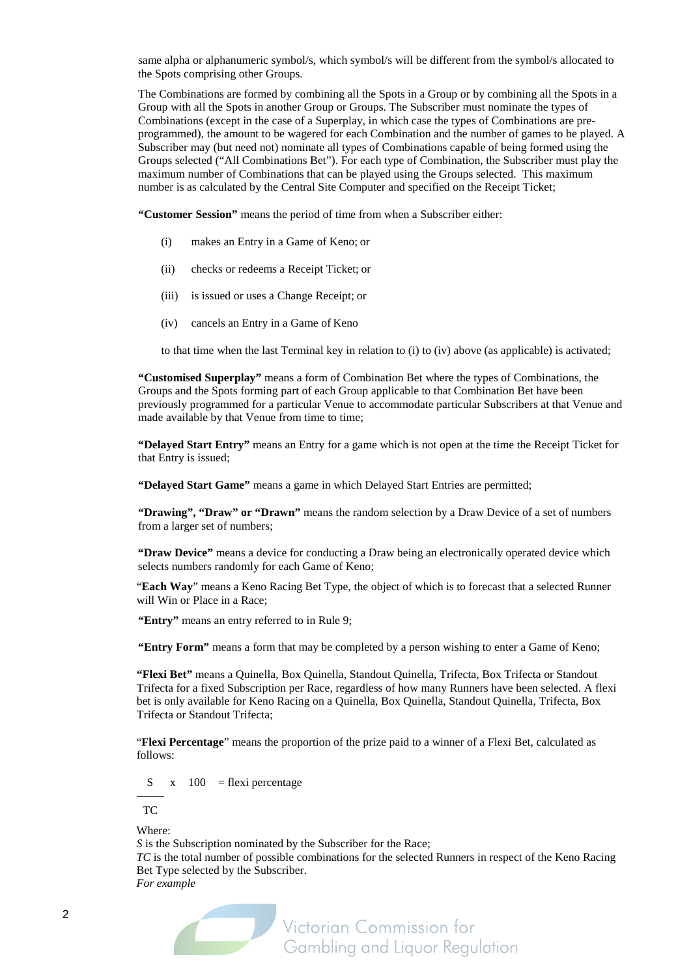same alpha or alphanumeric symbol/s, which symbol/s will be different from the symbol/s allocated to the Spots comprising other Groups.

The Combinations are formed by combining all the Spots in a Group or by combining all the Spots in a Group with all the Spots in another Group or Groups. The Subscriber must nominate the types of Combinations (except in the case of a Superplay, in which case the types of Combinations are preprogrammed), the amount to be wagered for each Combination and the number of games to be played. A Subscriber may (but need not) nominate all types of Combinations capable of being formed using the Groups selected ("All Combinations Bet"). For each type of Combination, the Subscriber must play the maximum number of Combinations that can be played using the Groups selected. This maximum number is as calculated by the Central Site Computer and specified on the Receipt Ticket;

**"Customer Session"** means the period of time from when a Subscriber either:

- (i) makes an Entry in a Game of Keno; or
- (ii) checks or redeems a Receipt Ticket; or
- (iii) is issued or uses a Change Receipt; or
- (iv) cancels an Entry in a Game of Keno

to that time when the last Terminal key in relation to (i) to (iv) above (as applicable) is activated;

**"Customised Superplay"** means a form of Combination Bet where the types of Combinations, the Groups and the Spots forming part of each Group applicable to that Combination Bet have been previously programmed for a particular Venue to accommodate particular Subscribers at that Venue and made available by that Venue from time to time;

**"Delayed Start Entry"** means an Entry for a game which is not open at the time the Receipt Ticket for that Entry is issued;

**"Delayed Start Game"** means a game in which Delayed Start Entries are permitted;

**"Drawing", "Draw" or "Drawn"** means the random selection by a Draw Device of a set of numbers from a larger set of numbers;

**"Draw Device"** means a device for conducting a Draw being an electronically operated device which selects numbers randomly for each Game of Keno;

"**Each Way**" means a Keno Racing Bet Type, the object of which is to forecast that a selected Runner will Win or Place in a Race;

**"Entry"** means an entry referred to in Rul[e 9;](#page-9-0)

**"Entry Form"** means a form that may be completed by a person wishing to enter a Game of Keno;

**"Flexi Bet"** means a Quinella, Box Quinella, Standout Quinella, Trifecta, Box Trifecta or Standout Trifecta for a fixed Subscription per Race, regardless of how many Runners have been selected. A flexi bet is only available for Keno Racing on a Quinella, Box Quinella, Standout Quinella, Trifecta, Box Trifecta or Standout Trifecta;

"**Flexi Percentage**" means the proportion of the prize paid to a winner of a Flexi Bet, calculated as follows:

 $S \times 100 =$  flexi percentage

TC

Where:

*S* is the Subscription nominated by the Subscriber for the Race;

*TC* is the total number of possible combinations for the selected Runners in respect of the Keno Racing Bet Type selected by the Subscriber.

*For example*

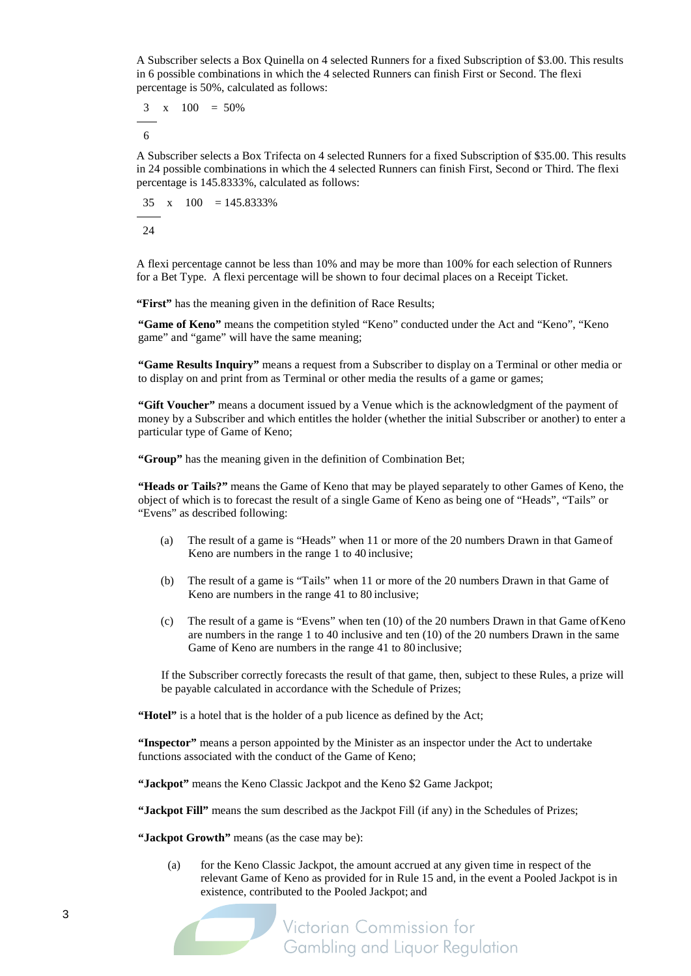A Subscriber selects a Box Quinella on 4 selected Runners for a fixed Subscription of \$3.00. This results in 6 possible combinations in which the 4 selected Runners can finish First or Second. The flexi percentage is 50%, calculated as follows:

3 x  $100 = 50\%$ 

6

A Subscriber selects a Box Trifecta on 4 selected Runners for a fixed Subscription of \$35.00. This results in 24 possible combinations in which the 4 selected Runners can finish First, Second or Third. The flexi percentage is 145.8333%, calculated as follows:

$$
\frac{35}{24} \times 100 = 145.8333\%
$$

A flexi percentage cannot be less than 10% and may be more than 100% for each selection of Runners for a Bet Type. A flexi percentage will be shown to four decimal places on a Receipt Ticket.

"First" has the meaning given in the definition of Race Results;

**"Game of Keno"** means the competition styled "Keno" conducted under the Act and "Keno", "Keno game" and "game" will have the same meaning;

**"Game Results Inquiry"** means a request from a Subscriber to display on a Terminal or other media or to display on and print from as Terminal or other media the results of a game or games;

**"Gift Voucher"** means a document issued by a Venue which is the acknowledgment of the payment of money by a Subscriber and which entitles the holder (whether the initial Subscriber or another) to enter a particular type of Game of Keno;

**"Group"** has the meaning given in the definition of Combination Bet;

**"Heads or Tails?"** means the Game of Keno that may be played separately to other Games of Keno, the object of which is to forecast the result of a single Game of Keno as being one of "Heads", "Tails" or "Evens" as described following:

- (a) The result of a game is "Heads" when 11 or more of the 20 numbers Drawn in that Gameof Keno are numbers in the range 1 to 40 inclusive;
- (b) The result of a game is "Tails" when 11 or more of the 20 numbers Drawn in that Game of Keno are numbers in the range 41 to 80 inclusive;
- (c) The result of a game is "Evens" when ten (10) of the 20 numbers Drawn in that Game ofKeno are numbers in the range 1 to 40 inclusive and ten (10) of the 20 numbers Drawn in the same Game of Keno are numbers in the range 41 to 80 inclusive;

If the Subscriber correctly forecasts the result of that game, then, subject to these Rules, a prize will be payable calculated in accordance with the Schedule of Prizes;

"Hotel" is a hotel that is the holder of a pub licence as defined by the Act;

**"Inspector"** means a person appointed by the Minister as an inspector under the Act to undertake functions associated with the conduct of the Game of Keno;

**"Jackpot"** means the Keno Classic Jackpot and the Keno \$2 Game Jackpot;

**"Jackpot Fill"** means the sum described as the Jackpot Fill (if any) in the Schedules of Prizes;

**"Jackpot Growth"** means (as the case may be):

(a) for the Keno Classic Jackpot, the amount accrued at any given time in respect of the relevant Game of Keno as provided for in Rul[e 15](#page-13-0) and, in the event a Pooled Jackpot is in existence, contributed to the Pooled Jackpot; and

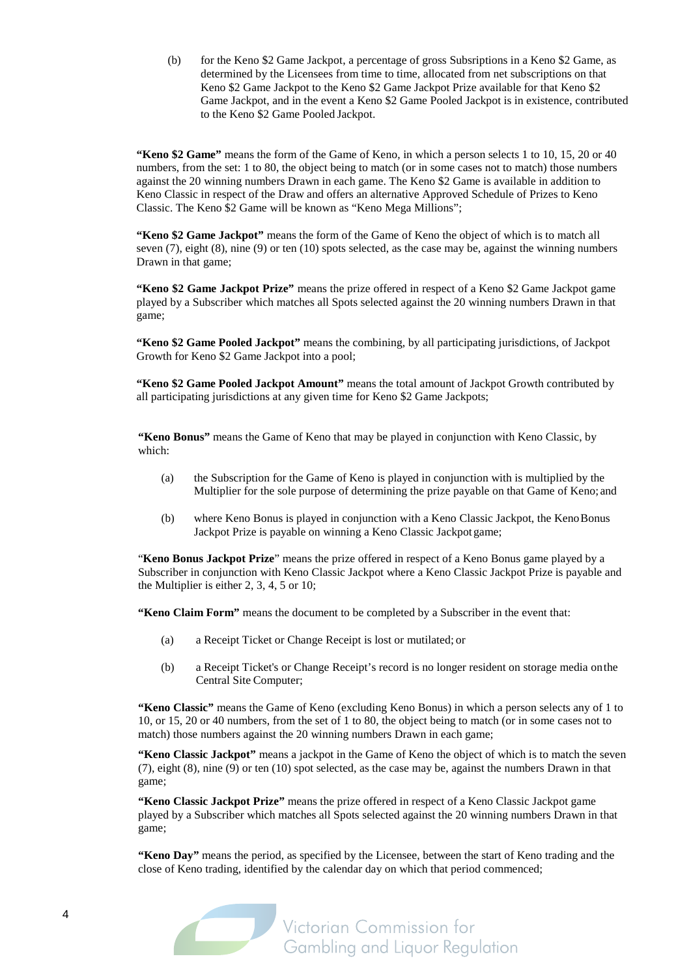(b) for the Keno \$2 Game Jackpot, a percentage of gross Subsriptions in a Keno \$2 Game, as determined by the Licensees from time to time, allocated from net subscriptions on that Keno \$2 Game Jackpot to the Keno \$2 Game Jackpot Prize available for that Keno \$2 Game Jackpot, and in the event a Keno \$2 Game Pooled Jackpot is in existence, contributed to the Keno \$2 Game Pooled Jackpot.

**"Keno \$2 Game"** means the form of the Game of Keno, in which a person selects 1 to 10, 15, 20 or 40 numbers, from the set: 1 to 80, the object being to match (or in some cases not to match) those numbers against the 20 winning numbers Drawn in each game. The Keno \$2 Game is available in addition to Keno Classic in respect of the Draw and offers an alternative Approved Schedule of Prizes to Keno Classic. The Keno \$2 Game will be known as "Keno Mega Millions";

**"Keno \$2 Game Jackpot"** means the form of the Game of Keno the object of which is to match all seven (7), eight (8), nine (9) or ten (10) spots selected, as the case may be, against the winning numbers Drawn in that game;

**"Keno \$2 Game Jackpot Prize"** means the prize offered in respect of a Keno \$2 Game Jackpot game played by a Subscriber which matches all Spots selected against the 20 winning numbers Drawn in that game;

**"Keno \$2 Game Pooled Jackpot"** means the combining, by all participating jurisdictions, of Jackpot Growth for Keno \$2 Game Jackpot into a pool;

**"Keno \$2 Game Pooled Jackpot Amount"** means the total amount of Jackpot Growth contributed by all participating jurisdictions at any given time for Keno \$2 Game Jackpots;

**"Keno Bonus"** means the Game of Keno that may be played in conjunction with Keno Classic, by which:

- (a) the Subscription for the Game of Keno is played in conjunction with is multiplied by the Multiplier for the sole purpose of determining the prize payable on that Game of Keno; and
- (b) where Keno Bonus is played in conjunction with a Keno Classic Jackpot, the KenoBonus Jackpot Prize is payable on winning a Keno Classic Jackpot game;

"**Keno Bonus Jackpot Prize**" means the prize offered in respect of a Keno Bonus game played by a Subscriber in conjunction with Keno Classic Jackpot where a Keno Classic Jackpot Prize is payable and the Multiplier is either 2, 3, 4, 5 or 10;

**"Keno Claim Form"** means the document to be completed by a Subscriber in the event that:

- (a) a Receipt Ticket or Change Receipt is lost or mutilated; or
- (b) a Receipt Ticket's or Change Receipt's record is no longer resident on storage media onthe Central Site Computer;

**"Keno Classic"** means the Game of Keno (excluding Keno Bonus) in which a person selects any of 1 to 10, or 15, 20 or 40 numbers, from the set of 1 to 80, the object being to match (or in some cases not to match) those numbers against the 20 winning numbers Drawn in each game;

**"Keno Classic Jackpot"** means a jackpot in the Game of Keno the object of which is to match the seven (7), eight (8), nine (9) or ten (10) spot selected, as the case may be, against the numbers Drawn in that game;

**"Keno Classic Jackpot Prize"** means the prize offered in respect of a Keno Classic Jackpot game played by a Subscriber which matches all Spots selected against the 20 winning numbers Drawn in that game;

**"Keno Day"** means the period, as specified by the Licensee, between the start of Keno trading and the close of Keno trading, identified by the calendar day on which that period commenced;

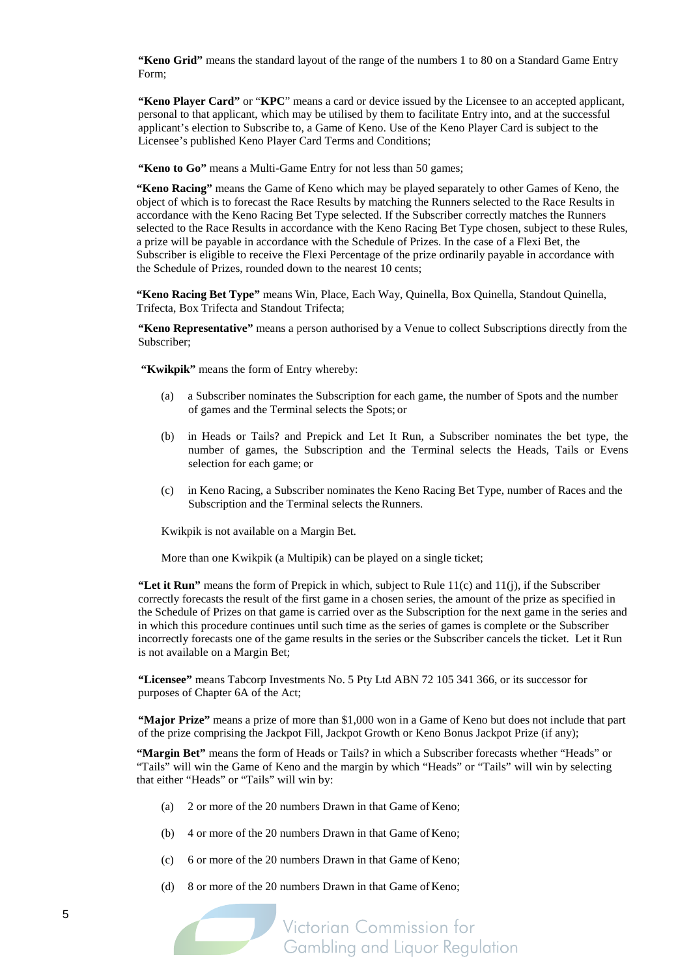**"Keno Grid"** means the standard layout of the range of the numbers 1 to 80 on a Standard Game Entry Form;

**"Keno Player Card"** or "**KPC**" means a card or device issued by the Licensee to an accepted applicant, personal to that applicant, which may be utilised by them to facilitate Entry into, and at the successful applicant's election to Subscribe to, a Game of Keno. Use of the Keno Player Card is subject to the Licensee's published Keno Player Card Terms and Conditions;

"Keno to Go" means a Multi-Game Entry for not less than 50 games;

**"Keno Racing"** means the Game of Keno which may be played separately to other Games of Keno, the object of which is to forecast the Race Results by matching the Runners selected to the Race Results in accordance with the Keno Racing Bet Type selected. If the Subscriber correctly matches the Runners selected to the Race Results in accordance with the Keno Racing Bet Type chosen, subject to these Rules, a prize will be payable in accordance with the Schedule of Prizes. In the case of a Flexi Bet, the Subscriber is eligible to receive the Flexi Percentage of the prize ordinarily payable in accordance with the Schedule of Prizes, rounded down to the nearest 10 cents;

**"Keno Racing Bet Type"** means Win, Place, Each Way, Quinella, Box Quinella, Standout Quinella, Trifecta, Box Trifecta and Standout Trifecta;

**"Keno Representative"** means a person authorised by a Venue to collect Subscriptions directly from the Subscriber;

**"Kwikpik"** means the form of Entry whereby:

- (a) a Subscriber nominates the Subscription for each game, the number of Spots and the number of games and the Terminal selects the Spots; or
- (b) in Heads or Tails? and Prepick and Let It Run, a Subscriber nominates the bet type, the number of games, the Subscription and the Terminal selects the Heads, Tails or Evens selection for each game; or
- (c) in Keno Racing, a Subscriber nominates the Keno Racing Bet Type, number of Races and the Subscription and the Terminal selects the Runners.

Kwikpik is not available on a Margin Bet.

More than one Kwikpik (a Multipik) can be played on a single ticket;

**"Let it Run"** means the form of Prepick in which, subject to Rule  $11(c)$  and  $11(i)$ , if the Subscriber correctly forecasts the result of the first game in a chosen series, the amount of the prize as specified in the Schedule of Prizes on that game is carried over as the Subscription for the next game in the series and in which this procedure continues until such time as the series of games is complete or the Subscriber incorrectly forecasts one of the game results in the series or the Subscriber cancels the ticket. Let it Run is not available on a Margin Bet;

**"Licensee"** means Tabcorp Investments No. 5 Pty Ltd ABN 72 105 341 366, or its successor for purposes of Chapter 6A of the Act;

**"Major Prize"** means a prize of more than \$1,000 won in a Game of Keno but does not include that part of the prize comprising the Jackpot Fill, Jackpot Growth or Keno Bonus Jackpot Prize (if any);

**"Margin Bet"** means the form of Heads or Tails? in which a Subscriber forecasts whether "Heads" or "Tails" will win the Game of Keno and the margin by which "Heads" or "Tails" will win by selecting that either "Heads" or "Tails" will win by:

- (a) 2 or more of the 20 numbers Drawn in that Game of Keno;
- (b) 4 or more of the 20 numbers Drawn in that Game of Keno;
- (c) 6 or more of the 20 numbers Drawn in that Game of Keno;
- (d) 8 or more of the 20 numbers Drawn in that Game of Keno;

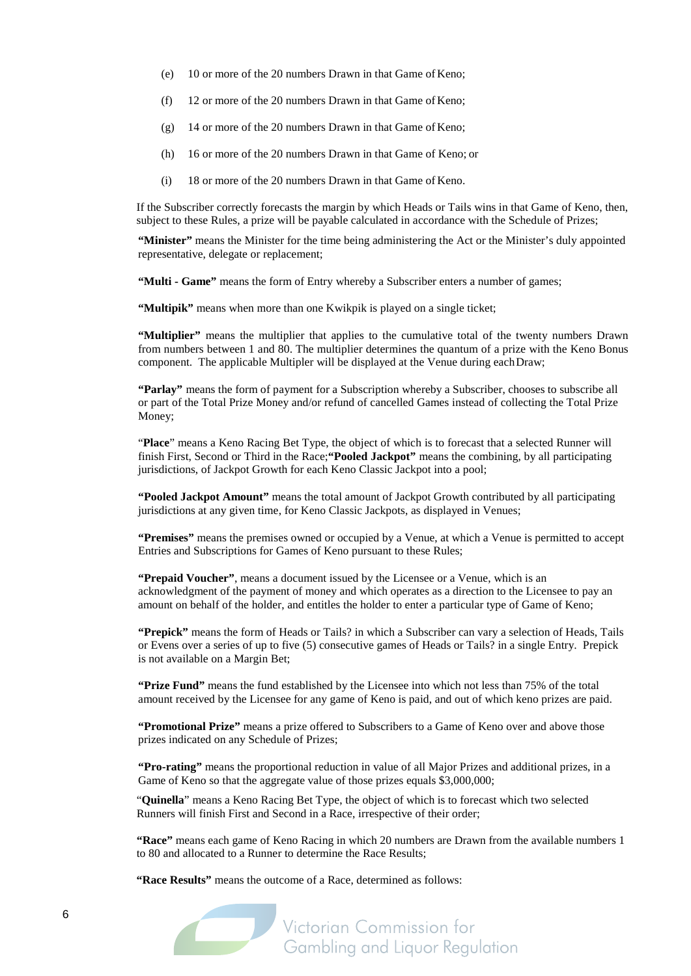- (e) 10 or more of the 20 numbers Drawn in that Game of Keno;
- (f) 12 or more of the 20 numbers Drawn in that Game of Keno;
- (g) 14 or more of the 20 numbers Drawn in that Game of Keno;
- (h) 16 or more of the 20 numbers Drawn in that Game of Keno; or
- (i) 18 or more of the 20 numbers Drawn in that Game of Keno.

If the Subscriber correctly forecasts the margin by which Heads or Tails wins in that Game of Keno, then, subject to these Rules, a prize will be payable calculated in accordance with the Schedule of Prizes;

**"Minister"** means the Minister for the time being administering the Act or the Minister's duly appointed representative, delegate or replacement;

**"Multi - Game"** means the form of Entry whereby a Subscriber enters a number of games;

"Multipik" means when more than one Kwikpik is played on a single ticket;

**"Multiplier"** means the multiplier that applies to the cumulative total of the twenty numbers Drawn from numbers between 1 and 80. The multiplier determines the quantum of a prize with the Keno Bonus component. The applicable Multipler will be displayed at the Venue during eachDraw;

**"Parlay"** means the form of payment for a Subscription whereby a Subscriber, chooses to subscribe all or part of the Total Prize Money and/or refund of cancelled Games instead of collecting the Total Prize Money;

"**Place**" means a Keno Racing Bet Type, the object of which is to forecast that a selected Runner will finish First, Second or Third in the Race;**"Pooled Jackpot"** means the combining, by all participating jurisdictions, of Jackpot Growth for each Keno Classic Jackpot into a pool;

**"Pooled Jackpot Amount"** means the total amount of Jackpot Growth contributed by all participating jurisdictions at any given time, for Keno Classic Jackpots, as displayed in Venues;

**"Premises"** means the premises owned or occupied by a Venue, at which a Venue is permitted to accept Entries and Subscriptions for Games of Keno pursuant to these Rules;

**"Prepaid Voucher"**, means a document issued by the Licensee or a Venue, which is an acknowledgment of the payment of money and which operates as a direction to the Licensee to pay an amount on behalf of the holder, and entitles the holder to enter a particular type of Game of Keno;

**"Prepick"** means the form of Heads or Tails? in which a Subscriber can vary a selection of Heads, Tails or Evens over a series of up to five (5) consecutive games of Heads or Tails? in a single Entry. Prepick is not available on a Margin Bet;

**"Prize Fund"** means the fund established by the Licensee into which not less than 75% of the total amount received by the Licensee for any game of Keno is paid, and out of which keno prizes are paid.

**"Promotional Prize"** means a prize offered to Subscribers to a Game of Keno over and above those prizes indicated on any Schedule of Prizes;

**"Pro-rating"** means the proportional reduction in value of all Major Prizes and additional prizes, in a Game of Keno so that the aggregate value of those prizes equals \$3,000,000;

"**Quinella**" means a Keno Racing Bet Type, the object of which is to forecast which two selected Runners will finish First and Second in a Race, irrespective of their order;

**"Race"** means each game of Keno Racing in which 20 numbers are Drawn from the available numbers 1 to 80 and allocated to a Runner to determine the Race Results;

**"Race Results"** means the outcome of a Race, determined as follows:

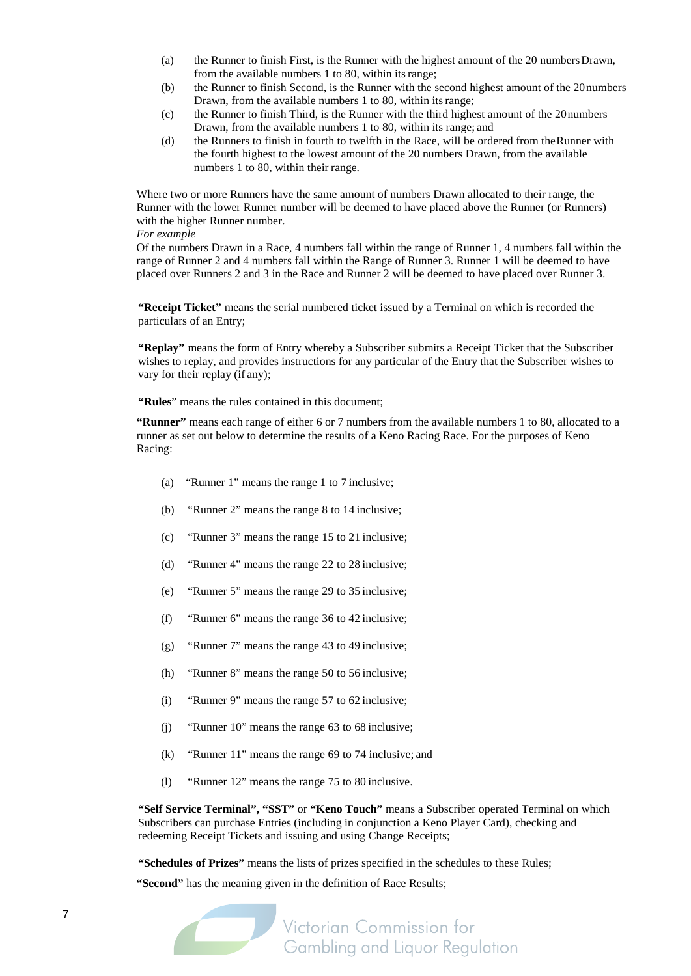- (a) the Runner to finish First, is the Runner with the highest amount of the 20 numbersDrawn, from the available numbers 1 to 80, within itsrange;
- (b) the Runner to finish Second, is the Runner with the second highest amount of the 20numbers Drawn, from the available numbers 1 to 80, within itsrange;
- (c) the Runner to finish Third, is the Runner with the third highest amount of the 20numbers Drawn, from the available numbers 1 to 80, within its range; and
- (d) the Runners to finish in fourth to twelfth in the Race, will be ordered from theRunner with the fourth highest to the lowest amount of the 20 numbers Drawn, from the available numbers 1 to 80, within their range.

Where two or more Runners have the same amount of numbers Drawn allocated to their range, the Runner with the lower Runner number will be deemed to have placed above the Runner (or Runners) with the higher Runner number.

*For example*

Of the numbers Drawn in a Race, 4 numbers fall within the range of Runner 1, 4 numbers fall within the range of Runner 2 and 4 numbers fall within the Range of Runner 3. Runner 1 will be deemed to have placed over Runners 2 and 3 in the Race and Runner 2 will be deemed to have placed over Runner 3.

**"Receipt Ticket"** means the serial numbered ticket issued by a Terminal on which is recorded the particulars of an Entry;

**"Replay"** means the form of Entry whereby a Subscriber submits a Receipt Ticket that the Subscriber wishes to replay, and provides instructions for any particular of the Entry that the Subscriber wishes to vary for their replay (if any);

**"Rules**" means the rules contained in this document;

**"Runner"** means each range of either 6 or 7 numbers from the available numbers 1 to 80, allocated to a runner as set out below to determine the results of a Keno Racing Race. For the purposes of Keno Racing:

- (a) "Runner 1" means the range 1 to 7 inclusive;
- (b) "Runner 2" means the range 8 to 14 inclusive;
- (c) "Runner 3" means the range 15 to 21 inclusive;
- (d) "Runner 4" means the range 22 to 28 inclusive;
- (e) "Runner 5" means the range 29 to 35 inclusive;
- (f) "Runner 6" means the range 36 to 42 inclusive;
- (g) "Runner 7" means the range 43 to 49 inclusive;
- (h) "Runner 8" means the range 50 to 56 inclusive;
- (i) "Runner 9" means the range 57 to 62 inclusive;
- (j) "Runner 10" means the range 63 to 68 inclusive;
- (k) "Runner 11" means the range 69 to 74 inclusive; and
- (l) "Runner 12" means the range 75 to 80 inclusive.

**"Self Service Terminal", "SST"** or **"Keno Touch"** means a Subscriber operated Terminal on which Subscribers can purchase Entries (including in conjunction a Keno Player Card), checking and redeeming Receipt Tickets and issuing and using Change Receipts;

**"Schedules of Prizes"** means the lists of prizes specified in the schedules to these Rules;

**"Second"** has the meaning given in the definition of Race Results;

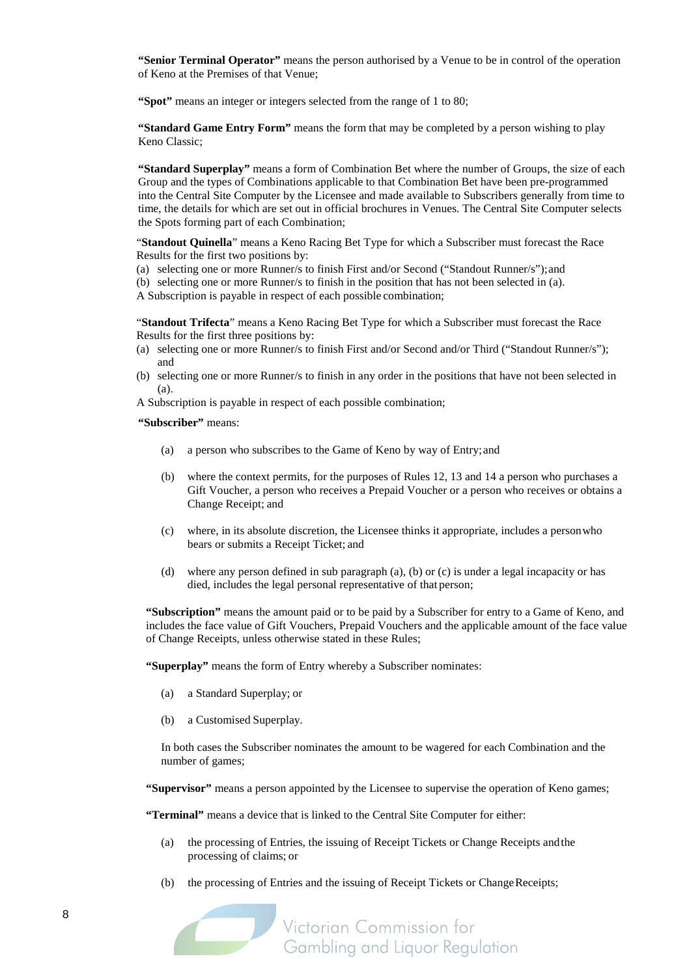**"Senior Terminal Operator"** means the person authorised by a Venue to be in control of the operation of Keno at the Premises of that Venue;

**"Spot"** means an integer or integers selected from the range of 1 to 80;

**"Standard Game Entry Form"** means the form that may be completed by a person wishing to play Keno Classic;

**"Standard Superplay"** means a form of Combination Bet where the number of Groups, the size of each Group and the types of Combinations applicable to that Combination Bet have been pre-programmed into the Central Site Computer by the Licensee and made available to Subscribers generally from time to time, the details for which are set out in official brochures in Venues. The Central Site Computer selects the Spots forming part of each Combination;

"**Standout Quinella**" means a Keno Racing Bet Type for which a Subscriber must forecast the Race Results for the first two positions by:

(a) selecting one or more Runner/s to finish First and/or Second ("Standout Runner/s");and

(b) selecting one or more Runner/s to finish in the position that has not been selected in (a). A Subscription is payable in respect of each possible combination;

"**Standout Trifecta**" means a Keno Racing Bet Type for which a Subscriber must forecast the Race Results for the first three positions by:

- (a) selecting one or more Runner/s to finish First and/or Second and/or Third ("Standout Runner/s"); and
- (b) selecting one or more Runner/s to finish in any order in the positions that have not been selected in (a).

A Subscription is payable in respect of each possible combination;

**"Subscriber"** means:

- (a) a person who subscribes to the Game of Keno by way of Entry;and
- (b) where the context permits, for the purposes of Rules [12,](#page-12-0) [13](#page-13-1) an[d 14](#page-13-2) a person who purchases a Gift Voucher, a person who receives a Prepaid Voucher or a person who receives or obtains a Change Receipt; and
- (c) where, in its absolute discretion, the Licensee thinks it appropriate, includes a personwho bears or submits a Receipt Ticket; and
- (d) where any person defined in sub paragraph (a), (b) or (c) is under a legal incapacity or has died, includes the legal personal representative of that person;

**"Subscription"** means the amount paid or to be paid by a Subscriber for entry to a Game of Keno, and includes the face value of Gift Vouchers, Prepaid Vouchers and the applicable amount of the face value of Change Receipts, unless otherwise stated in these Rules;

**"Superplay"** means the form of Entry whereby a Subscriber nominates:

- (a) a Standard Superplay; or
- (b) a Customised Superplay.

In both cases the Subscriber nominates the amount to be wagered for each Combination and the number of games;

**"Supervisor"** means a person appointed by the Licensee to supervise the operation of Keno games;

**"Terminal"** means a device that is linked to the Central Site Computer for either:

- (a) the processing of Entries, the issuing of Receipt Tickets or Change Receipts andthe processing of claims; or
- (b) the processing of Entries and the issuing of Receipt Tickets or Change Receipts;

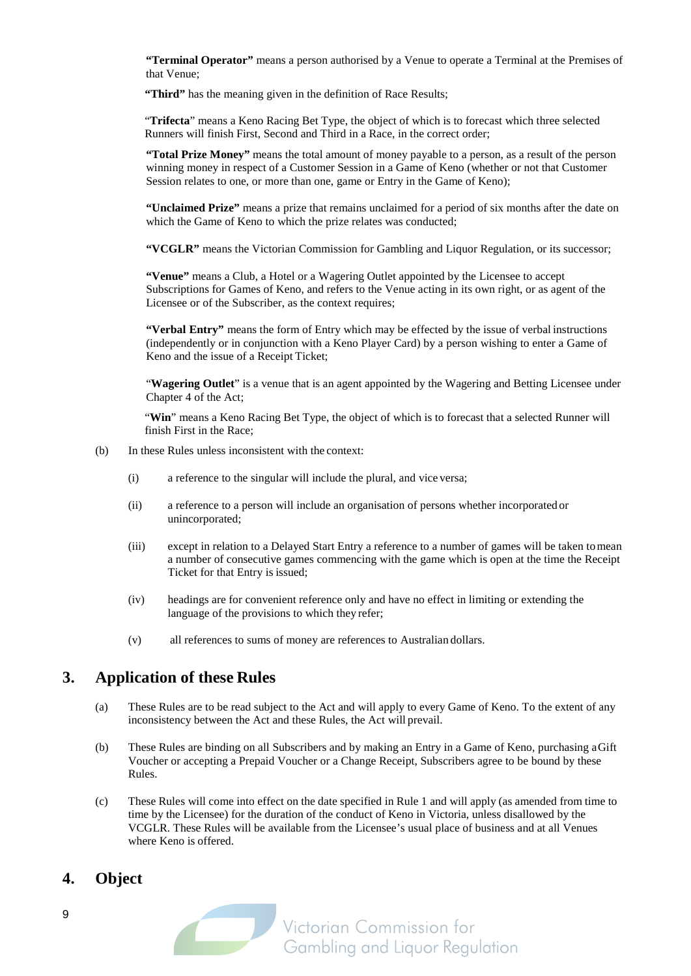**"Terminal Operator"** means a person authorised by a Venue to operate a Terminal at the Premises of that Venue;

"Third" has the meaning given in the definition of Race Results;

"**Trifecta**" means a Keno Racing Bet Type, the object of which is to forecast which three selected Runners will finish First, Second and Third in a Race, in the correct order;

**"Total Prize Money"** means the total amount of money payable to a person, as a result of the person winning money in respect of a Customer Session in a Game of Keno (whether or not that Customer Session relates to one, or more than one, game or Entry in the Game of Keno);

**"Unclaimed Prize"** means a prize that remains unclaimed for a period of six months after the date on which the Game of Keno to which the prize relates was conducted;

**"VCGLR"** means the Victorian Commission for Gambling and Liquor Regulation, or its successor;

**"Venue"** means a Club, a Hotel or a Wagering Outlet appointed by the Licensee to accept Subscriptions for Games of Keno, and refers to the Venue acting in its own right, or as agent of the Licensee or of the Subscriber, as the context requires;

**"Verbal Entry"** means the form of Entry which may be effected by the issue of verbal instructions (independently or in conjunction with a Keno Player Card) by a person wishing to enter a Game of Keno and the issue of a Receipt Ticket;

"**Wagering Outlet**" is a venue that is an agent appointed by the Wagering and Betting Licensee under Chapter 4 of the Act;

"Win" means a Keno Racing Bet Type, the object of which is to forecast that a selected Runner will finish First in the Race;

- (b) In these Rules unless inconsistent with the context:
	- (i) a reference to the singular will include the plural, and vice versa;
	- (ii) a reference to a person will include an organisation of persons whether incorporated or unincorporated;
	- (iii) except in relation to a Delayed Start Entry a reference to a number of games will be taken tomean a number of consecutive games commencing with the game which is open at the time the Receipt Ticket for that Entry is issued;
	- (iv) headings are for convenient reference only and have no effect in limiting or extending the language of the provisions to which they refer;
	- (v) all references to sums of money are references to Australian dollars.

### **3. Application of these Rules**

- (a) These Rules are to be read subject to the Act and will apply to every Game of Keno. To the extent of any inconsistency between the Act and these Rules, the Act will prevail.
- (b) These Rules are binding on all Subscribers and by making an Entry in a Game of Keno, purchasing aGift Voucher or accepting a Prepaid Voucher or a Change Receipt, Subscribers agree to be bound by these Rules.
- (c) These Rules will come into effect on the date specified in Rule 1 and will apply (as amended from time to time by the Licensee) for the duration of the conduct of Keno in Victoria, unless disallowed by the VCGLR. These Rules will be available from the Licensee's usual place of business and at all Venues where Keno is offered.

#### **4. Object**

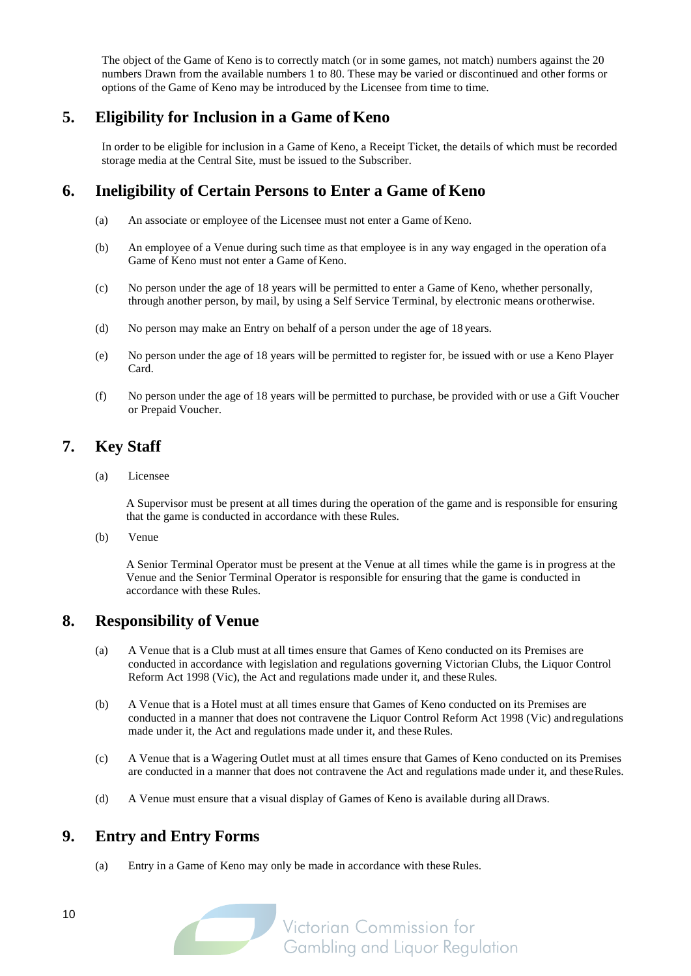The object of the Game of Keno is to correctly match (or in some games, not match) numbers against the 20 numbers Drawn from the available numbers 1 to 80. These may be varied or discontinued and other forms or options of the Game of Keno may be introduced by the Licensee from time to time.

## **5. Eligibility for Inclusion in a Game of Keno**

In order to be eligible for inclusion in a Game of Keno, a Receipt Ticket, the details of which must be recorded storage media at the Central Site, must be issued to the Subscriber.

## <span id="page-9-1"></span>**6. Ineligibility of Certain Persons to Enter a Game of Keno**

- (a) An associate or employee of the Licensee must not enter a Game of Keno.
- (b) An employee of a Venue during such time as that employee is in any way engaged in the operation ofa Game of Keno must not enter a Game of Keno.
- (c) No person under the age of 18 years will be permitted to enter a Game of Keno, whether personally, through another person, by mail, by using a Self Service Terminal, by electronic means orotherwise.
- (d) No person may make an Entry on behalf of a person under the age of 18 years.
- (e) No person under the age of 18 years will be permitted to register for, be issued with or use a Keno Player Card.
- (f) No person under the age of 18 years will be permitted to purchase, be provided with or use a Gift Voucher or Prepaid Voucher.

## **7. Key Staff**

(a) Licensee

A Supervisor must be present at all times during the operation of the game and is responsible for ensuring that the game is conducted in accordance with these Rules.

(b) Venue

A Senior Terminal Operator must be present at the Venue at all times while the game is in progress at the Venue and the Senior Terminal Operator is responsible for ensuring that the game is conducted in accordance with these Rules.

## **8. Responsibility of Venue**

- (a) A Venue that is a Club must at all times ensure that Games of Keno conducted on its Premises are conducted in accordance with legislation and regulations governing Victorian Clubs, the Liquor Control Reform Act 1998 (Vic), the Act and regulations made under it, and these Rules.
- (b) A Venue that is a Hotel must at all times ensure that Games of Keno conducted on its Premises are conducted in a manner that does not contravene the Liquor Control Reform Act 1998 (Vic) andregulations made under it, the Act and regulations made under it, and these Rules.
- (c) A Venue that is a Wagering Outlet must at all times ensure that Games of Keno conducted on its Premises are conducted in a manner that does not contravene the Act and regulations made under it, and theseRules.
- (d) A Venue must ensure that a visual display of Games of Keno is available during allDraws.

## <span id="page-9-0"></span>**9. Entry and Entry Forms**

(a) Entry in a Game of Keno may only be made in accordance with these Rules.

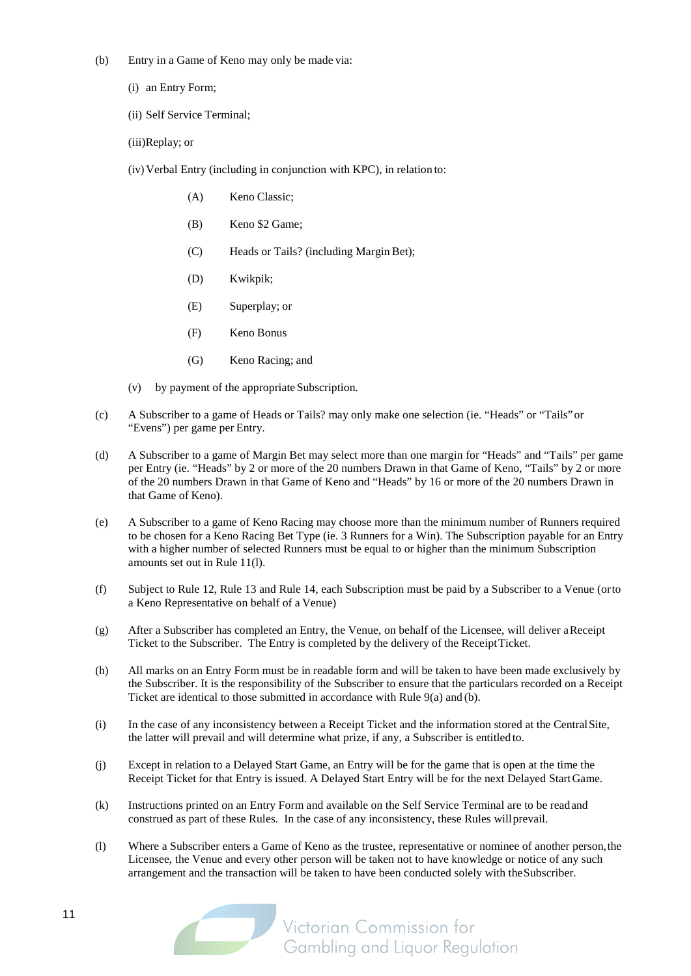- (b) Entry in a Game of Keno may only be made via:
	- (i) an Entry Form;
	- (ii) Self Service Terminal;
	- (iii)Replay; or
	- (iv) Verbal Entry (including in conjunction with KPC), in relation to:
		- (A) Keno Classic;
		- (B) Keno \$2 Game;
		- (C) Heads or Tails? (including Margin Bet);
		- (D) Kwikpik;
		- (E) Superplay; or
		- (F) Keno Bonus
		- (G) Keno Racing; and
	- (v) by payment of the appropriate Subscription.
- (c) A Subscriber to a game of Heads or Tails? may only make one selection (ie. "Heads" or "Tails"or "Evens") per game per Entry.
- (d) A Subscriber to a game of Margin Bet may select more than one margin for "Heads" and "Tails" per game per Entry (ie. "Heads" by 2 or more of the 20 numbers Drawn in that Game of Keno, "Tails" by 2 or more of the 20 numbers Drawn in that Game of Keno and "Heads" by 16 or more of the 20 numbers Drawn in that Game of Keno).
- (e) A Subscriber to a game of Keno Racing may choose more than the minimum number of Runners required to be chosen for a Keno Racing Bet Type (ie. 3 Runners for a Win). The Subscription payable for an Entry with a higher number of selected Runners must be equal to or higher than the minimum Subscription amounts set out in Rule 11(l).
- (f) Subject to Rul[e 12,](#page-12-0) Rule [13](#page-13-1) and Rule [14,](#page-13-2) each Subscription must be paid by a Subscriber to a Venue (orto a Keno Representative on behalf of a Venue)
- (g) After a Subscriber has completed an Entry, the Venue, on behalf of the Licensee, will deliver aReceipt Ticket to the Subscriber. The Entry is completed by the delivery of the ReceiptTicket.
- (h) All marks on an Entry Form must be in readable form and will be taken to have been made exclusively by the Subscriber. It is the responsibility of the Subscriber to ensure that the particulars recorded on a Receipt Ticket are identical to those submitted in accordance with Rule 9(a) and (b).
- (i) In the case of any inconsistency between a Receipt Ticket and the information stored at the CentralSite, the latter will prevail and will determine what prize, if any, a Subscriber is entitled to.
- (j) Except in relation to a Delayed Start Game, an Entry will be for the game that is open at the time the Receipt Ticket for that Entry is issued. A Delayed Start Entry will be for the next Delayed StartGame.
- (k) Instructions printed on an Entry Form and available on the Self Service Terminal are to be readand construed as part of these Rules. In the case of any inconsistency, these Rules willprevail.
- (l) Where a Subscriber enters a Game of Keno as the trustee, representative or nominee of another person,the Licensee, the Venue and every other person will be taken not to have knowledge or notice of any such arrangement and the transaction will be taken to have been conducted solely with theSubscriber.

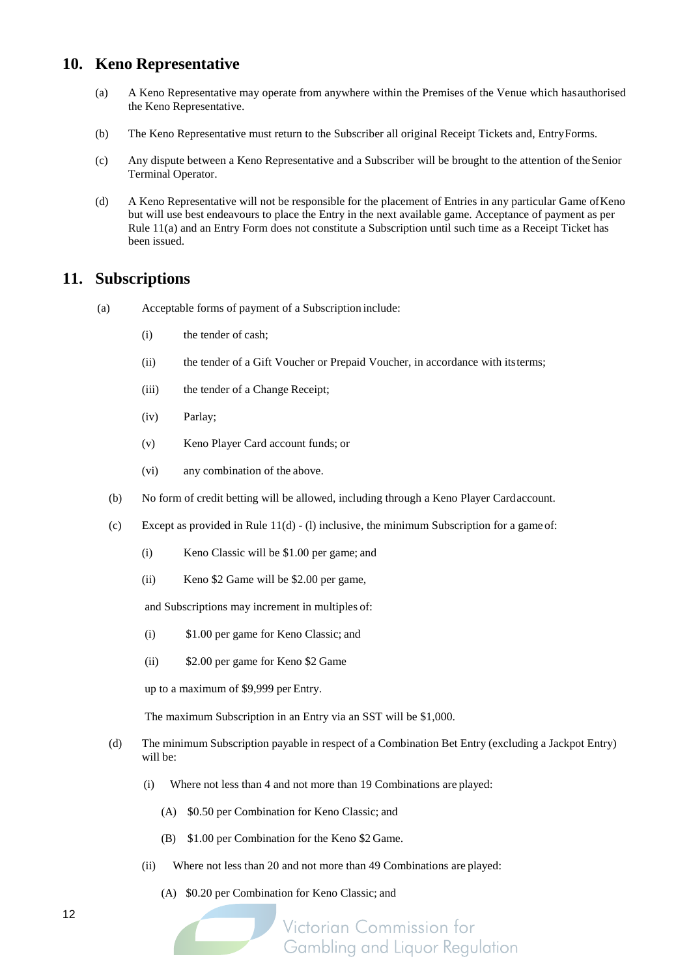### **10. Keno Representative**

- (a) A Keno Representative may operate from anywhere within the Premises of the Venue which hasauthorised the Keno Representative.
- (b) The Keno Representative must return to the Subscriber all original Receipt Tickets and, EntryForms.
- (c) Any dispute between a Keno Representative and a Subscriber will be brought to the attention of theSenior Terminal Operator.
- (d) A Keno Representative will not be responsible for the placement of Entries in any particular Game ofKeno but will use best endeavours to place the Entry in the next available game. Acceptance of payment as per Rule [11\(a\)](#page-11-0) and an Entry Form does not constitute a Subscription until such time as a Receipt Ticket has been issued.

#### <span id="page-11-0"></span>**11. Subscriptions**

- (a) Acceptable forms of payment of a Subscription include:
	- (i) the tender of cash;
	- (ii) the tender of a Gift Voucher or Prepaid Voucher, in accordance with itsterms;
	- (iii) the tender of a Change Receipt;
	- (iv) Parlay;
	- (v) Keno Player Card account funds; or
	- (vi) any combination of the above.
	- (b) No form of credit betting will be allowed, including through a Keno Player Cardaccount.
	- (c) Except as provided in Rule  $11(d)$  (1) inclusive, the minimum Subscription for a game of:
		- (i) Keno Classic will be \$1.00 per game; and
		- (ii) Keno \$2 Game will be \$2.00 per game,

and Subscriptions may increment in multiples of:

- (i) \$1.00 per game for Keno Classic; and
- (ii) \$2.00 per game for Keno \$2 Game

up to a maximum of \$9,999 per Entry.

The maximum Subscription in an Entry via an SST will be \$1,000.

- (d) The minimum Subscription payable in respect of a Combination Bet Entry (excluding a Jackpot Entry) will be:
	- (i) Where not less than 4 and not more than 19 Combinations are played:
		- (A) \$0.50 per Combination for Keno Classic; and
		- (B) \$1.00 per Combination for the Keno \$2 Game.
	- (ii) Where not less than 20 and not more than 49 Combinations are played:
		- (A) \$0.20 per Combination for Keno Classic; and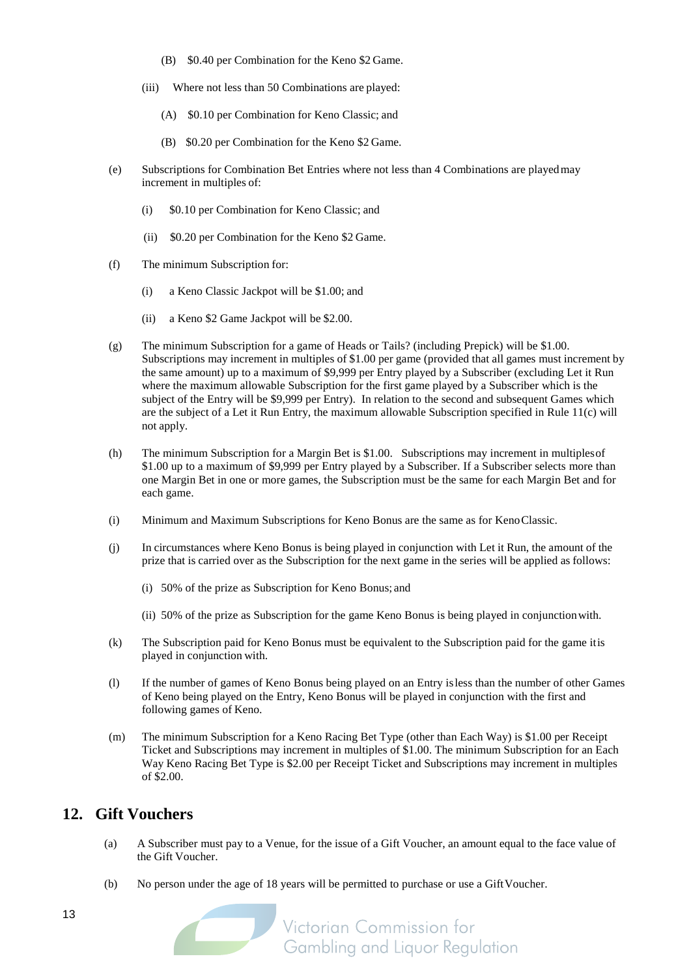- (B) \$0.40 per Combination for the Keno \$2 Game.
- (iii) Where not less than 50 Combinations are played:
	- (A) \$0.10 per Combination for Keno Classic; and
	- (B) \$0.20 per Combination for the Keno \$2 Game.
- (e) Subscriptions for Combination Bet Entries where not less than 4 Combinations are playedmay increment in multiples of:
	- (i) \$0.10 per Combination for Keno Classic; and
	- (ii) \$0.20 per Combination for the Keno \$2 Game.
- (f) The minimum Subscription for:
	- (i) a Keno Classic Jackpot will be \$1.00; and
	- (ii) a Keno \$2 Game Jackpot will be \$2.00.
- (g) The minimum Subscription for a game of Heads or Tails? (including Prepick) will be \$1.00. Subscriptions may increment in multiples of \$1.00 per game (provided that all games must increment by the same amount) up to a maximum of \$9,999 per Entry played by a Subscriber (excluding Let it Run where the maximum allowable Subscription for the first game played by a Subscriber which is the subject of the Entry will be \$9,999 per Entry). In relation to the second and subsequent Games which are the subject of a Let it Run Entry, the maximum allowable Subscription specified in Rule [11\(c\)](#page-11-0) will not apply.
- (h) The minimum Subscription for a Margin Bet is \$1.00. Subscriptions may increment in multiplesof \$1.00 up to a maximum of \$9,999 per Entry played by a Subscriber. If a Subscriber selects more than one Margin Bet in one or more games, the Subscription must be the same for each Margin Bet and for each game.
- (i) Minimum and Maximum Subscriptions for Keno Bonus are the same as for KenoClassic.
- (j) In circumstances where Keno Bonus is being played in conjunction with Let it Run, the amount of the prize that is carried over as the Subscription for the next game in the series will be applied as follows:
	- (i) 50% of the prize as Subscription for Keno Bonus; and
	- (ii) 50% of the prize as Subscription for the game Keno Bonus is being played in conjunctionwith.
- (k) The Subscription paid for Keno Bonus must be equivalent to the Subscription paid for the game itis played in conjunction with.
- (l) If the number of games of Keno Bonus being played on an Entry isless than the number of other Games of Keno being played on the Entry, Keno Bonus will be played in conjunction with the first and following games of Keno.
- (m) The minimum Subscription for a Keno Racing Bet Type (other than Each Way) is \$1.00 per Receipt Ticket and Subscriptions may increment in multiples of \$1.00. The minimum Subscription for an Each Way Keno Racing Bet Type is \$2.00 per Receipt Ticket and Subscriptions may increment in multiples of \$2.00.

#### <span id="page-12-0"></span>**12. Gift Vouchers**

- (a) A Subscriber must pay to a Venue, for the issue of a Gift Voucher, an amount equal to the face value of the Gift Voucher.
- (b) No person under the age of 18 years will be permitted to purchase or use a GiftVoucher.

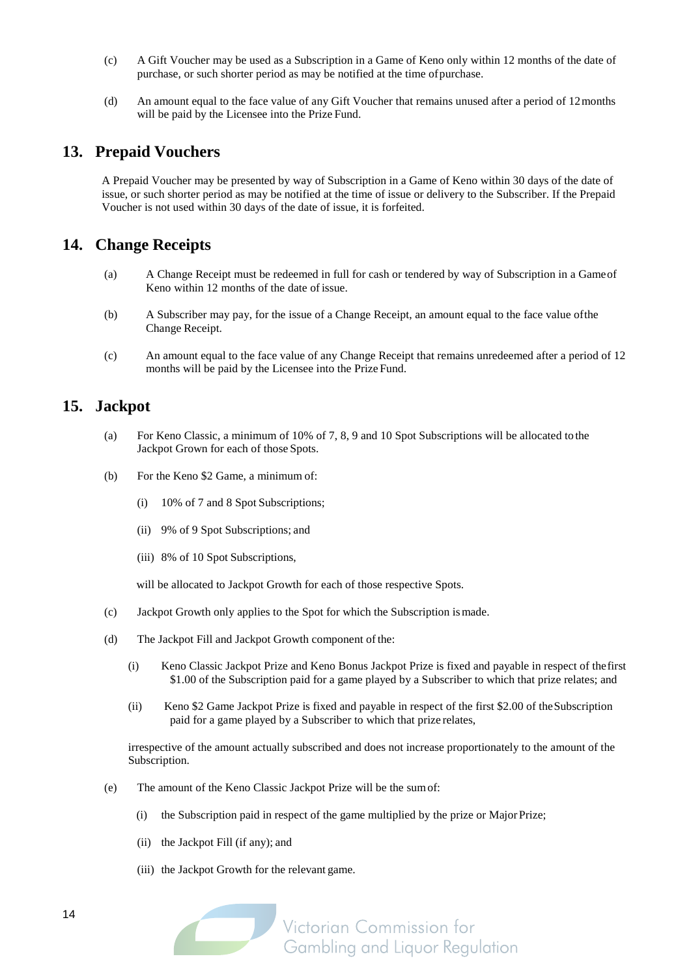- (c) A Gift Voucher may be used as a Subscription in a Game of Keno only within 12 months of the date of purchase, or such shorter period as may be notified at the time ofpurchase.
- (d) An amount equal to the face value of any Gift Voucher that remains unused after a period of 12months will be paid by the Licensee into the Prize Fund.

#### <span id="page-13-1"></span>**13. Prepaid Vouchers**

A Prepaid Voucher may be presented by way of Subscription in a Game of Keno within 30 days of the date of issue, or such shorter period as may be notified at the time of issue or delivery to the Subscriber. If the Prepaid Voucher is not used within 30 days of the date of issue, it is forfeited.

### <span id="page-13-2"></span>**14. Change Receipts**

- (a) A Change Receipt must be redeemed in full for cash or tendered by way of Subscription in a Gameof Keno within 12 months of the date ofissue.
- (b) A Subscriber may pay, for the issue of a Change Receipt, an amount equal to the face value ofthe Change Receipt.
- (c) An amount equal to the face value of any Change Receipt that remains unredeemed after a period of 12 months will be paid by the Licensee into the Prize Fund.

#### <span id="page-13-0"></span>**15. Jackpot**

- (a) For Keno Classic, a minimum of 10% of 7, 8, 9 and 10 Spot Subscriptions will be allocated to the Jackpot Grown for each of those Spots.
- (b) For the Keno \$2 Game, a minimum of:
	- (i) 10% of 7 and 8 Spot Subscriptions;
	- (ii) 9% of 9 Spot Subscriptions; and
	- (iii) 8% of 10 Spot Subscriptions,

will be allocated to Jackpot Growth for each of those respective Spots.

- (c) Jackpot Growth only applies to the Spot for which the Subscription ismade.
- (d) The Jackpot Fill and Jackpot Growth component of the:
	- (i) Keno Classic Jackpot Prize and Keno Bonus Jackpot Prize is fixed and payable in respect of thefirst \$1.00 of the Subscription paid for a game played by a Subscriber to which that prize relates; and
	- (ii) Keno \$2 Game Jackpot Prize is fixed and payable in respect of the first \$2.00 of theSubscription paid for a game played by a Subscriber to which that prize relates,

irrespective of the amount actually subscribed and does not increase proportionately to the amount of the Subscription.

- (e) The amount of the Keno Classic Jackpot Prize will be the sumof:
	- (i) the Subscription paid in respect of the game multiplied by the prize or MajorPrize;
	- (ii) the Jackpot Fill (if any); and
	- (iii) the Jackpot Growth for the relevant game.

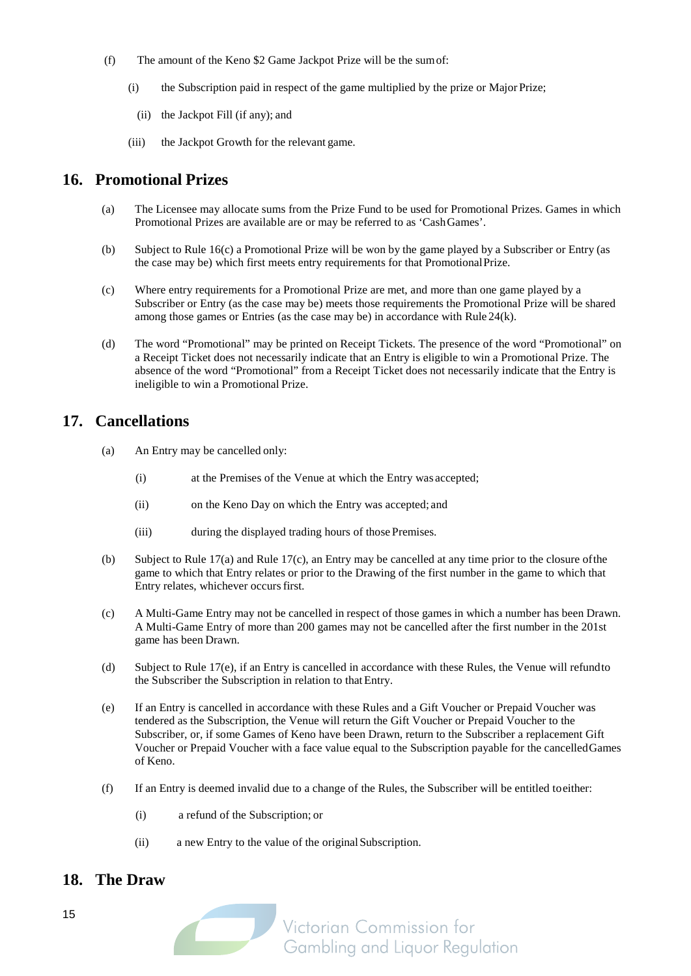- (f) The amount of the Keno \$2 Game Jackpot Prize will be the sumof:
	- (i) the Subscription paid in respect of the game multiplied by the prize or Major Prize;
		- (ii) the Jackpot Fill (if any); and
	- (iii) the Jackpot Growth for the relevant game.

## <span id="page-14-0"></span>**16. Promotional Prizes**

- (a) The Licensee may allocate sums from the Prize Fund to be used for Promotional Prizes. Games in which Promotional Prizes are available are or may be referred to as 'CashGames'.
- (b) Subject to Rule [16\(c\) a](#page-14-0) Promotional Prize will be won by the game played by a Subscriber or Entry (as the case may be) which first meets entry requirements for that PromotionalPrize.
- (c) Where entry requirements for a Promotional Prize are met, and more than one game played by a Subscriber or Entry (as the case may be) meets those requirements the Promotional Prize will be shared among those games or Entries (as the case may be) in accordance with Rule [24\(k\).](#page-17-0)
- (d) The word "Promotional" may be printed on Receipt Tickets. The presence of the word "Promotional" on a Receipt Ticket does not necessarily indicate that an Entry is eligible to win a Promotional Prize. The absence of the word "Promotional" from a Receipt Ticket does not necessarily indicate that the Entry is ineligible to win a Promotional Prize.

## <span id="page-14-1"></span>**17. Cancellations**

- (a) An Entry may be cancelled only:
	- (i) at the Premises of the Venue at which the Entry was accepted;
	- (ii) on the Keno Day on which the Entry was accepted; and
	- (iii) during the displayed trading hours of those Premises.
- (b) Subject to Rule [17\(](#page-14-1)a) and Rule [17\(c\),](#page-14-1) an Entry may be cancelled at any time prior to the closure ofthe game to which that Entry relates or prior to the Drawing of the first number in the game to which that Entry relates, whichever occursfirst.
- (c) A Multi-Game Entry may not be cancelled in respect of those games in which a number has been Drawn. A Multi-Game Entry of more than 200 games may not be cancelled after the first number in the 201st game has been Drawn.
- (d) Subject to Rule [17\(e\),](#page-14-1) if an Entry is cancelled in accordance with these Rules, the Venue will refundto the Subscriber the Subscription in relation to that Entry.
- (e) If an Entry is cancelled in accordance with these Rules and a Gift Voucher or Prepaid Voucher was tendered as the Subscription, the Venue will return the Gift Voucher or Prepaid Voucher to the Subscriber, or, if some Games of Keno have been Drawn, return to the Subscriber a replacement Gift Voucher or Prepaid Voucher with a face value equal to the Subscription payable for the cancelledGames of Keno.
- (f) If an Entry is deemed invalid due to a change of the Rules, the Subscriber will be entitled toeither:
	- (i) a refund of the Subscription; or
	- (ii) a new Entry to the value of the originalSubscription.

## **18. The Draw**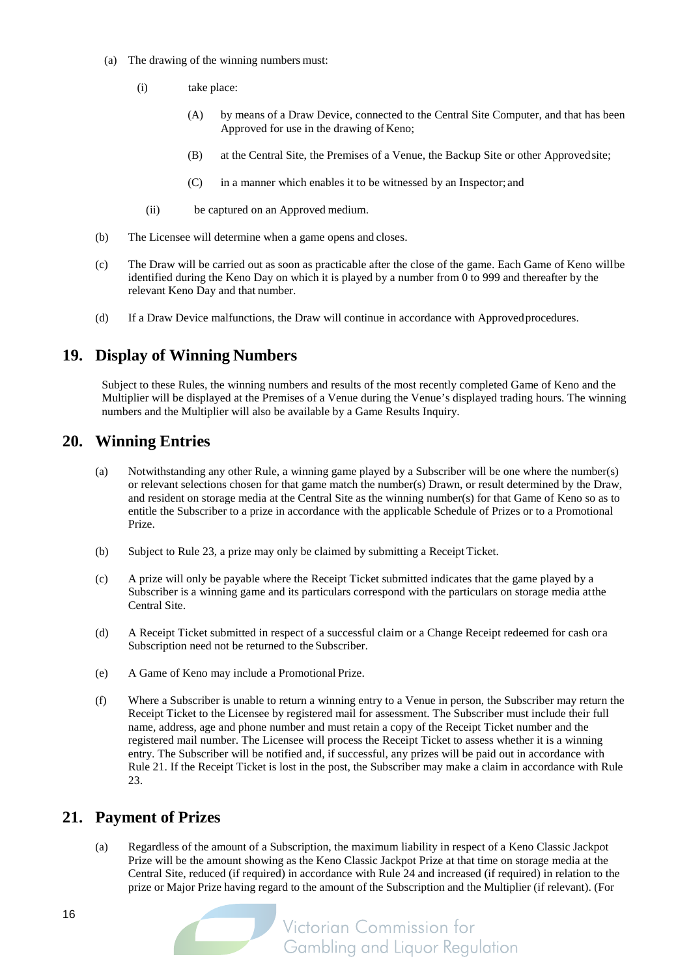- (a) The drawing of the winning numbers must:
	- (i) take place:
		- (A) by means of a Draw Device, connected to the Central Site Computer, and that has been Approved for use in the drawing of Keno;
		- (B) at the Central Site, the Premises of a Venue, the Backup Site or other Approvedsite;
		- (C) in a manner which enables it to be witnessed by an Inspector; and
		- (ii) be captured on an Approved medium.
- (b) The Licensee will determine when a game opens and closes.
- (c) The Draw will be carried out as soon as practicable after the close of the game. Each Game of Keno willbe identified during the Keno Day on which it is played by a number from 0 to 999 and thereafter by the relevant Keno Day and that number.
- (d) If a Draw Device malfunctions, the Draw will continue in accordance with Approvedprocedures.

## **19. Display of Winning Numbers**

Subject to these Rules, the winning numbers and results of the most recently completed Game of Keno and the Multiplier will be displayed at the Premises of a Venue during the Venue's displayed trading hours. The winning numbers and the Multiplier will also be available by a Game Results Inquiry.

## **20. Winning Entries**

- (a) Notwithstanding any other Rule, a winning game played by a Subscriber will be one where the number(s) or relevant selections chosen for that game match the number(s) Drawn, or result determined by the Draw, and resident on storage media at the Central Site as the winning number(s) for that Game of Keno so as to entitle the Subscriber to a prize in accordance with the applicable Schedule of Prizes or to a Promotional Prize.
- (b) Subject to Rul[e 23,](#page-17-1) a prize may only be claimed by submitting a Receipt Ticket.
- (c) A prize will only be payable where the Receipt Ticket submitted indicates that the game played by a Subscriber is a winning game and its particulars correspond with the particulars on storage media atthe Central Site.
- (d) A Receipt Ticket submitted in respect of a successful claim or a Change Receipt redeemed for cash ora Subscription need not be returned to the Subscriber.
- (e) A Game of Keno may include a Promotional Prize.
- (f) Where a Subscriber is unable to return a winning entry to a Venue in person, the Subscriber may return the Receipt Ticket to the Licensee by registered mail for assessment. The Subscriber must include their full name, address, age and phone number and must retain a copy of the Receipt Ticket number and the registered mail number. The Licensee will process the Receipt Ticket to assess whether it is a winning entry. The Subscriber will be notified and, if successful, any prizes will be paid out in accordance with Rule [21.](#page-15-0) If the Receipt Ticket is lost in the post, the Subscriber may make a claim in accordance with Rule [23.](#page-17-1)

#### <span id="page-15-0"></span>**21. Payment of Prizes**

(a) Regardless of the amount of a Subscription, the maximum liability in respect of a Keno Classic Jackpot Prize will be the amount showing as the Keno Classic Jackpot Prize at that time on storage media at the Central Site, reduced (if required) in accordance with Rul[e 24](#page-17-0) and increased (if required) in relation to the prize or Major Prize having regard to the amount of the Subscription and the Multiplier (if relevant). (For

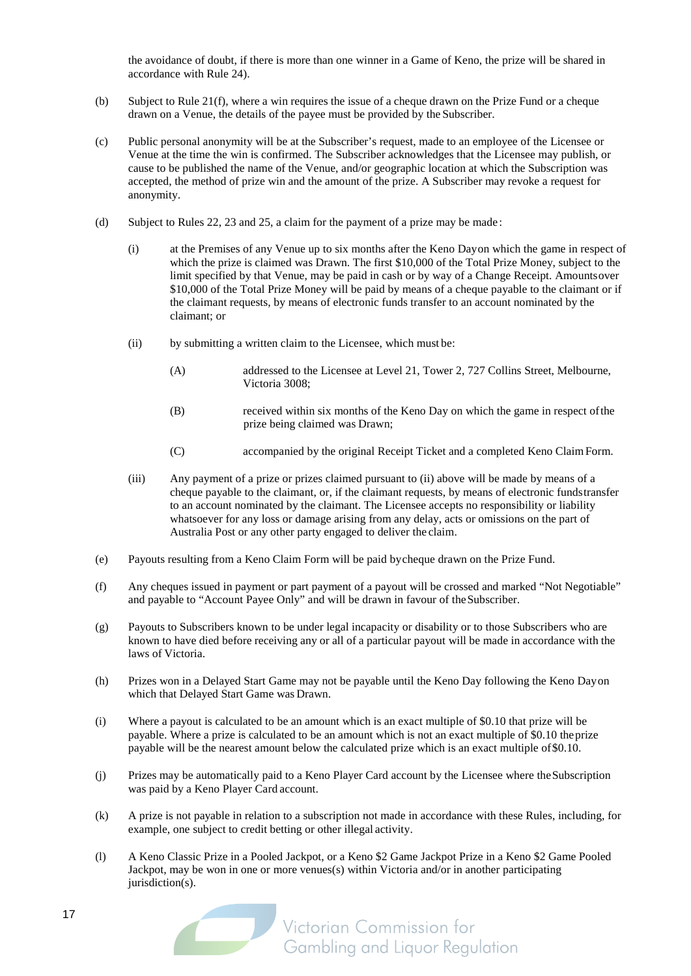the avoidance of doubt, if there is more than one winner in a Game of Keno, the prize will be shared in accordance with Rule 24).

- (b) Subject to Rule [21\(f\),](#page-15-0) where a win requires the issue of a cheque drawn on the Prize Fund or a cheque drawn on a Venue, the details of the payee must be provided by the Subscriber.
- (c) Public personal anonymity will be at the Subscriber's request, made to an employee of the Licensee or Venue at the time the win is confirmed. The Subscriber acknowledges that the Licensee may publish, or cause to be published the name of the Venue, and/or geographic location at which the Subscription was accepted, the method of prize win and the amount of the prize. A Subscriber may revoke a request for anonymity.
- (d) Subject to Rules [22,](#page-17-2) [23](#page-17-1) and [25,](#page-18-0) a claim for the payment of a prize may be made :
	- (i) at the Premises of any Venue up to six months after the Keno Dayon which the game in respect of which the prize is claimed was Drawn. The first \$10,000 of the Total Prize Money, subject to the limit specified by that Venue, may be paid in cash or by way of a Change Receipt. Amountsover \$10,000 of the Total Prize Money will be paid by means of a cheque payable to the claimant or if the claimant requests, by means of electronic funds transfer to an account nominated by the claimant; or
	- (ii) by submitting a written claim to the Licensee, which must be:
		- (A) addressed to the Licensee at Level 21, Tower 2, 727 Collins Street, Melbourne, Victoria 3008;
		- (B) received within six months of the Keno Day on which the game in respect ofthe prize being claimed was Drawn;
		- (C) accompanied by the original Receipt Ticket and a completed Keno ClaimForm.
	- (iii) Any payment of a prize or prizes claimed pursuant to (ii) above will be made by means of a cheque payable to the claimant, or, if the claimant requests, by means of electronic fundstransfer to an account nominated by the claimant. The Licensee accepts no responsibility or liability whatsoever for any loss or damage arising from any delay, acts or omissions on the part of Australia Post or any other party engaged to deliver the claim.
- (e) Payouts resulting from a Keno Claim Form will be paid bycheque drawn on the Prize Fund.
- (f) Any cheques issued in payment or part payment of a payout will be crossed and marked "Not Negotiable" and payable to "Account Payee Only" and will be drawn in favour of theSubscriber.
- (g) Payouts to Subscribers known to be under legal incapacity or disability or to those Subscribers who are known to have died before receiving any or all of a particular payout will be made in accordance with the laws of Victoria.
- (h) Prizes won in a Delayed Start Game may not be payable until the Keno Day following the Keno Dayon which that Delayed Start Game was Drawn.
- (i) Where a payout is calculated to be an amount which is an exact multiple of \$0.10 that prize will be payable. Where a prize is calculated to be an amount which is not an exact multiple of \$0.10 theprize payable will be the nearest amount below the calculated prize which is an exact multiple of\$0.10.
- (j) Prizes may be automatically paid to a Keno Player Card account by the Licensee where theSubscription was paid by a Keno Player Card account.
- (k) A prize is not payable in relation to a subscription not made in accordance with these Rules, including, for example, one subject to credit betting or other illegal activity.
- (l) A Keno Classic Prize in a Pooled Jackpot, or a Keno \$2 Game Jackpot Prize in a Keno \$2 Game Pooled Jackpot, may be won in one or more venues(s) within Victoria and/or in another participating jurisdiction(s).

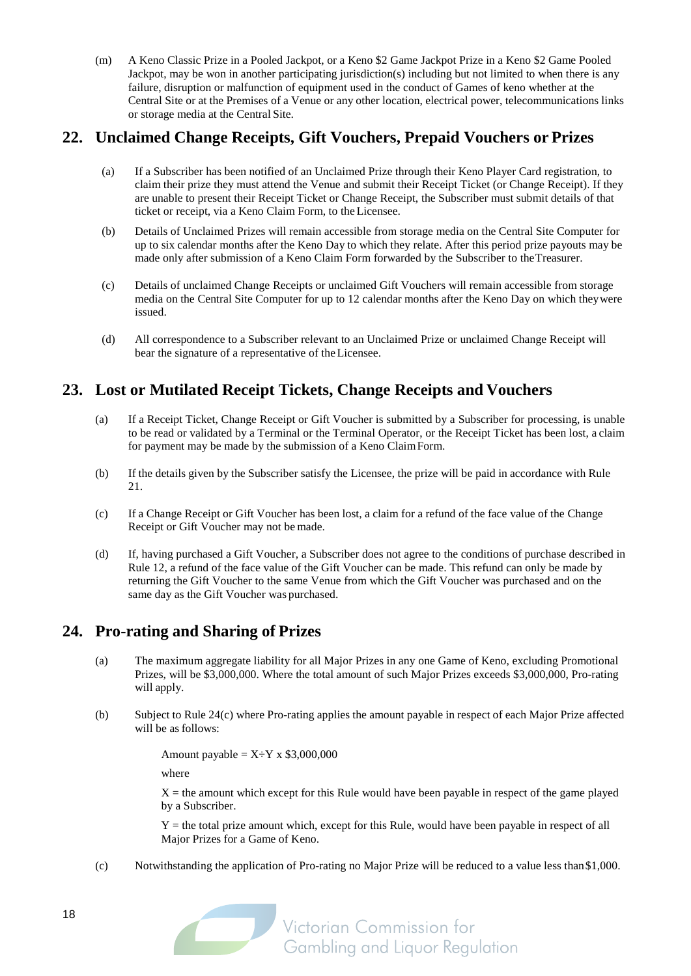(m) A Keno Classic Prize in a Pooled Jackpot, or a Keno \$2 Game Jackpot Prize in a Keno \$2 Game Pooled Jackpot, may be won in another participating jurisdiction(s) including but not limited to when there is any failure, disruption or malfunction of equipment used in the conduct of Games of keno whether at the Central Site or at the Premises of a Venue or any other location, electrical power, telecommunications links or storage media at the Central Site.

## <span id="page-17-2"></span>**22. Unclaimed Change Receipts, Gift Vouchers, Prepaid Vouchers or Prizes**

- (a) If a Subscriber has been notified of an Unclaimed Prize through their Keno Player Card registration, to claim their prize they must attend the Venue and submit their Receipt Ticket (or Change Receipt). If they are unable to present their Receipt Ticket or Change Receipt, the Subscriber must submit details of that ticket or receipt, via a Keno Claim Form, to the Licensee.
- (b) Details of Unclaimed Prizes will remain accessible from storage media on the Central Site Computer for up to six calendar months after the Keno Day to which they relate. After this period prize payouts may be made only after submission of a Keno Claim Form forwarded by the Subscriber to theTreasurer.
- (c) Details of unclaimed Change Receipts or unclaimed Gift Vouchers will remain accessible from storage media on the Central Site Computer for up to 12 calendar months after the Keno Day on which theywere issued.
- (d) All correspondence to a Subscriber relevant to an Unclaimed Prize or unclaimed Change Receipt will bear the signature of a representative of theLicensee.

## <span id="page-17-1"></span>**23. Lost or Mutilated Receipt Tickets, Change Receipts and Vouchers**

- (a) If a Receipt Ticket, Change Receipt or Gift Voucher is submitted by a Subscriber for processing, is unable to be read or validated by a Terminal or the Terminal Operator, or the Receipt Ticket has been lost, a claim for payment may be made by the submission of a Keno ClaimForm.
- (b) If the details given by the Subscriber satisfy the Licensee, the prize will be paid in accordance with Rule [21.](#page-15-0)
- (c) If a Change Receipt or Gift Voucher has been lost, a claim for a refund of the face value of the Change Receipt or Gift Voucher may not be made.
- (d) If, having purchased a Gift Voucher, a Subscriber does not agree to the conditions of purchase described in Rule 12, a refund of the face value of the Gift Voucher can be made. This refund can only be made by returning the Gift Voucher to the same Venue from which the Gift Voucher was purchased and on the same day as the Gift Voucher was purchased.

## <span id="page-17-0"></span>**24. Pro-rating and Sharing of Prizes**

- (a) The maximum aggregate liability for all Major Prizes in any one Game of Keno, excluding Promotional Prizes, will be \$3,000,000. Where the total amount of such Major Prizes exceeds \$3,000,000, Pro-rating will apply.
- (b) Subject to Rule [24\(c\)](#page-17-0) where Pro-rating applies the amount payable in respect of each Major Prize affected will be as follows:

Amount payable =  $X \div Y$  x \$3,000,000

where

 $X =$  the amount which except for this Rule would have been payable in respect of the game played by a Subscriber.

 $Y =$  the total prize amount which, except for this Rule, would have been payable in respect of all Major Prizes for a Game of Keno.

(c) Notwithstanding the application of Pro-rating no Major Prize will be reduced to a value less than\$1,000.

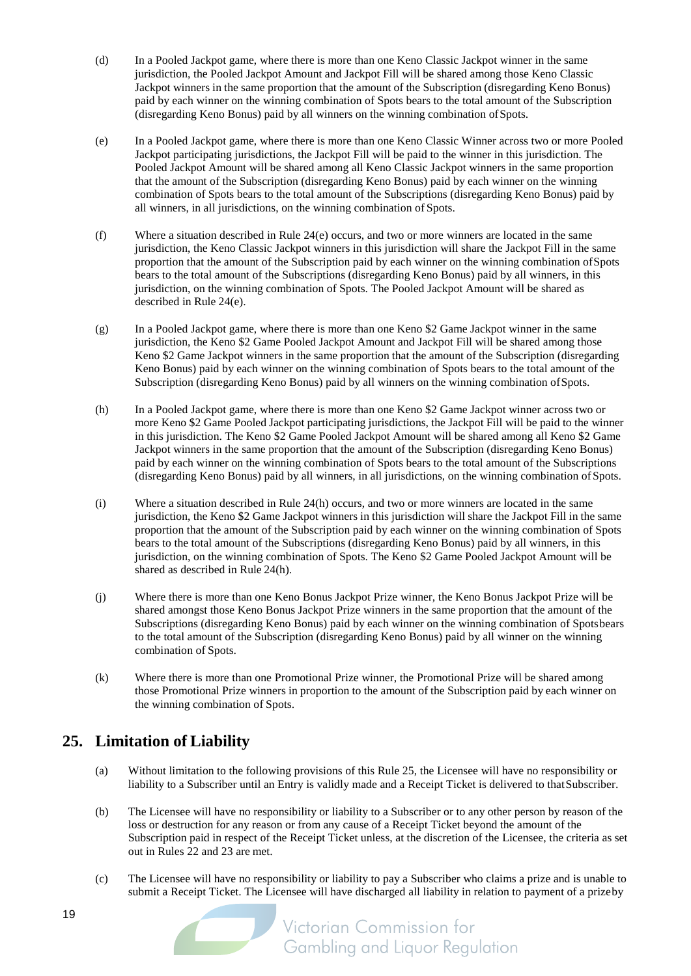- (d) In a Pooled Jackpot game, where there is more than one Keno Classic Jackpot winner in the same jurisdiction, the Pooled Jackpot Amount and Jackpot Fill will be shared among those Keno Classic Jackpot winners in the same proportion that the amount of the Subscription (disregarding Keno Bonus) paid by each winner on the winning combination of Spots bears to the total amount of the Subscription (disregarding Keno Bonus) paid by all winners on the winning combination ofSpots.
- (e) In a Pooled Jackpot game, where there is more than one Keno Classic Winner across two or more Pooled Jackpot participating jurisdictions, the Jackpot Fill will be paid to the winner in this jurisdiction. The Pooled Jackpot Amount will be shared among all Keno Classic Jackpot winners in the same proportion that the amount of the Subscription (disregarding Keno Bonus) paid by each winner on the winning combination of Spots bears to the total amount of the Subscriptions (disregarding Keno Bonus) paid by all winners, in all jurisdictions, on the winning combination of Spots.
- (f) Where a situation described in Rule 24(e) occurs, and two or more winners are located in the same jurisdiction, the Keno Classic Jackpot winners in this jurisdiction will share the Jackpot Fill in the same proportion that the amount of the Subscription paid by each winner on the winning combination ofSpots bears to the total amount of the Subscriptions (disregarding Keno Bonus) paid by all winners, in this jurisdiction, on the winning combination of Spots. The Pooled Jackpot Amount will be shared as described in Rule 24(e).
- (g) In a Pooled Jackpot game, where there is more than one Keno \$2 Game Jackpot winner in the same jurisdiction, the Keno \$2 Game Pooled Jackpot Amount and Jackpot Fill will be shared among those Keno \$2 Game Jackpot winners in the same proportion that the amount of the Subscription (disregarding Keno Bonus) paid by each winner on the winning combination of Spots bears to the total amount of the Subscription (disregarding Keno Bonus) paid by all winners on the winning combination ofSpots.
- (h) In a Pooled Jackpot game, where there is more than one Keno \$2 Game Jackpot winner across two or more Keno \$2 Game Pooled Jackpot participating jurisdictions, the Jackpot Fill will be paid to the winner in this jurisdiction. The Keno \$2 Game Pooled Jackpot Amount will be shared among all Keno \$2 Game Jackpot winners in the same proportion that the amount of the Subscription (disregarding Keno Bonus) paid by each winner on the winning combination of Spots bears to the total amount of the Subscriptions (disregarding Keno Bonus) paid by all winners, in all jurisdictions, on the winning combination ofSpots.
- (i) Where a situation described in Rule 24(h) occurs, and two or more winners are located in the same jurisdiction, the Keno \$2 Game Jackpot winners in this jurisdiction will share the Jackpot Fill in the same proportion that the amount of the Subscription paid by each winner on the winning combination of Spots bears to the total amount of the Subscriptions (disregarding Keno Bonus) paid by all winners, in this jurisdiction, on the winning combination of Spots. The Keno \$2 Game Pooled Jackpot Amount will be shared as described in Rule 24(h).
- (j) Where there is more than one Keno Bonus Jackpot Prize winner, the Keno Bonus Jackpot Prize will be shared amongst those Keno Bonus Jackpot Prize winners in the same proportion that the amount of the Subscriptions (disregarding Keno Bonus) paid by each winner on the winning combination of Spotsbears to the total amount of the Subscription (disregarding Keno Bonus) paid by all winner on the winning combination of Spots.
- (k) Where there is more than one Promotional Prize winner, the Promotional Prize will be shared among those Promotional Prize winners in proportion to the amount of the Subscription paid by each winner on the winning combination of Spots.

## <span id="page-18-0"></span>**25. Limitation of Liability**

- (a) Without limitation to the following provisions of this Rule [25,](#page-18-0) the Licensee will have no responsibility or liability to a Subscriber until an Entry is validly made and a Receipt Ticket is delivered to thatSubscriber.
- (b) The Licensee will have no responsibility or liability to a Subscriber or to any other person by reason of the loss or destruction for any reason or from any cause of a Receipt Ticket beyond the amount of the Subscription paid in respect of the Receipt Ticket unless, at the discretion of the Licensee, the criteria as set out in Rules [22](#page-17-2) and [23](#page-17-1) are met.
- (c) The Licensee will have no responsibility or liability to pay a Subscriber who claims a prize and is unable to submit a Receipt Ticket. The Licensee will have discharged all liability in relation to payment of a prizeby

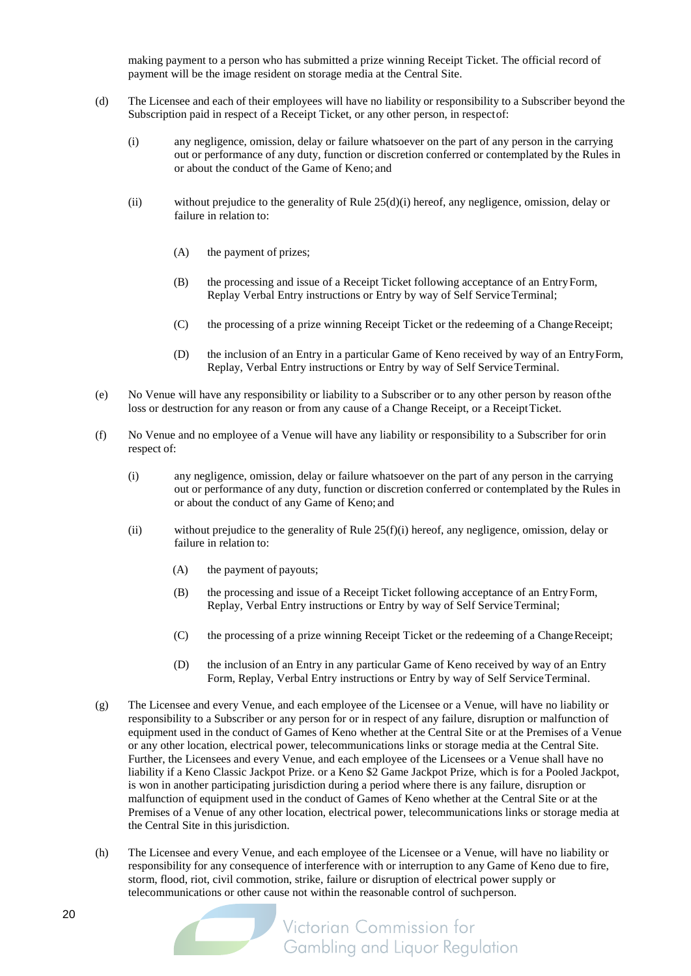making payment to a person who has submitted a prize winning Receipt Ticket. The official record of payment will be the image resident on storage media at the Central Site.

- <span id="page-19-0"></span>(d) The Licensee and each of their employees will have no liability or responsibility to a Subscriber beyond the Subscription paid in respect of a Receipt Ticket, or any other person, in respectof:
	- (i) any negligence, omission, delay or failure whatsoever on the part of any person in the carrying out or performance of any duty, function or discretion conferred or contemplated by the Rules in or about the conduct of the Game of Keno; and
	- (ii) without prejudice to the generality of Rule  $25(d)(i)$  $25(d)(i)$  hereof, any negligence, omission, delay or failure in relation to:
		- (A) the payment of prizes;
		- (B) the processing and issue of a Receipt Ticket following acceptance of an EntryForm, Replay Verbal Entry instructions or Entry by way of Self Service Terminal;
		- (C) the processing of a prize winning Receipt Ticket or the redeeming of a ChangeReceipt;
		- (D) the inclusion of an Entry in a particular Game of Keno received by way of an EntryForm, Replay, Verbal Entry instructions or Entry by way of Self ServiceTerminal.
- (e) No Venue will have any responsibility or liability to a Subscriber or to any other person by reason ofthe loss or destruction for any reason or from any cause of a Change Receipt, or a ReceiptTicket.
- <span id="page-19-1"></span>(f) No Venue and no employee of a Venue will have any liability or responsibility to a Subscriber for orin respect of:
	- (i) any negligence, omission, delay or failure whatsoever on the part of any person in the carrying out or performance of any duty, function or discretion conferred or contemplated by the Rules in or about the conduct of any Game of Keno; and
	- (ii) without prejudice to the generality of Rul[e 25\(f\)](#page-18-0)[\(i\)](#page-19-1) hereof, any negligence, omission, delay or failure in relation to:
		- (A) the payment of payouts;
		- (B) the processing and issue of a Receipt Ticket following acceptance of an EntryForm, Replay, Verbal Entry instructions or Entry by way of Self ServiceTerminal;
		- (C) the processing of a prize winning Receipt Ticket or the redeeming of a ChangeReceipt;
		- (D) the inclusion of an Entry in any particular Game of Keno received by way of an Entry Form, Replay, Verbal Entry instructions or Entry by way of Self Service Terminal.
- (g) The Licensee and every Venue, and each employee of the Licensee or a Venue, will have no liability or responsibility to a Subscriber or any person for or in respect of any failure, disruption or malfunction of equipment used in the conduct of Games of Keno whether at the Central Site or at the Premises of a Venue or any other location, electrical power, telecommunications links or storage media at the Central Site. Further, the Licensees and every Venue, and each employee of the Licensees or a Venue shall have no liability if a Keno Classic Jackpot Prize. or a Keno \$2 Game Jackpot Prize, which is for a Pooled Jackpot, is won in another participating jurisdiction during a period where there is any failure, disruption or malfunction of equipment used in the conduct of Games of Keno whether at the Central Site or at the Premises of a Venue of any other location, electrical power, telecommunications links or storage media at the Central Site in this jurisdiction.
- (h) The Licensee and every Venue, and each employee of the Licensee or a Venue, will have no liability or responsibility for any consequence of interference with or interruption to any Game of Keno due to fire, storm, flood, riot, civil commotion, strike, failure or disruption of electrical power supply or telecommunications or other cause not within the reasonable control of suchperson.

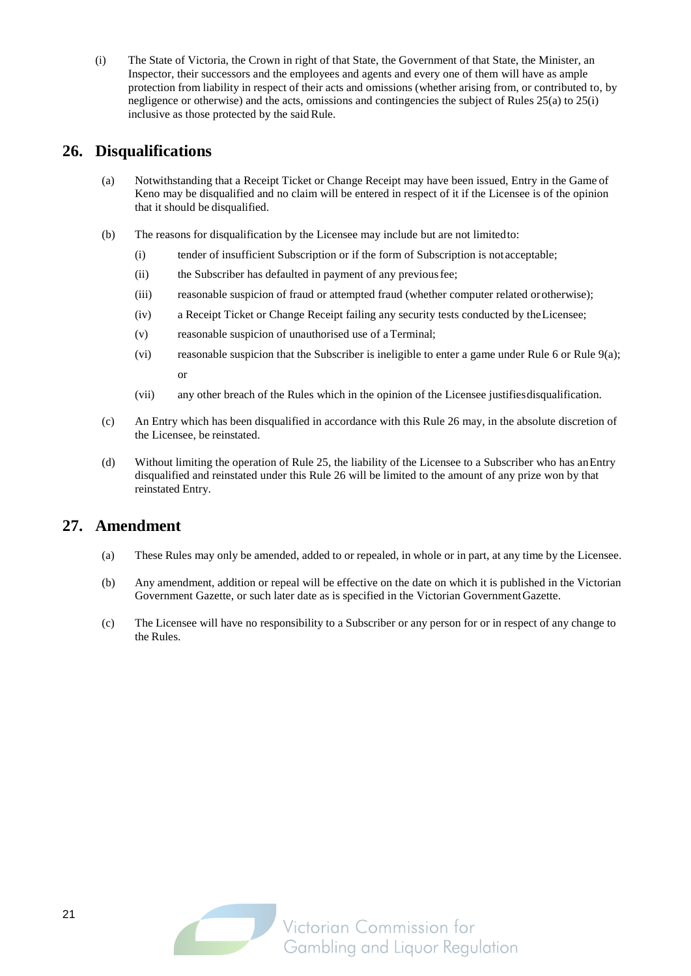(i) The State of Victoria, the Crown in right of that State, the Government of that State, the Minister, an Inspector, their successors and the employees and agents and every one of them will have as ample protection from liability in respect of their acts and omissions (whether arising from, or contributed to, by negligence or otherwise) and the acts, omissions and contingencies the subject of Rule[s 25\(a\)](#page-18-0) t[o 25\(i\)](#page-18-0) inclusive as those protected by the said Rule.

## <span id="page-20-0"></span>**26. Disqualifications**

- (a) Notwithstanding that a Receipt Ticket or Change Receipt may have been issued, Entry in the Game of Keno may be disqualified and no claim will be entered in respect of it if the Licensee is of the opinion that it should be disqualified.
- (b) The reasons for disqualification by the Licensee may include but are not limitedto:
	- (i) tender of insufficient Subscription or if the form of Subscription is notacceptable;
	- (ii) the Subscriber has defaulted in payment of any previousfee;
	- (iii) reasonable suspicion of fraud or attempted fraud (whether computer related orotherwise);
	- (iv) a Receipt Ticket or Change Receipt failing any security tests conducted by theLicensee;
	- (v) reasonable suspicion of unauthorised use of a Terminal;
	- (vi) reasonable suspicion that the Subscriber is ineligible to enter a game under Rule [6](#page-9-1) or Rule [9\(a\);](#page-9-0) or
	- (vii) any other breach of the Rules which in the opinion of the Licensee justifiesdisqualification.
- (c) An Entry which has been disqualified in accordance with this Rule [26](#page-20-0) may, in the absolute discretion of the Licensee, be reinstated.
- (d) Without limiting the operation of Rule [25,](#page-18-0) the liability of the Licensee to a Subscriber who has anEntry disqualified and reinstated under this Rule [26](#page-20-0) will be limited to the amount of any prize won by that reinstated Entry.

## **27. Amendment**

- (a) These Rules may only be amended, added to or repealed, in whole or in part, at any time by the Licensee.
- (b) Any amendment, addition or repeal will be effective on the date on which it is published in the Victorian Government Gazette, or such later date as is specified in the Victorian GovernmentGazette.
- (c) The Licensee will have no responsibility to a Subscriber or any person for or in respect of any change to the Rules.

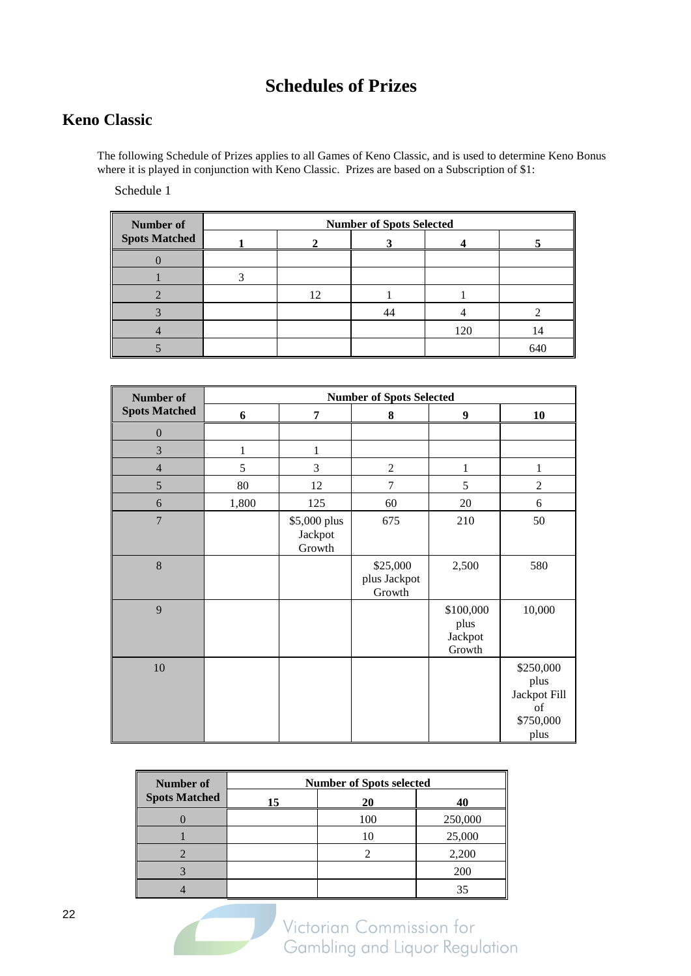## **Schedules of Prizes**

## **Keno Classic**

The following Schedule of Prizes applies to all Games of Keno Classic, and is used to determine Keno Bonus where it is played in conjunction with Keno Classic. Prizes are based on a Subscription of \$1:

Schedule 1

| Number of            | <b>Number of Spots Selected</b> |                  |    |     |     |  |
|----------------------|---------------------------------|------------------|----|-----|-----|--|
| <b>Spots Matched</b> |                                 |                  |    |     |     |  |
|                      |                                 |                  |    |     |     |  |
|                      |                                 |                  |    |     |     |  |
|                      |                                 | 12 <sub>12</sub> |    |     |     |  |
|                      |                                 |                  | 44 |     |     |  |
|                      |                                 |                  |    | 120 | 14  |  |
|                      |                                 |                  |    |     | 640 |  |

| Number of            | <b>Number of Spots Selected</b> |                                   |                                    |                                        |                                                              |  |
|----------------------|---------------------------------|-----------------------------------|------------------------------------|----------------------------------------|--------------------------------------------------------------|--|
| <b>Spots Matched</b> | 6                               | 7                                 | 8                                  | $\boldsymbol{9}$                       | 10                                                           |  |
| $\overline{0}$       |                                 |                                   |                                    |                                        |                                                              |  |
| 3                    | 1                               | 1                                 |                                    |                                        |                                                              |  |
| $\overline{4}$       | 5                               | $\mathfrak{Z}$                    | $\overline{c}$                     | $\mathbf{1}$                           | $\mathbf{1}$                                                 |  |
| 5                    | 80                              | 12                                | 7                                  | 5                                      | $\overline{2}$                                               |  |
| 6                    | 1,800                           | 125                               | 60                                 | 20                                     | 6                                                            |  |
| $\overline{7}$       |                                 | \$5,000 plus<br>Jackpot<br>Growth | 675                                | 210                                    | 50                                                           |  |
| 8                    |                                 |                                   | \$25,000<br>plus Jackpot<br>Growth | 2,500                                  | 580                                                          |  |
| 9                    |                                 |                                   |                                    | \$100,000<br>plus<br>Jackpot<br>Growth | 10,000                                                       |  |
| 10                   |                                 |                                   |                                    |                                        | \$250,000<br>plus<br>Jackpot Fill<br>of<br>\$750,000<br>plus |  |

| Number of            | <b>Number of Spots selected</b> |     |         |  |  |
|----------------------|---------------------------------|-----|---------|--|--|
| <b>Spots Matched</b> | 15                              | 20  | 40      |  |  |
|                      |                                 | 100 | 250,000 |  |  |
|                      |                                 |     | 25,000  |  |  |
|                      |                                 |     | 2,200   |  |  |
|                      |                                 |     | 200     |  |  |
|                      |                                 |     |         |  |  |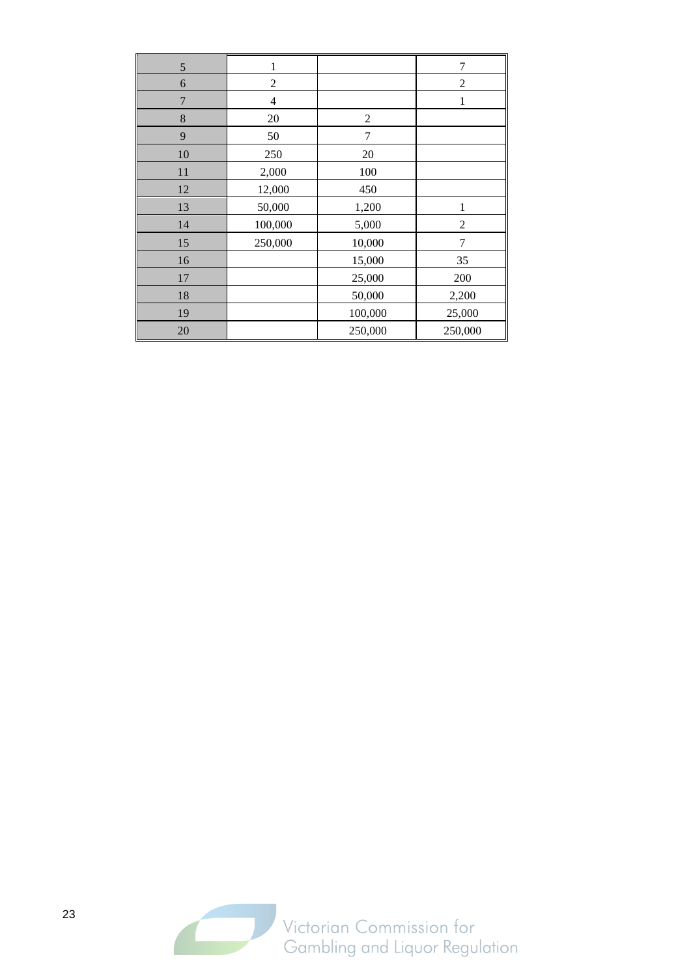| 5              |                |                | 7              |
|----------------|----------------|----------------|----------------|
| 6              | $\overline{c}$ |                | $\overline{c}$ |
| $\overline{7}$ | $\overline{4}$ |                | 1              |
| 8              | 20             | $\overline{2}$ |                |
| 9              | 50             | $\overline{7}$ |                |
| 10             | 250            | 20             |                |
| 11             | 2,000          | 100            |                |
| 12             | 12,000         | 450            |                |
| 13             | 50,000         | 1,200          | 1              |
| 14             | 100,000        | 5,000          | $\overline{c}$ |
| 15             | 250,000        | 10,000         | 7              |
| 16             |                | 15,000         | 35             |
| 17             |                | 25,000         | 200            |
| 18             |                | 50,000         | 2,200          |
| 19             |                | 100,000        | 25,000         |
| 20             |                | 250,000        | 250,000        |

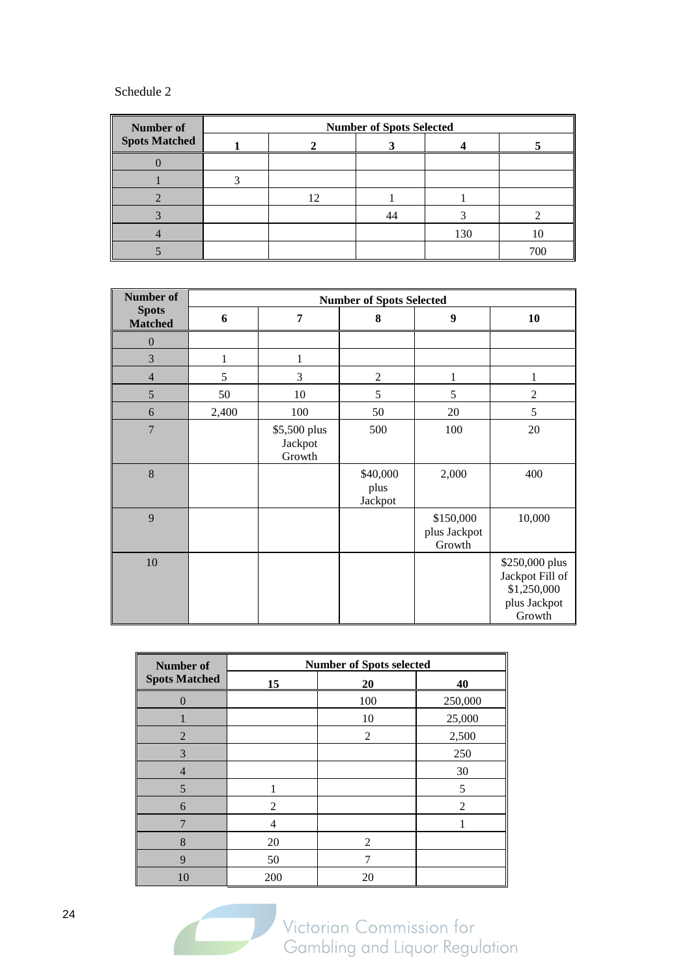### Schedule 2

| <b>Number of</b>     | <b>Number of Spots Selected</b> |    |  |     |     |
|----------------------|---------------------------------|----|--|-----|-----|
| <b>Spots Matched</b> |                                 |    |  |     |     |
|                      |                                 |    |  |     |     |
|                      |                                 |    |  |     |     |
|                      |                                 | 12 |  |     |     |
|                      |                                 |    |  |     |     |
|                      |                                 |    |  | 130 |     |
|                      |                                 |    |  |     | 700 |

| <b>Number of</b>               | <b>Number of Spots Selected</b> |                                   |                             |                                     |                                                                            |
|--------------------------------|---------------------------------|-----------------------------------|-----------------------------|-------------------------------------|----------------------------------------------------------------------------|
| <b>Spots</b><br><b>Matched</b> | 6                               | 7                                 | 8                           | 9                                   | 10                                                                         |
| $\boldsymbol{0}$               |                                 |                                   |                             |                                     |                                                                            |
| 3                              | 1                               | 1                                 |                             |                                     |                                                                            |
| $\overline{4}$                 | 5                               | 3                                 | $\overline{2}$              |                                     | 1                                                                          |
| 5                              | 50                              | 10                                | 5                           | 5                                   | $\overline{2}$                                                             |
| 6                              | 2,400                           | 100                               | 50                          | 20                                  | 5                                                                          |
| $\overline{7}$                 |                                 | \$5,500 plus<br>Jackpot<br>Growth | 500                         | 100                                 | 20                                                                         |
| 8                              |                                 |                                   | \$40,000<br>plus<br>Jackpot | 2,000                               | 400                                                                        |
| 9                              |                                 |                                   |                             | \$150,000<br>plus Jackpot<br>Growth | 10,000                                                                     |
| 10                             |                                 |                                   |                             |                                     | \$250,000 plus<br>Jackpot Fill of<br>\$1,250,000<br>plus Jackpot<br>Growth |

| <b>Number of</b>     | <b>Number of Spots selected</b> |                |                |  |  |  |
|----------------------|---------------------------------|----------------|----------------|--|--|--|
| <b>Spots Matched</b> | 15                              | 20             | 40             |  |  |  |
| $\theta$             |                                 | 100            | 250,000        |  |  |  |
|                      |                                 | 10             | 25,000         |  |  |  |
| $\overline{2}$       |                                 | 2              | 2,500          |  |  |  |
| 3                    |                                 |                | 250            |  |  |  |
| 4                    |                                 |                | 30             |  |  |  |
| 5                    | 1                               |                | 5              |  |  |  |
| 6                    | $\overline{2}$                  |                | $\mathfrak{D}$ |  |  |  |
| 7                    | 4                               |                |                |  |  |  |
| 8                    | 20                              | $\mathfrak{D}$ |                |  |  |  |
| 9                    | 50                              |                |                |  |  |  |
| 10                   | 200                             | 20             |                |  |  |  |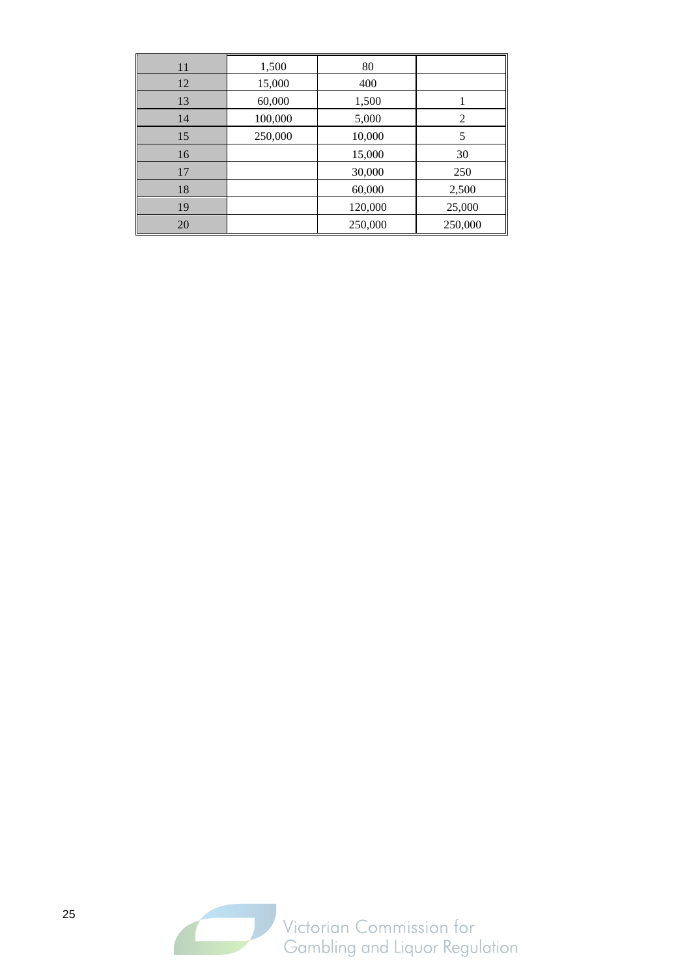| 11 | 1,500   | 80      |         |
|----|---------|---------|---------|
| 12 | 15,000  | 400     |         |
| 13 | 60,000  | 1,500   |         |
| 14 | 100,000 | 5,000   | 2       |
| 15 | 250,000 | 10,000  | 5       |
| 16 |         | 15,000  | 30      |
| 17 |         | 30,000  | 250     |
| 18 |         | 60,000  | 2,500   |
| 19 |         | 120,000 | 25,000  |
| 20 |         | 250,000 | 250,000 |

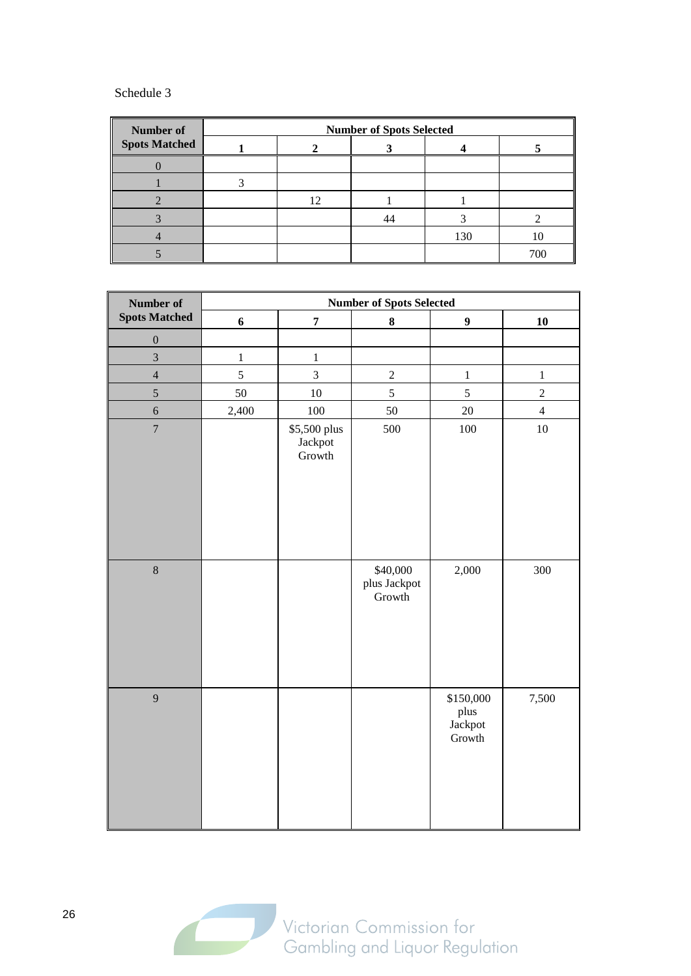#### Schedule 3

| <b>Number of</b>     | <b>Number of Spots Selected</b> |  |  |     |     |
|----------------------|---------------------------------|--|--|-----|-----|
| <b>Spots Matched</b> |                                 |  |  |     |     |
|                      |                                 |  |  |     |     |
|                      |                                 |  |  |     |     |
|                      |                                 |  |  |     |     |
|                      |                                 |  |  |     |     |
|                      |                                 |  |  | 130 | 10  |
|                      |                                 |  |  |     | 700 |

| <b>Number of Spots Selected</b><br>Number of |                  |                                   |                                    |                                        |                |
|----------------------------------------------|------------------|-----------------------------------|------------------------------------|----------------------------------------|----------------|
| <b>Spots Matched</b>                         | $\boldsymbol{6}$ | $\pmb{7}$                         | $\bf 8$                            | $\boldsymbol{9}$                       | 10             |
| $\boldsymbol{0}$                             |                  |                                   |                                    |                                        |                |
| $\overline{3}$                               | $\,1$            | $\mathbf{1}$                      |                                    |                                        |                |
| $\overline{4}$                               | 5                | $\overline{3}$                    | $\sqrt{2}$                         | $\,1$                                  | $\,1\,$        |
| 5                                            | 50               | 10                                | $\overline{5}$                     | $\overline{5}$                         | $\sqrt{2}$     |
| $\sqrt{6}$                                   | 2,400            | 100                               | 50                                 | 20                                     | $\overline{4}$ |
| $\overline{7}$                               |                  | \$5,500 plus<br>Jackpot<br>Growth | 500                                | 100                                    | $10\,$         |
| $\overline{8}$                               |                  |                                   | \$40,000<br>plus Jackpot<br>Growth | 2,000                                  | 300            |
| 9                                            |                  |                                   |                                    | \$150,000<br>plus<br>Jackpot<br>Growth | 7,500          |

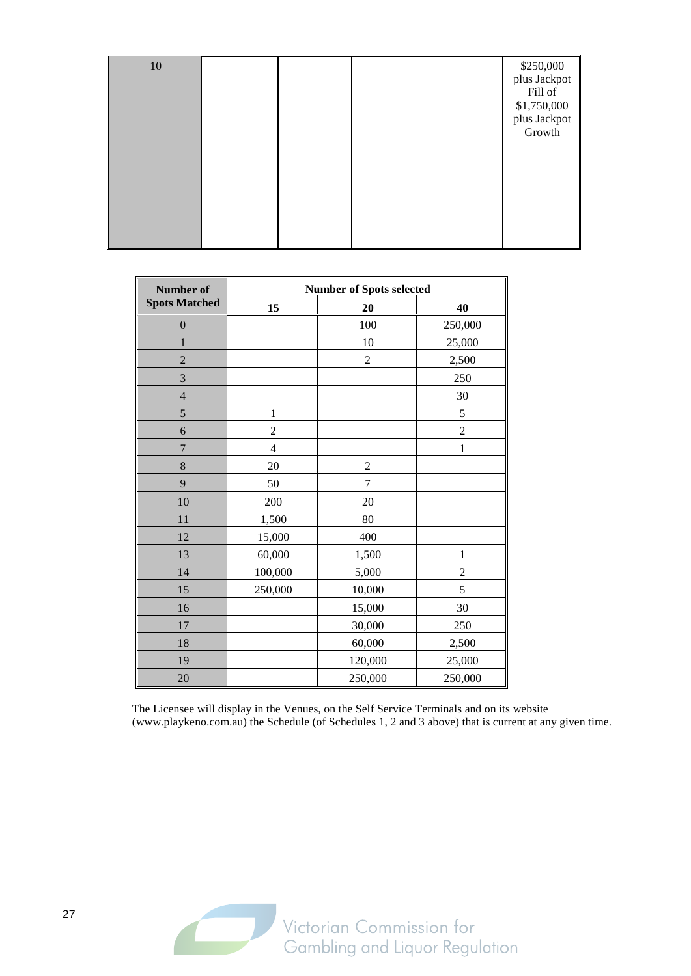| 10 |  |  | \$250,000<br>plus Jackpot<br>Fill of<br>\$1,750,000<br>plus Jackpot<br>Growth |
|----|--|--|-------------------------------------------------------------------------------|
|    |  |  |                                                                               |

| Number of            | <b>Number of Spots selected</b> |                |                |  |  |
|----------------------|---------------------------------|----------------|----------------|--|--|
| <b>Spots Matched</b> | 15                              | 20             | 40             |  |  |
| $\boldsymbol{0}$     |                                 | 100            | 250,000        |  |  |
| 1                    |                                 | 10             | 25,000         |  |  |
| $\overline{2}$       |                                 | $\overline{c}$ | 2,500          |  |  |
| 3                    |                                 |                | 250            |  |  |
| $\overline{4}$       |                                 |                | 30             |  |  |
| 5                    | $\mathbf{1}$                    |                | 5              |  |  |
| 6                    | $\overline{c}$                  |                | $\overline{c}$ |  |  |
| $\overline{7}$       | 4                               |                | 1              |  |  |
| 8                    | 20                              | $\overline{c}$ |                |  |  |
| 9                    | 50                              | $\overline{7}$ |                |  |  |
| 10                   | 200                             | 20             |                |  |  |
| 11                   | 1,500                           | 80             |                |  |  |
| 12                   | 15,000                          | 400            |                |  |  |
| 13                   | 60,000                          | 1,500          | $\mathbf{1}$   |  |  |
| 14                   | 100,000                         | 5,000          | 2              |  |  |
| 15                   | 250,000                         | 10,000         | 5              |  |  |
| 16                   |                                 | 15,000         | 30             |  |  |
| 17                   |                                 | 30,000         | 250            |  |  |
| 18                   |                                 | 60,000         | 2,500          |  |  |
| 19                   |                                 | 120,000        | 25,000         |  |  |
| 20                   |                                 | 250,000        | 250,000        |  |  |

The Licensee will display in the Venues, on the Self Service Terminals and on its website (www.playkeno.com.au) the Schedule (of Schedules 1, 2 and 3 above) that is current at any given time.

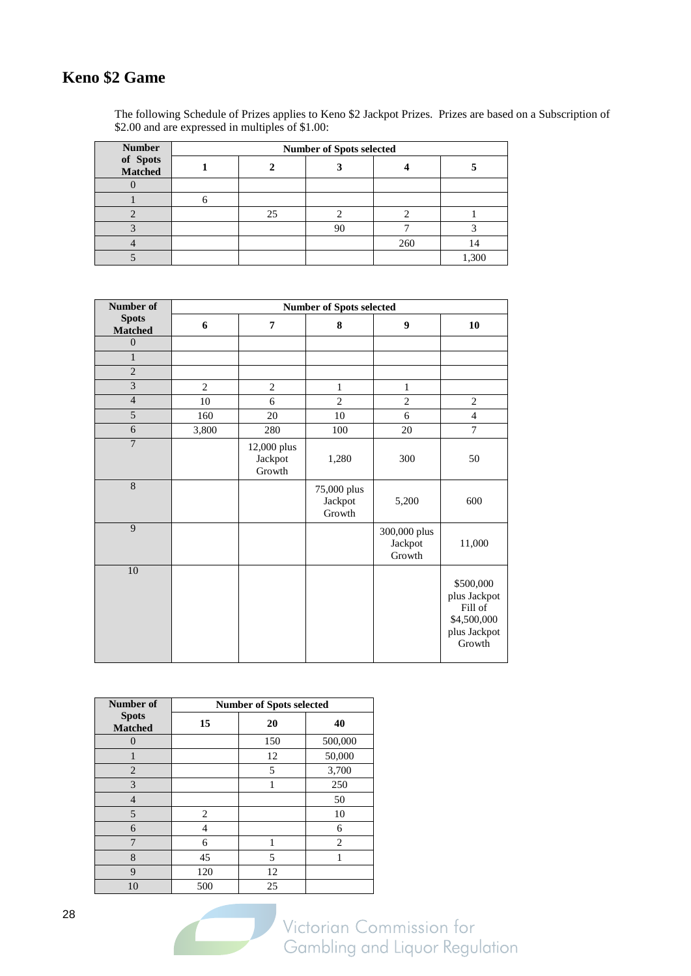## **Keno \$2 Game**

The following Schedule of Prizes applies to Keno \$2 Jackpot Prizes. Prizes are based on a Subscription of \$2.00 and are expressed in multiples of \$1.00:

| <b>Number</b>       |  | <b>Number of Spots selected</b> |    |     |       |
|---------------------|--|---------------------------------|----|-----|-------|
| of Spots<br>Matched |  |                                 |    |     |       |
|                     |  |                                 |    |     |       |
|                     |  |                                 |    |     |       |
|                     |  | 25                              |    |     |       |
|                     |  |                                 | 90 |     |       |
|                     |  |                                 |    | 260 |       |
|                     |  |                                 |    |     | 1,300 |

| Number of                      | <b>Number of Spots selected</b> |                                  |                                  |                                   |                                                                               |  |  |
|--------------------------------|---------------------------------|----------------------------------|----------------------------------|-----------------------------------|-------------------------------------------------------------------------------|--|--|
| <b>Spots</b><br><b>Matched</b> | 6                               | $\overline{7}$                   | 8                                | $\boldsymbol{9}$                  | 10                                                                            |  |  |
| $\overline{0}$                 |                                 |                                  |                                  |                                   |                                                                               |  |  |
| $\mathbf{1}$                   |                                 |                                  |                                  |                                   |                                                                               |  |  |
| $\overline{2}$                 |                                 |                                  |                                  |                                   |                                                                               |  |  |
| $\overline{\mathbf{3}}$        | $\overline{c}$                  | $\mathbf{2}$                     | $\mathbf{1}$                     | $\mathbf{1}$                      |                                                                               |  |  |
| $\overline{4}$                 | 10                              | 6                                | $\overline{2}$                   | $\sqrt{2}$                        | $\sqrt{2}$                                                                    |  |  |
| 5                              | 160                             | 20                               | 10                               | 6                                 | $\overline{4}$                                                                |  |  |
| $\overline{6}$                 | 3,800                           | 280                              | 100                              | 20                                | $\tau$                                                                        |  |  |
| $\overline{7}$                 |                                 | 12,000 plus<br>Jackpot<br>Growth | 1,280                            | 300                               | 50                                                                            |  |  |
| $\overline{8}$                 |                                 |                                  | 75,000 plus<br>Jackpot<br>Growth | 5,200                             | 600                                                                           |  |  |
| 9                              |                                 |                                  |                                  | 300,000 plus<br>Jackpot<br>Growth | 11,000                                                                        |  |  |
| 10                             |                                 |                                  |                                  |                                   | \$500,000<br>plus Jackpot<br>Fill of<br>\$4,500,000<br>plus Jackpot<br>Growth |  |  |

| Number of                      | <b>Number of Spots selected</b> |     |                |  |  |  |
|--------------------------------|---------------------------------|-----|----------------|--|--|--|
| <b>Spots</b><br><b>Matched</b> | 15                              | 20  | 40             |  |  |  |
| $\Omega$                       |                                 | 150 | 500,000        |  |  |  |
|                                |                                 | 12  | 50,000         |  |  |  |
| $\overline{2}$                 |                                 | 5   | 3,700          |  |  |  |
| 3                              |                                 | 1   | 250            |  |  |  |
| 4                              |                                 |     | 50             |  |  |  |
| 5                              | 2                               |     | 10             |  |  |  |
| 6                              | 4                               |     | 6              |  |  |  |
| 7                              | 6                               | 1   | $\overline{c}$ |  |  |  |
| 8                              | 45                              | 5   |                |  |  |  |
| 9                              | 120                             | 12  |                |  |  |  |
| 10                             | 500                             | 25  |                |  |  |  |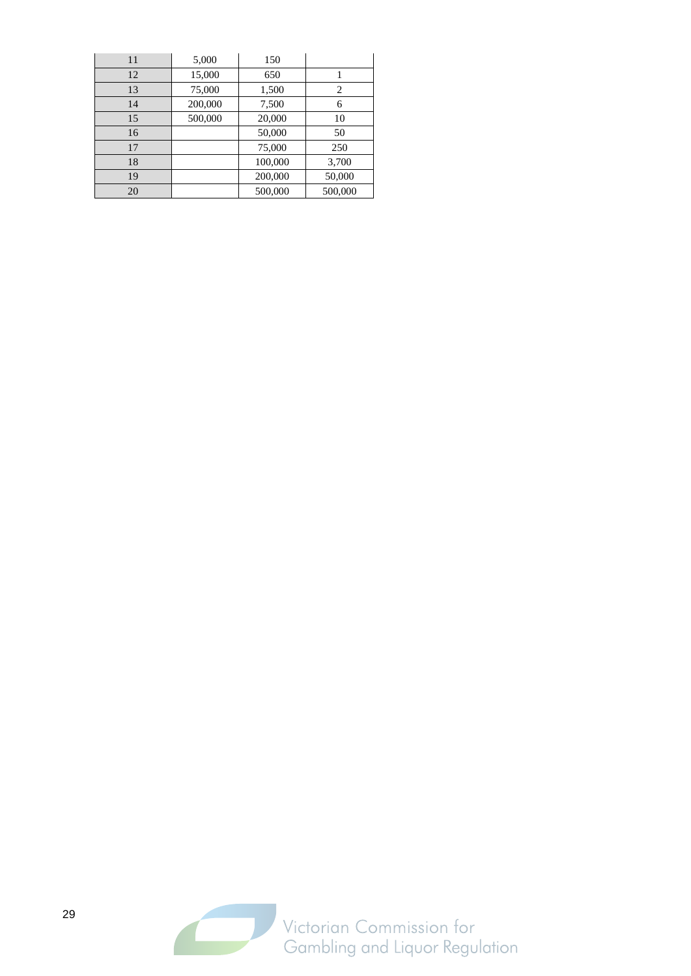| 11 | 5,000   | 150     |         |
|----|---------|---------|---------|
| 12 | 15,000  | 650     |         |
| 13 | 75,000  | 1,500   | 2       |
| 14 | 200,000 | 7,500   | 6       |
| 15 | 500,000 | 20,000  | 10      |
| 16 |         | 50,000  | 50      |
| 17 |         | 75,000  | 250     |
| 18 |         | 100,000 | 3,700   |
| 19 |         | 200,000 | 50,000  |
| 20 |         | 500,000 | 500,000 |

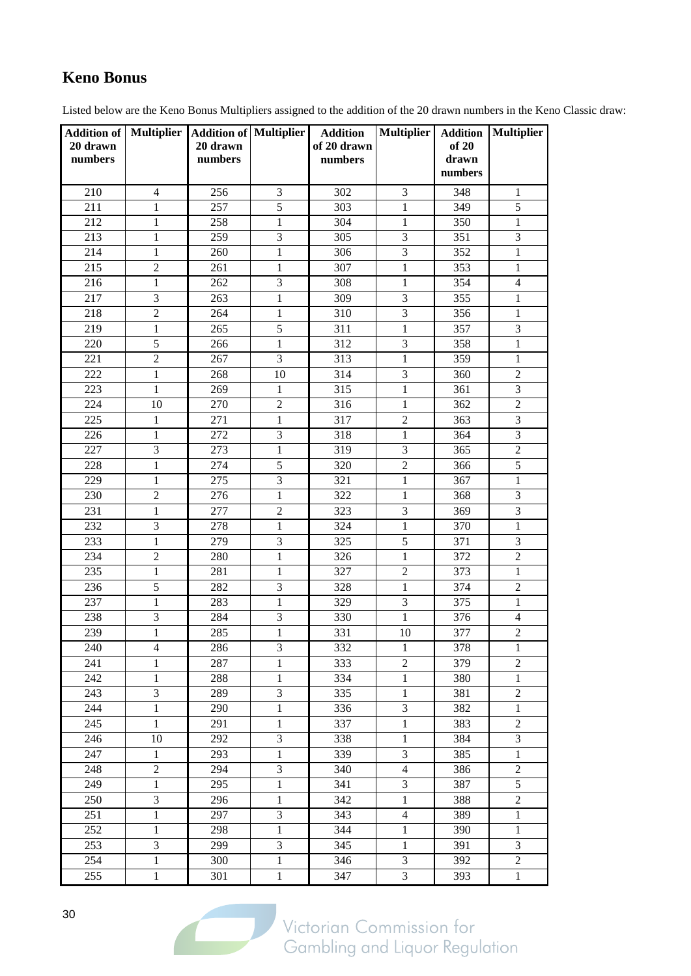## **Keno Bonus**

Listed below are the Keno Bonus Multipliers assigned to the addition of the 20 drawn numbers in the Keno Classic draw:

| 20 drawn<br>numbers |                | Addition of   Multiplier   Addition of   Multiplier<br>20 drawn<br>numbers |                | <b>Addition</b><br>of 20 drawn<br>numbers | <b>Multiplier</b> | <b>Addition</b><br>of 20<br>drawn<br>numbers | Multiplier              |
|---------------------|----------------|----------------------------------------------------------------------------|----------------|-------------------------------------------|-------------------|----------------------------------------------|-------------------------|
| 210                 | 4              | 256                                                                        | 3              | 302                                       | 3                 | 348                                          | 1                       |
| 211                 | 1              | 257                                                                        | $\overline{5}$ | 303                                       | $\mathbf{1}$      | 349                                          | $\overline{5}$          |
| 212                 | 1              | 258                                                                        | 1              | 304                                       | $\mathbf{1}$      | 350                                          | $\mathbf{1}$            |
| 213                 | $\mathbf{1}$   | 259                                                                        | 3              | 305                                       | $\overline{3}$    | 351                                          | $\overline{3}$          |
| 214                 | $\mathbf{1}$   | 260                                                                        | $\mathbf{1}$   | 306                                       | 3                 | 352                                          | $\mathbf{1}$            |
| 215                 | $\overline{c}$ | 261                                                                        | 1              | 307                                       | $\mathbf{1}$      | 353                                          | $\mathbf{1}$            |
| 216                 | $\mathbf{1}$   | 262                                                                        | 3              | 308                                       | 1                 | 354                                          | $\overline{4}$          |
| 217                 | 3              | 263                                                                        | $\mathbf{1}$   | 309                                       | $\overline{3}$    | 355                                          | $\mathbf{1}$            |
| 218                 | $\overline{2}$ | 264                                                                        | $\mathbf{1}$   | 310                                       | 3                 | 356                                          | $\mathbf{1}$            |
| 219                 | $\mathbf{1}$   | 265                                                                        | 5              | 311                                       | $\mathbf{1}$      | 357                                          | 3                       |
| 220                 | $\overline{5}$ | 266                                                                        | $\mathbf{1}$   | 312                                       | 3                 | 358                                          | $\mathbf{1}$            |
| 221                 | $\overline{2}$ | 267                                                                        | 3              | 313                                       | $\mathbf{1}$      | 359                                          | $\mathbf{1}$            |
| 222                 | $\mathbf{1}$   | 268                                                                        | 10             | 314                                       | 3                 | 360                                          | $\overline{2}$          |
| 223                 | $\mathbf{1}$   | 269                                                                        | $\mathbf{1}$   | 315                                       | $\mathbf{1}$      | 361                                          | 3                       |
| 224                 | 10             | 270                                                                        | $\overline{2}$ | 316                                       | $\mathbf{1}$      | 362                                          | $\overline{2}$          |
| 225                 | $\mathbf 1$    | 271                                                                        | $\mathbf{1}$   | 317                                       | $\overline{2}$    | 363                                          | 3                       |
| 226                 | 1              | 272                                                                        | 3              | 318                                       | $\mathbf{1}$      | 364                                          | $\mathfrak{Z}$          |
| 227                 | 3              | 273                                                                        | $\mathbf{1}$   | 319                                       | 3                 | 365                                          | $\overline{2}$          |
| 228                 | 1              | 274                                                                        | 5              | 320                                       | $\overline{2}$    | 366                                          | 5                       |
| 229                 | $\mathbf{1}$   | 275                                                                        | 3              | 321                                       | $\mathbf{1}$      | 367                                          | $\mathbf{1}$            |
| 230                 | $\overline{2}$ | 276                                                                        | 1              | 322                                       | $\mathbf{1}$      | 368                                          | 3                       |
| 231                 | $\mathbf{1}$   | 277                                                                        | $\sqrt{2}$     | 323                                       | 3                 | 369                                          | $\overline{\mathbf{3}}$ |
| 232                 | 3              | 278                                                                        | 1              | 324                                       | $\mathbf{1}$      | 370                                          | $\mathbf{1}$            |
| 233                 | $\mathbf{1}$   | 279                                                                        | 3              | 325                                       | $\overline{5}$    | 371                                          | $\mathfrak{Z}$          |
| 234                 | $\overline{2}$ | 280                                                                        | $\mathbf{1}$   | 326                                       | $\mathbf{1}$      | 372                                          | $\overline{2}$          |
| 235                 | $\mathbf{1}$   | 281                                                                        | $\mathbf{1}$   | 327                                       | $\overline{2}$    | 373                                          | $\mathbf{1}$            |
| 236                 | $\overline{5}$ | 282                                                                        | 3              | 328                                       | $\mathbf{1}$      | 374                                          | $\overline{2}$          |
| 237                 | $\mathbf{1}$   | 283                                                                        | 1              | 329                                       | 3                 | 375                                          | $\mathbf{1}$            |
| 238                 | $\mathfrak{Z}$ | 284                                                                        | $\mathfrak{Z}$ | 330                                       | 1                 | 376                                          | $\overline{4}$          |
| 239                 | $\mathbf{1}$   | 285                                                                        | $\mathbf{1}$   | 331                                       | 10                | 377                                          | $\overline{2}$          |
| 240                 | $\overline{4}$ | 286                                                                        | 3              | 332                                       | $\mathbf{1}$      | 378                                          | $\mathbf{1}$            |
| 241                 | 1              | 287                                                                        | $\mathbf{1}$   | 333                                       | $\overline{2}$    | 379                                          | $\overline{2}$          |
| 242                 | 1              | 288                                                                        | 1              | 334                                       | 1                 | 380                                          | $\mathbf{1}$            |
| 243                 | $\mathfrak{Z}$ | 289                                                                        | $\mathfrak{Z}$ | 335                                       | $\mathbf{1}$      | 381                                          | $\sqrt{2}$              |
| 244                 | 1              | 290                                                                        | $\mathbf{1}$   | 336                                       | $\mathfrak{Z}$    | 382                                          | 1                       |
| 245                 | $\mathbf{1}$   | 291                                                                        | $\mathbf{1}$   | 337                                       | 1                 | 383                                          | $\overline{2}$          |
| 246                 | 10             | 292                                                                        | 3              | 338                                       | 1                 | 384                                          | $\mathfrak{Z}$          |
| 247                 | $\mathbf{1}$   | 293                                                                        | $\mathbf{1}$   | 339                                       | $\mathfrak{Z}$    | 385                                          | $\,1$                   |
| 248                 | $\sqrt{2}$     | 294                                                                        | $\mathfrak{Z}$ | 340                                       | $\overline{4}$    | 386                                          | $\sqrt{2}$              |
| 249                 | $\mathbf{1}$   | 295                                                                        | $\mathbf{1}$   | 341                                       | $\mathfrak{Z}$    | 387                                          | $\sqrt{5}$              |
| 250                 | $\mathfrak{Z}$ | 296                                                                        | 1              | 342                                       | 1                 | 388                                          | $\overline{c}$          |
| 251                 | $\mathbf{1}$   | 297                                                                        | 3              | 343                                       | $\overline{4}$    | 389                                          | $\mathbf{1}$            |
| 252                 | 1              | 298                                                                        | $\mathbf{1}$   | 344                                       | $\mathbf{1}$      | 390                                          | $\mathbf{1}$            |
| 253                 | $\mathfrak{Z}$ | 299                                                                        | $\mathfrak{Z}$ | 345                                       | 1                 | 391                                          | 3                       |
| 254                 | 1              | 300                                                                        | $\mathbf{1}$   | 346                                       | 3                 | 392                                          | $\sqrt{2}$              |
| 255                 | $\mathbf{1}$   | 301                                                                        | $\mathbf{1}$   | 347                                       | 3                 | 393                                          | $\mathbf{1}$            |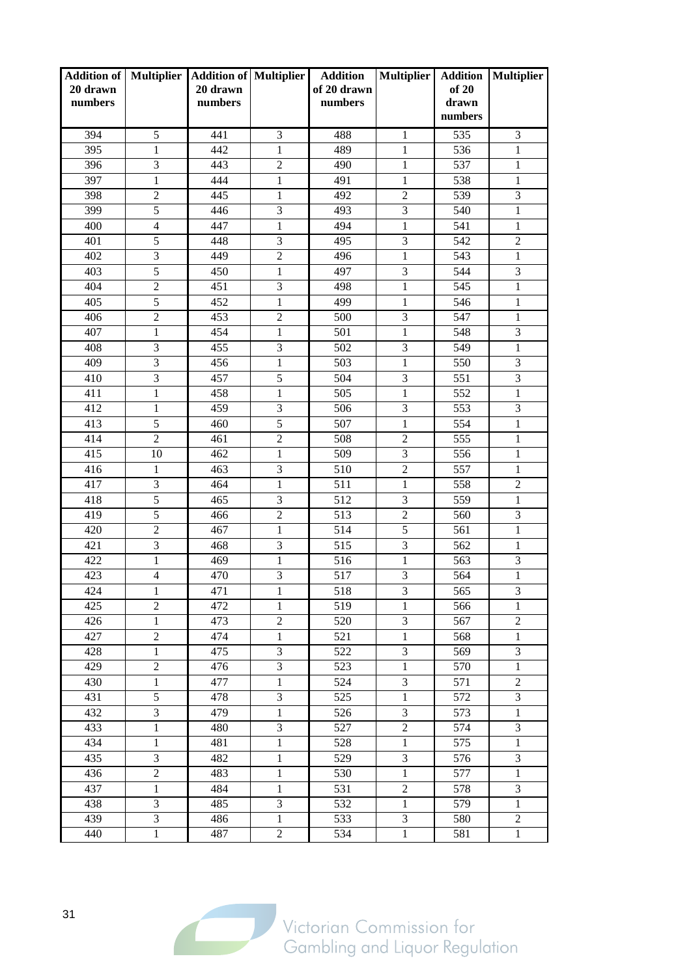| 20 drawn<br>numbers |                         | Addition of   Multiplier   Addition of   Multiplier<br>20 drawn<br>numbers |                | <b>Addition</b><br>of 20 drawn<br>numbers | <b>Multiplier</b> | of 20<br>drawn<br>numbers | <b>Addition   Multiplier</b> |
|---------------------|-------------------------|----------------------------------------------------------------------------|----------------|-------------------------------------------|-------------------|---------------------------|------------------------------|
| 394                 | 5                       | 441                                                                        | 3              | 488                                       | $\mathbf{1}$      | 535                       | 3                            |
| 395                 | 1                       | 442                                                                        | 1              | 489                                       | $\mathbf{1}$      | 536                       | 1                            |
| 396                 | 3                       | 443                                                                        | $\overline{2}$ | 490                                       | $\mathbf{1}$      | 537                       | $\mathbf{1}$                 |
| 397                 | $\mathbf{1}$            | 444                                                                        | 1              | 491                                       | $\mathbf{1}$      | 538                       | $\mathbf{1}$                 |
| 398                 | $\overline{2}$          | 445                                                                        | $\mathbf{1}$   | 492                                       | $\overline{c}$    | 539                       | 3                            |
| 399                 | 5                       | 446                                                                        | 3              | 493                                       | 3                 | 540                       | $\mathbf{1}$                 |
| 400                 | $\overline{4}$          | 447                                                                        | 1              | 494                                       | $\mathbf{1}$      | 541                       | $\mathbf{1}$                 |
| 401                 | 5                       | 448                                                                        | 3              | 495                                       | 3                 | 542                       | $\mathfrak{2}$               |
| 402                 | 3                       | 449                                                                        | $\overline{2}$ | 496                                       | $\mathbf{1}$      | 543                       | $\mathbf{1}$                 |
| 403                 | 5                       | 450                                                                        | $\mathbf{1}$   | 497                                       | 3                 | 544                       | 3                            |
| 404                 | $\overline{2}$          | 451                                                                        | $\overline{3}$ | 498                                       | $\mathbf{1}$      | 545                       | $\mathbf{1}$                 |
| 405                 | $\overline{5}$          | 452                                                                        | $\mathbf{1}$   | 499                                       | $\mathbf{1}$      | 546                       | $\mathbf{1}$                 |
| 406                 | $\overline{2}$          | 453                                                                        | $\overline{2}$ | 500                                       | 3                 | 547                       | $\mathbf{1}$                 |
| 407                 | $\mathbf{1}$            | 454                                                                        | $\mathbf{1}$   | 501                                       | $\mathbf{1}$      | 548                       | 3                            |
| 408                 | $\overline{3}$          | 455                                                                        | 3              | 502                                       | 3                 | 549                       | $\mathbf{1}$                 |
| 409                 | 3                       | 456                                                                        | $\mathbf{1}$   | 503                                       | $\mathbf{1}$      | 550                       | 3                            |
| 410                 | 3                       | 457                                                                        | 5              | 504                                       | 3                 | 551                       | $\overline{3}$               |
| 411                 | $\mathbf{1}$            | 458                                                                        | 1              | 505                                       | $\mathbf{1}$      | 552                       | $\mathbf{1}$                 |
| 412                 | $\mathbf{1}$            | 459                                                                        | 3              | 506                                       | 3                 | 553                       | $\overline{3}$               |
| 413                 | 5                       | 460                                                                        | 5              | 507                                       | $\mathbf{1}$      | 554                       | $\mathbf{1}$                 |
| 414                 | $\overline{2}$          | 461                                                                        | $\overline{c}$ | 508                                       | $\overline{2}$    | 555                       | $\mathbf{1}$                 |
| 415                 | 10                      | 462                                                                        | $\mathbf{1}$   | 509                                       | 3                 | 556                       | $\mathbf{1}$                 |
| 416                 | $\mathbf{1}$            | 463                                                                        | 3              | 510                                       | $\sqrt{2}$        | 557                       | $\mathbf{1}$                 |
| 417                 | 3                       | 464                                                                        | 1              | 511                                       | 1                 | 558                       | $\overline{2}$               |
| 418                 | $\overline{5}$          | 465                                                                        | 3              | 512                                       | 3                 | 559                       | $\mathbf{1}$                 |
| 419                 | 5                       | 466                                                                        | $\overline{2}$ | 513                                       | $\overline{2}$    | 560                       | 3                            |
| 420                 | $\overline{2}$          | 467                                                                        | $\mathbf{1}$   | 514                                       | $\overline{5}$    | 561                       | $\mathbf{1}$                 |
| 421                 | $\mathfrak{Z}$          | 468                                                                        | 3              | 515                                       | 3                 | 562                       | $\mathbf{1}$                 |
| 422                 | $\mathbf{1}$            | 469                                                                        | 1              | 516                                       | $\mathbf{1}$      | 563                       | 3                            |
| 423                 | $\overline{4}$          | 470                                                                        | 3              | 517                                       | 3                 | 564                       | $\mathbf{1}$                 |
| 424                 | $\mathbf{1}$            | 471                                                                        | $\mathbf{1}$   | 518                                       | 3                 | 565                       | 3                            |
| 425                 | $\overline{2}$          | 472                                                                        | 1              | 519                                       | 1                 | 566                       | $\mathbf{1}$                 |
| 426                 | $\mathbf{1}$            | 473                                                                        | $\overline{2}$ | 520                                       | 3                 | 567                       | $\overline{c}$               |
| 427                 | $\overline{c}$          | 474                                                                        | 1              | 521                                       | $\mathbf{1}$      | 568                       | $\,1$                        |
| 428                 | $\mathbf{1}$            | 475                                                                        | 3              | 522                                       | $\mathfrak{Z}$    | 569                       | $\overline{3}$               |
| 429                 | $\overline{2}$          | 476                                                                        | 3              | 523                                       | $\mathbf{1}$      | 570                       | $\mathbf{1}$                 |
| 430                 | $\mathbf{1}$            | 477                                                                        | $\mathbf{1}$   | 524                                       | 3                 | 571                       | $\overline{2}$               |
| 431                 | 5                       | 478                                                                        | 3              | 525                                       | $\mathbf{1}$      | 572                       | 3                            |
| 432                 | $\overline{\mathbf{3}}$ | 479                                                                        | $\,1$          | 526                                       | 3                 | 573                       | $\,1$                        |
| 433                 | $\mathbf{1}$            | 480                                                                        | 3              | 527                                       | $\sqrt{2}$        | 574                       | 3                            |
| 434                 | $\mathbf{1}$            | 481                                                                        | $\mathbf{1}$   | 528                                       | $\mathbf{1}$      | 575                       | $\mathbf{1}$                 |
| 435                 | 3                       | 482                                                                        | 1              | 529                                       | 3                 | 576                       | 3                            |
| 436                 | $\overline{2}$          | 483                                                                        | $\mathbf{1}$   | 530                                       | $\mathbf{1}$      | 577                       | $\mathbf{1}$                 |
| 437                 | $\mathbf{1}$            | 484                                                                        | $\mathbf{1}$   | 531                                       | $\overline{2}$    | 578                       | 3                            |
| 438                 | $\mathfrak{Z}$          | 485                                                                        | 3              | 532                                       | $\mathbf{1}$      | 579                       | $\mathbf{1}$                 |
| 439                 | $\mathfrak{Z}$          | 486                                                                        | $\mathbf{1}$   | 533                                       | 3                 | 580                       | $\boldsymbol{2}$             |
| 440                 | $\mathbf{1}$            | 487                                                                        | $\overline{2}$ | 534                                       | $\mathbf{1}$      | 581                       | $\mathbf{1}$                 |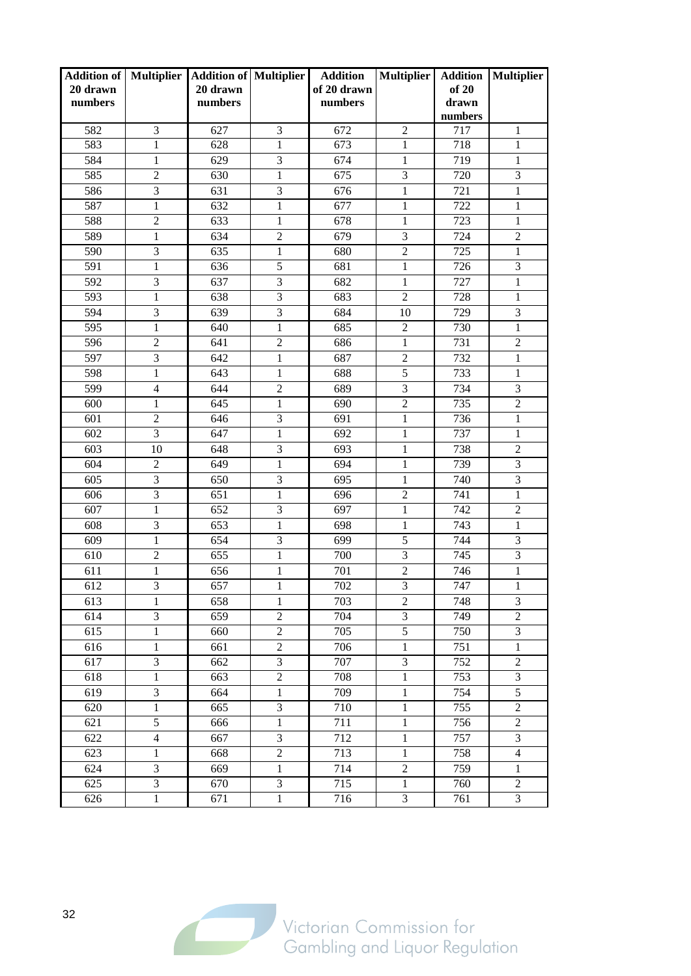| <b>Addition of Multiplier</b><br>20 drawn<br>numbers |                             | <b>Addition of Multiplier</b><br>20 drawn<br>numbers |                | <b>Addition</b><br>of 20 drawn<br>numbers | <b>Multiplier</b>           | <b>Addition</b><br>of 20<br>drawn<br>numbers | Multiplier       |
|------------------------------------------------------|-----------------------------|------------------------------------------------------|----------------|-------------------------------------------|-----------------------------|----------------------------------------------|------------------|
| 582                                                  | 3                           | 627                                                  | 3              | 672                                       | $\overline{2}$              | 717                                          | 1                |
| 583                                                  | 1                           | 628                                                  | 1              | 673                                       | $\mathbf{1}$                | 718                                          | 1                |
| 584                                                  | $\mathbf{1}$                | 629                                                  | 3              | 674                                       | 1                           | 719                                          | $\mathbf{1}$     |
| 585                                                  | $\overline{2}$              | 630                                                  | 1              | 675                                       | 3                           | 720                                          | 3                |
| 586                                                  | 3                           | 631                                                  | 3              | 676                                       | $\mathbf{1}$                | 721                                          | $\mathbf{1}$     |
| 587                                                  | $\mathbf{1}$                | 632                                                  | 1              | 677                                       | 1                           | 722                                          | $\mathbf{1}$     |
| 588                                                  | $\overline{2}$              | 633                                                  | $\mathbf{1}$   | 678                                       | $\mathbf{1}$                | 723                                          | $\mathbf{1}$     |
| 589                                                  | $\mathbf{1}$                | 634                                                  | $\overline{2}$ | 679                                       | 3                           | 724                                          | $\overline{2}$   |
| 590                                                  | $\overline{3}$              | 635                                                  | $\mathbf{1}$   | 680                                       | $\overline{2}$              | 725                                          | $\mathbf{1}$     |
| 591                                                  | $\mathbf{1}$                | 636                                                  | 5              | 681                                       | $\mathbf{1}$                | 726                                          | 3                |
| 592                                                  | 3                           | 637                                                  | 3              | 682                                       | 1                           | 727                                          | $\mathbf{1}$     |
| 593                                                  | 1                           | 638                                                  | 3              | 683                                       | $\overline{2}$              | 728                                          | 1                |
| 594                                                  | 3                           | 639                                                  | 3              | 684                                       | 10                          | 729                                          | 3                |
| 595                                                  | $\mathbf{1}$                | 640                                                  | 1              | 685                                       | $\overline{2}$              | 730                                          | $\mathbf{1}$     |
| 596                                                  | $\overline{2}$              | 641                                                  | $\overline{2}$ | 686                                       | $\mathbf{1}$                | 731                                          | $\overline{2}$   |
| 597                                                  | 3                           | 642                                                  | 1              | 687                                       | $\boldsymbol{2}$            | 732                                          | $\mathbf{1}$     |
| 598                                                  | $\mathbf{1}$                | 643                                                  | 1              | 688                                       | $\overline{5}$              | 733                                          | $\mathbf{1}$     |
| 599                                                  | $\overline{4}$              | 644                                                  | $\overline{2}$ | 689                                       | 3                           | 734                                          | 3                |
| 600                                                  | $\mathbf{1}$                | 645                                                  | $\mathbf{1}$   | 690                                       | $\overline{2}$              | 735                                          | $\overline{2}$   |
| 601                                                  | $\overline{2}$              | 646                                                  | 3              | 691                                       | $\mathbf{1}$                | 736                                          | $\mathbf{1}$     |
| 602                                                  | 3                           | 647                                                  | 1              | 692                                       | $\mathbf{1}$                | 737                                          | $\mathbf{1}$     |
| 603                                                  | 10                          | 648                                                  | 3              | 693                                       | 1                           | 738                                          | $\overline{2}$   |
| 604                                                  | $\overline{2}$              | 649                                                  | $\mathbf{1}$   | 694                                       | $\mathbf{1}$                | 739                                          | $\overline{3}$   |
| 605                                                  | 3                           | 650                                                  | 3              | 695                                       | $\mathbf{1}$                | 740                                          | 3                |
| 606                                                  | $\overline{3}$              | 651                                                  | 1              | 696                                       | $\overline{2}$              | 741                                          | $\mathbf{1}$     |
| 607                                                  | $\mathbf{1}$                | 652                                                  | 3              | 697                                       | $\mathbf{1}$                | 742                                          | $\overline{2}$   |
| 608                                                  | $\mathfrak{Z}$              | 653                                                  | $\mathbf{1}$   | 698                                       | $\mathbf{1}$                | 743                                          | $\mathbf{1}$     |
| 609                                                  | $\mathbf{1}$                | 654                                                  | 3              | 699                                       | 5                           | 744                                          | 3                |
| 610                                                  | $\overline{2}$              | 655                                                  | $\mathbf{1}$   | 700                                       | 3                           | 745                                          | $\overline{3}$   |
| 611                                                  | 1                           | 656                                                  | 1              | 701                                       | $\overline{2}$              | 746                                          | $\mathbf{1}$     |
| 612                                                  | $\mathfrak{Z}$              | 657                                                  | $\mathbf{1}$   | 702                                       | $\overline{3}$              | 747                                          | $\,1$            |
| 613                                                  | 1                           | 658                                                  | 1              | 703                                       | $\sqrt{2}$                  | 748                                          | 3                |
| 614                                                  | $\mathfrak{Z}$              | 659                                                  | $\overline{c}$ | 704                                       | 3                           | 749                                          | $\overline{c}$   |
| 615                                                  | $\,1\,$                     | 660                                                  | $\overline{2}$ | 705                                       | $\overline{5}$              | 750                                          | 3                |
| 616                                                  | $\mathbf{1}$                | 661                                                  | $\overline{2}$ | 706                                       | $\mathbf{1}$                | 751                                          | $\mathbf{1}$     |
| 617                                                  | $\mathfrak{Z}$              | 662                                                  | 3              | 707                                       | $\ensuremath{\mathfrak{Z}}$ | 752                                          | $\overline{2}$   |
| 618                                                  | $\mathbf{1}$                | 663                                                  | $\overline{2}$ | 708                                       | $\,1$                       | 753                                          | $\overline{3}$   |
| 619                                                  | $\ensuremath{\mathfrak{Z}}$ | 664                                                  | 1              | 709                                       | $\mathbf{1}$                | 754                                          | $\overline{5}$   |
| 620                                                  | $\mathbf{1}$                | 665                                                  | 3              | 710                                       | $\,1$                       | 755                                          | $\overline{c}$   |
| 621                                                  | $\mathfrak s$               | 666                                                  | 1              | 711                                       | $\,1$                       | 756                                          | $\overline{c}$   |
| 622                                                  | $\overline{4}$              | 667                                                  | 3              | 712                                       | $\mathbf{1}$                | 757                                          | $\overline{3}$   |
| 623                                                  | $\mathbf{1}$                | 668                                                  | $\overline{c}$ | 713                                       | $\mathbf{1}$                | 758                                          | $\overline{4}$   |
| 624                                                  | $\mathfrak{Z}$              | 669                                                  | 1              | 714                                       | $\sqrt{2}$                  | 759                                          | $\mathbf{1}$     |
| 625                                                  | $\mathfrak{Z}$              | 670                                                  | 3              | 715                                       | $\mathbf{1}$                | 760                                          | $\boldsymbol{2}$ |
| 626                                                  | $\mathbf{1}$                | 671                                                  | $\mathbf{1}$   | 716                                       | $\overline{3}$              | 761                                          | $\overline{3}$   |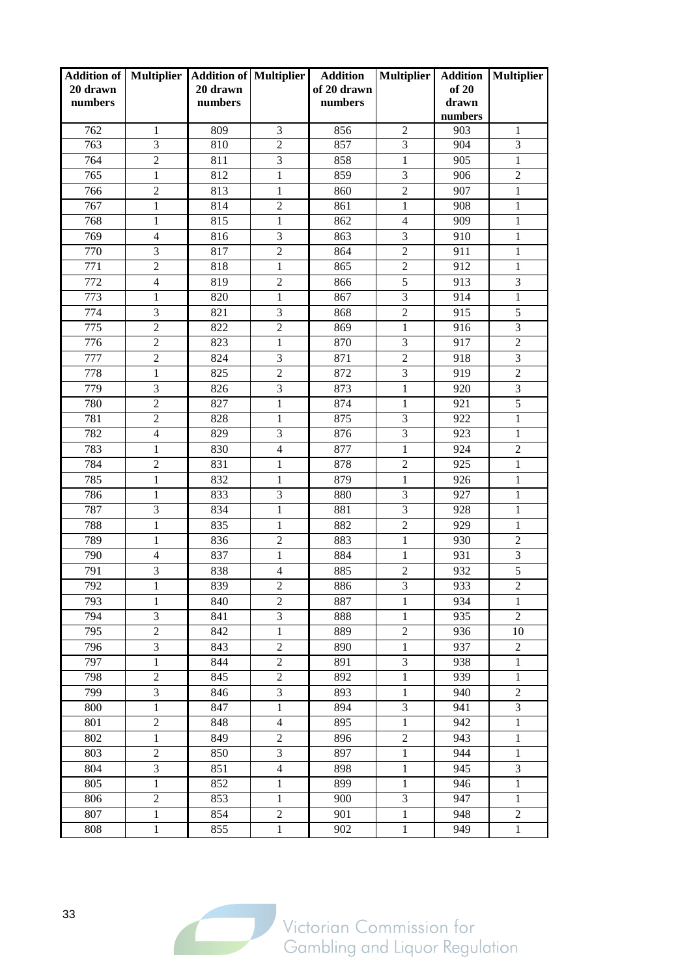| <b>Addition of   Multiplier</b><br>20 drawn<br>numbers |                | <b>Addition of Multiplier</b><br>20 drawn<br>numbers |                | <b>Addition</b><br>of 20 drawn<br>numbers | <b>Multiplier</b>       | <b>Addition</b><br>of 20<br>drawn<br>numbers | Multiplier       |
|--------------------------------------------------------|----------------|------------------------------------------------------|----------------|-------------------------------------------|-------------------------|----------------------------------------------|------------------|
| 762                                                    | 1              | 809                                                  | 3              | 856                                       | $\overline{2}$          | 903                                          | 1                |
| 763                                                    | 3              | 810                                                  | $\overline{2}$ | 857                                       | 3                       | 904                                          | 3                |
| 764                                                    | $\overline{2}$ | 811                                                  | 3              | 858                                       | $\mathbf{1}$            | 905                                          | $\mathbf{1}$     |
| 765                                                    | $\mathbf{1}$   | 812                                                  | $\mathbf{1}$   | 859                                       | 3                       | 906                                          | $\overline{2}$   |
| 766                                                    | $\overline{2}$ | 813                                                  | $\mathbf{1}$   | 860                                       | $\overline{c}$          | 907                                          | $\mathbf{1}$     |
| 767                                                    | 1              | 814                                                  | $\overline{2}$ | 861                                       | 1                       | 908                                          | $\mathbf{1}$     |
| 768                                                    | $\mathbf{1}$   | 815                                                  | $\mathbf{1}$   | 862                                       | $\overline{4}$          | 909                                          | $\mathbf{1}$     |
| 769                                                    | $\overline{4}$ | 816                                                  | 3              | 863                                       | 3                       | 910                                          | $\,1\,$          |
| 770                                                    | $\overline{3}$ | 817                                                  | $\overline{2}$ | 864                                       | $\overline{2}$          | 911                                          | $\mathbf{1}$     |
| 771                                                    | $\overline{2}$ | 818                                                  | $\mathbf{1}$   | 865                                       | $\overline{2}$          | 912                                          | $\mathbf{1}$     |
| 772                                                    | $\overline{4}$ | 819                                                  | $\overline{2}$ | 866                                       | $\overline{5}$          | 913                                          | 3                |
| 773                                                    | 1              | 820                                                  | $\mathbf{1}$   | 867                                       | 3                       | 914                                          | $\mathbf{1}$     |
| 774                                                    | 3              | 821                                                  | 3              | 868                                       | $\overline{2}$          | 915                                          | 5                |
| 775                                                    | $\overline{2}$ | 822                                                  | $\overline{2}$ | 869                                       | $\mathbf{1}$            | 916                                          | 3                |
| 776                                                    | $\overline{2}$ | 823                                                  | $\mathbf{1}$   | 870                                       | 3                       | 917                                          | $\overline{2}$   |
| 777                                                    | $\overline{2}$ | 824                                                  | 3              | 871                                       | $\overline{2}$          | 918                                          | 3                |
| 778                                                    | $\mathbf{1}$   | 825                                                  | $\overline{2}$ | 872                                       | 3                       | 919                                          | $\overline{2}$   |
| 779                                                    | 3              | 826                                                  | 3              | 873                                       | $\mathbf{1}$            | 920                                          | 3                |
| 780                                                    | $\overline{2}$ | 827                                                  | $\mathbf{1}$   | 874                                       | $\mathbf{1}$            | 921                                          | $\overline{5}$   |
| 781                                                    | $\overline{2}$ | 828                                                  | 1              | 875                                       | 3                       | 922                                          | $\mathbf{1}$     |
| 782                                                    | $\overline{4}$ | 829                                                  | 3              | 876                                       | 3                       | 923                                          | $\mathbf{1}$     |
| 783                                                    | 1              | 830                                                  | $\overline{4}$ | 877                                       | $\mathbf{1}$            | 924                                          | $\overline{c}$   |
| 784                                                    | $\overline{2}$ | 831                                                  | $\mathbf{1}$   | 878                                       | $\overline{c}$          | 925                                          | $\mathbf{1}$     |
| 785                                                    | $\mathbf{1}$   | 832                                                  | $\mathbf{1}$   | 879                                       | $\mathbf{1}$            | 926                                          | $\mathbf{1}$     |
| 786                                                    | $\mathbf{1}$   | 833                                                  | 3              | 880                                       | 3                       | 927                                          | $\mathbf{1}$     |
| 787                                                    | 3              | 834                                                  | $\mathbf{1}$   | 881                                       | 3                       | 928                                          | $\mathbf{1}$     |
| 788                                                    | $\mathbf{1}$   | 835                                                  | $\mathbf{1}$   | 882                                       | $\overline{2}$          | 929                                          | $\mathbf{1}$     |
| 789                                                    | 1              | 836                                                  | $\mathfrak{2}$ | 883                                       | $\mathbf{1}$            | 930                                          | $\overline{2}$   |
| 790                                                    | $\overline{4}$ | 837                                                  | $\mathbf{1}$   | 884                                       | $\mathbf{1}$            | 931                                          | 3                |
| 791                                                    | 3              | 838                                                  | $\overline{4}$ | 885                                       | $\overline{2}$          | 932                                          | 5                |
| 792                                                    | $\mathbf{1}$   | 839                                                  | $\overline{2}$ | 886                                       | $\overline{\mathbf{3}}$ | 933                                          | $\overline{2}$   |
| 793                                                    | 1              | 840                                                  | $\mathfrak{2}$ | 887                                       | 1                       | 934                                          | 1                |
| 794                                                    | $\mathfrak{Z}$ | 841                                                  | 3              | 888                                       | 1                       | 935                                          | $\overline{2}$   |
| 795                                                    | $\mathbf{2}$   | 842                                                  | $\,1$          | 889                                       | $\overline{c}$          | 936                                          | 10               |
| 796                                                    | $\overline{3}$ | 843                                                  | $\overline{2}$ | 890                                       | $\mathbf{1}$            | 937                                          | $\overline{2}$   |
| 797                                                    | $\mathbf{1}$   | 844                                                  | $\overline{2}$ | 891                                       | 3                       | 938                                          | $\,1$            |
| 798                                                    | $\overline{2}$ | 845                                                  | $\overline{2}$ | 892                                       | $\,1$                   | 939                                          | $\mathbf{1}$     |
| 799                                                    | $\mathfrak{Z}$ | 846                                                  | 3              | 893                                       | $\mathbf{1}$            | 940                                          | $\boldsymbol{2}$ |
| 800                                                    | $\mathbf{1}$   | 847                                                  | $\,1$          | 894                                       | $\mathfrak{Z}$          | 941                                          | $\mathfrak{Z}$   |
| 801                                                    | $\overline{2}$ | 848                                                  | $\overline{4}$ | 895                                       | $\mathbf{1}$            | 942                                          | $\mathbf{1}$     |
| 802                                                    | $\mathbf{1}$   | 849                                                  | $\overline{2}$ | 896                                       | $\overline{2}$          | 943                                          | $\mathbf{1}$     |
| 803                                                    | $\overline{2}$ | 850                                                  | 3              | 897                                       | $\,1$                   | 944                                          | $\mathbf{1}$     |
| 804                                                    | $\mathfrak{Z}$ | 851                                                  | $\overline{4}$ | 898                                       | $\mathbf{1}$            | 945                                          | $\mathfrak{Z}$   |
| 805                                                    | 1              | 852                                                  | 1              | 899                                       | 1                       | 946                                          | $\mathbf{1}$     |
| 806                                                    | $\overline{2}$ | 853                                                  | $\mathbf{1}$   | 900                                       | 3                       | 947                                          | $\mathbf{1}$     |
| 807                                                    | $\mathbf{1}$   | 854                                                  | $\overline{c}$ | 901                                       | $\mathbf{1}$            | 948                                          | $\overline{2}$   |
| 808                                                    | $\mathbf{1}$   | 855                                                  | $\mathbf{1}$   | 902                                       | $\,1$                   | 949                                          | $\mathbf{1}$     |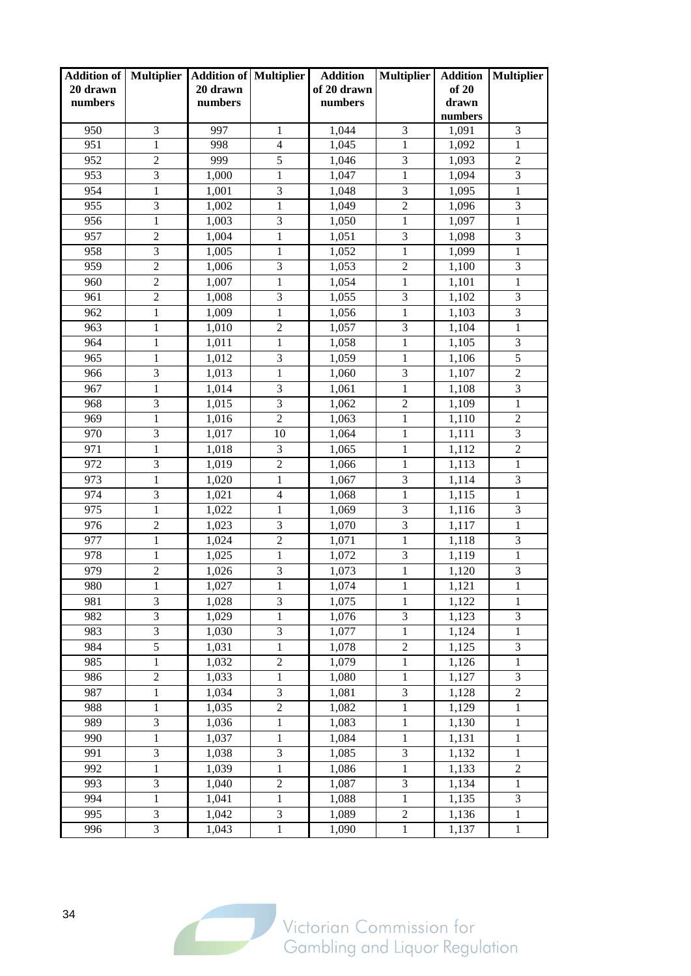| <b>Addition of Multiplier</b><br>20 drawn<br>numbers |                | <b>Addition of Multiplier</b><br>20 drawn<br>numbers |                  | <b>Addition</b><br>of 20 drawn<br>numbers | <b>Multiplier</b> | <b>Addition</b><br>of 20<br>drawn | Multiplier       |
|------------------------------------------------------|----------------|------------------------------------------------------|------------------|-------------------------------------------|-------------------|-----------------------------------|------------------|
|                                                      |                |                                                      |                  |                                           |                   | numbers                           |                  |
| 950                                                  | 3              | 997                                                  | 1                | 1,044                                     | 3                 | 1,091                             | 3                |
| 951                                                  | $\mathbf{1}$   | 998                                                  | $\overline{4}$   | 1,045                                     | 1                 | 1,092                             | $\mathbf{1}$     |
| 952                                                  | $\overline{2}$ | 999                                                  | $\overline{5}$   | 1,046                                     | 3                 | 1,093                             | $\overline{2}$   |
| 953                                                  | 3              | 1,000                                                | 1                | 1,047                                     | 1                 | 1,094                             | 3                |
| 954                                                  | $\mathbf{1}$   | 1,001                                                | 3                | 1,048                                     | 3                 | 1,095                             | $\mathbf{1}$     |
| 955                                                  | $\mathfrak{Z}$ | 1,002                                                | 1                | 1,049                                     | $\overline{2}$    | 1,096                             | 3                |
| 956                                                  | $\mathbf{1}$   | 1,003                                                | 3                | 1,050                                     | $\mathbf{1}$      | 1,097                             | $\mathbf{1}$     |
| 957                                                  | $\overline{2}$ | 1,004                                                | $\mathbf{1}$     | 1,051                                     | 3                 | 1,098                             | 3                |
| 958                                                  | $\overline{3}$ | 1,005                                                | $\mathbf{1}$     | 1,052                                     | $\mathbf{1}$      | 1,099                             | $\mathbf{1}$     |
| 959                                                  | $\overline{2}$ | 1,006                                                | 3                | 1,053                                     | $\overline{2}$    | 1,100                             | 3                |
| 960                                                  | $\overline{2}$ | 1,007                                                | $\mathbf{1}$     | 1,054                                     | $\mathbf 1$       | 1,101                             | $\mathbf{1}$     |
| 961                                                  | $\mathfrak{2}$ | 1,008                                                | 3                | 1,055                                     | 3                 | 1,102                             | $\mathfrak{Z}$   |
| 962                                                  | $\mathbf{1}$   | 1,009                                                | $\mathbf{1}$     | 1,056                                     | $\mathbf{1}$      | 1,103                             | $\overline{3}$   |
| 963                                                  | 1              | 1,010                                                | $\overline{2}$   | 1,057                                     | 3                 | 1,104                             | $\mathbf{1}$     |
| 964                                                  | $\mathbf{1}$   | 1,011                                                | $\mathbf{1}$     | 1,058                                     | $\mathbf{1}$      | 1,105                             | 3                |
| 965                                                  | 1              | 1,012                                                | 3                | 1,059                                     | 1                 | 1,106                             | $\overline{5}$   |
| 966                                                  | 3              | 1,013                                                | $\mathbf{1}$     | 1,060                                     | 3                 | 1,107                             | $\overline{2}$   |
| 967                                                  | $\mathbf{1}$   | 1,014                                                | 3                | 1,061                                     | $\mathbf 1$       | 1,108                             | 3                |
| 968                                                  | $\overline{3}$ | 1,015                                                | $\overline{3}$   | 1,062                                     | $\overline{2}$    | 1,109                             | $\mathbf{1}$     |
| 969                                                  | $\mathbf{1}$   | 1,016                                                | $\overline{2}$   | 1,063                                     | $\mathbf{1}$      | 1,110                             | $\overline{2}$   |
| 970                                                  | $\mathfrak{Z}$ | 1,017                                                | 10               | 1,064                                     | 1                 | 1,111                             | $\overline{3}$   |
| 971                                                  | 1              | 1,018                                                | 3                | 1,065                                     | 1                 | 1,112                             | $\mathfrak 2$    |
| 972                                                  | 3              | 1,019                                                | $\overline{c}$   | 1,066                                     | $\mathbf 1$       | 1,113                             | $\mathbf{1}$     |
| 973                                                  | $\mathbf{1}$   | 1,020                                                | $\mathbf{1}$     | 1,067                                     | 3                 | 1,114                             | 3                |
| 974                                                  | $\overline{3}$ | 1,021                                                | $\overline{4}$   | 1,068                                     | $\mathbf{1}$      | 1,115                             | $\mathbf{1}$     |
| 975                                                  | $\mathbf{1}$   | 1,022                                                | $\mathbf{1}$     | 1,069                                     | 3                 | 1,116                             | 3                |
| 976                                                  | $\overline{c}$ | 1,023                                                | 3                | 1,070                                     | $\overline{3}$    | 1,117                             | $\mathbf{1}$     |
| 977                                                  | 1              | 1,024                                                | $\mathfrak{2}$   | 1,071                                     | 1                 | 1,118                             | 3                |
| 978                                                  | $\mathbf{1}$   | 1,025                                                | $\mathbf{1}$     | 1,072                                     | 3                 | 1,119                             | $\mathbf{1}$     |
| 979                                                  | $\overline{2}$ | 1,026                                                | 3                | 1,073                                     | 1                 | 1,120                             | 3                |
| 980                                                  | $\mathbf{1}$   | 1,027                                                | $\,1$            | 1,074                                     | $\mathbf{1}$      | 1,121                             | $\mathbf 1$      |
| 981                                                  | 3              | 1,028                                                | 3                | 1,075                                     | 1                 | 1,122                             | 1                |
| 982                                                  | $\mathfrak{Z}$ | 1,029                                                | 1                | 1,076                                     | $\mathfrak{Z}$    | 1,123                             | 3                |
| 983                                                  | $\mathfrak{Z}$ | 1,030                                                | 3                | 1,077                                     | $\mathbf{1}$      | 1,124                             | $\mathbf{1}$     |
| 984                                                  | $\overline{5}$ | 1,031                                                | $\mathbf{1}$     | 1,078                                     | $\overline{2}$    | 1,125                             | 3                |
| 985                                                  | 1              | 1,032                                                | $\boldsymbol{2}$ | 1,079                                     | $\mathbf{1}$      | 1,126                             | $\mathbf{1}$     |
| 986                                                  | $\overline{2}$ | 1,033                                                | $\mathbf{1}$     | 1,080                                     | $\mathbf{1}$      | 1,127                             | 3                |
| 987                                                  | 1              | 1,034                                                | 3                | 1,081                                     | $\mathfrak{Z}$    | 1,128                             | $\boldsymbol{2}$ |
| 988                                                  | 1              | 1,035                                                | $\overline{c}$   | 1,082                                     | $\mathbf{1}$      | 1,129                             | $\mathbf{1}$     |
| 989                                                  | $\mathfrak{Z}$ | 1,036                                                | $\,1\,$          | 1,083                                     | $\mathbf{1}$      | 1,130                             | $\mathbf{1}$     |
| 990                                                  | $\mathbf{1}$   | 1,037                                                | $\mathbf{1}$     | 1,084                                     | $\mathbf{1}$      | 1,131                             | $\mathbf{1}$     |
| 991                                                  | $\mathfrak{Z}$ | 1,038                                                | 3                | 1,085                                     | $\mathfrak{Z}$    | 1,132                             | 1                |
| 992                                                  | $\mathbf{1}$   | 1,039                                                | $\mathbf{1}$     | 1,086                                     | 1                 | 1,133                             | $\overline{c}$   |
| 993                                                  | $\mathfrak{Z}$ | 1,040                                                | $\mathfrak{2}$   | 1,087                                     | 3                 | 1,134                             | 1                |
| 994                                                  | $\mathbf{1}$   | 1,041                                                | $\mathbf{1}$     | 1,088                                     | 1                 | 1,135                             | 3                |
| 995                                                  | 3              | 1,042                                                | 3                | 1,089                                     | $\sqrt{2}$        | 1,136                             | $\mathbf{1}$     |
| 996                                                  | 3              | 1,043                                                | $\mathbf{1}$     | 1,090                                     | $\mathbf{1}$      | 1,137                             | $\mathbf{1}$     |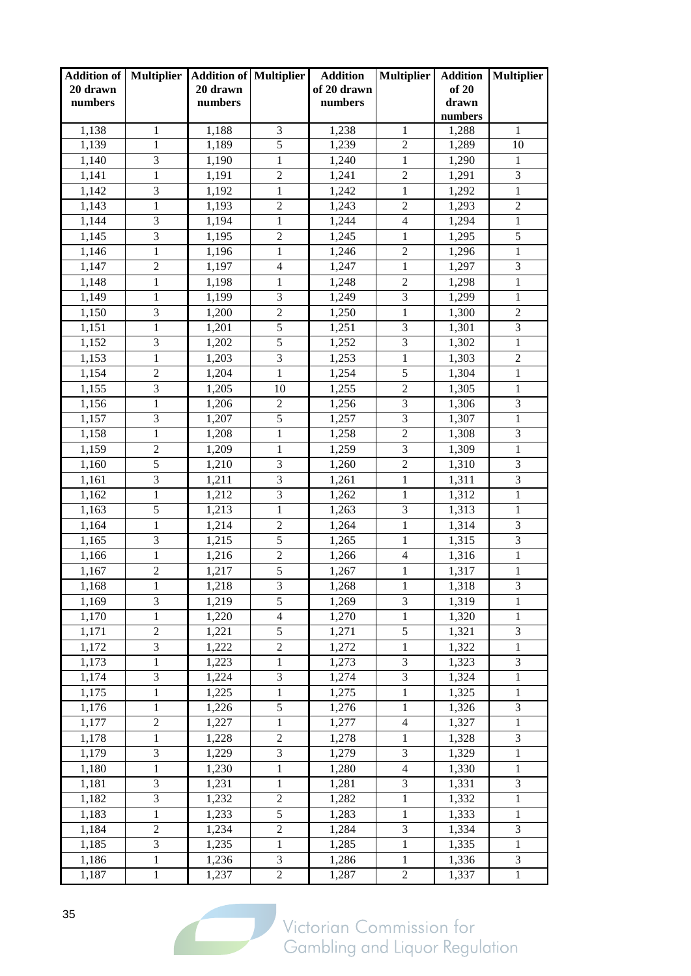| <b>Addition of   Multiplier</b><br>20 drawn |                  | <b>Addition of Multiplier</b><br>20 drawn |                  | <b>Addition</b><br>of 20 drawn | <b>Multiplier</b>       | <b>Addition</b><br>of 20 | <b>Multiplier</b>           |
|---------------------------------------------|------------------|-------------------------------------------|------------------|--------------------------------|-------------------------|--------------------------|-----------------------------|
| numbers                                     |                  | numbers                                   |                  | numbers                        |                         | drawn                    |                             |
|                                             |                  |                                           |                  |                                |                         | numbers                  |                             |
| 1,138                                       | 1                | 1,188                                     | 3                | 1,238                          | 1                       | 1,288                    | 1                           |
| 1,139                                       | 1                | 1,189                                     | $\overline{5}$   | 1,239                          | $\overline{2}$          | 1,289                    | 10                          |
| 1,140                                       | 3                | 1,190                                     | $\mathbf{1}$     | 1,240                          | $\mathbf{1}$            | 1,290                    | $\mathbf{1}$                |
| 1,141                                       | $\mathbf{1}$     | 1,191                                     | $\overline{2}$   | 1,241                          | $\overline{2}$          | 1,291                    | $\overline{3}$              |
| 1,142                                       | 3                | 1,192                                     | $\mathbf{1}$     | 1,242                          | $\mathbf{1}$            | 1,292                    | $\mathbf{1}$                |
| 1,143                                       | $\mathbf{1}$     | 1,193                                     | $\overline{2}$   | 1,243                          | $\sqrt{2}$              | 1,293                    | $\overline{c}$              |
| 1,144                                       | 3                | 1,194                                     | 1                | 1,244                          | $\overline{4}$          | 1,294                    | $\mathbf{1}$                |
| 1,145                                       | 3                | 1,195                                     | $\overline{2}$   | 1,245                          | $\mathbf{1}$            | 1,295                    | 5                           |
| 1,146                                       | $\mathbf{1}$     | 1,196                                     | $\mathbf{1}$     | 1,246                          | $\overline{2}$          | 1,296                    | $\mathbf{1}$                |
| 1,147                                       | $\overline{2}$   | 1,197                                     | $\overline{4}$   | 1,247                          | $\mathbf{1}$            | 1,297                    | 3                           |
| 1,148                                       | 1                | 1,198                                     | 1                | 1,248                          | $\sqrt{2}$              | 1,298                    | $\mathbf{1}$                |
| 1,149                                       | $\mathbf{1}$     | 1,199                                     | 3                | 1,249                          | 3                       | 1,299                    | $\mathbf{1}$                |
| 1,150                                       | 3                | 1,200                                     | $\overline{2}$   | 1,250                          | $\mathbf{1}$            | 1,300                    | $\overline{2}$              |
| 1,151                                       | $\mathbf{1}$     | 1,201                                     | $\overline{5}$   | 1,251                          | 3                       | 1,301                    | 3                           |
| 1,152                                       | 3                | 1,202                                     | 5                | 1,252                          | 3                       | 1,302                    | 1                           |
| 1,153                                       | $\mathbf{1}$     | 1,203                                     | 3                | 1,253                          | $\,1$                   | 1,303                    | $\overline{c}$              |
| 1,154                                       | $\mathfrak{2}$   | 1,204                                     | 1                | 1,254                          | 5                       | 1,304                    | $\mathbf{1}$                |
| 1,155                                       | $\overline{3}$   | 1,205                                     | 10               | 1,255                          | $\overline{2}$          | 1,305                    | $\mathbf{1}$                |
| 1,156                                       | $\mathbf{1}$     | 1,206                                     | $\overline{2}$   | 1,256                          | 3                       | 1,306                    | 3                           |
| 1,157                                       | $\overline{3}$   | 1,207                                     | $\overline{5}$   | 1,257                          | $\overline{\mathbf{3}}$ | 1,307                    | $\mathbf{1}$                |
| 1,158                                       | $\mathbf{1}$     | 1,208                                     | $\mathbf{1}$     | 1,258                          | $\overline{2}$          | 1,308                    | 3                           |
| 1,159                                       | $\overline{2}$   | 1,209                                     | $\mathbf{1}$     | 1,259                          | $\overline{3}$          | 1,309                    | $\mathbf{1}$                |
| 1,160                                       | 5                | 1,210                                     | 3                | 1,260                          | $\mathbf{2}$            | 1,310                    | 3                           |
| 1,161                                       | 3                | 1,211                                     | 3                | 1,261                          | $\mathbf{1}$            | 1,311                    | 3                           |
| 1,162                                       | 1                | 1,212                                     | 3                | 1,262                          | $\mathbf{1}$            | 1,312                    | $\mathbf{1}$                |
| 1,163                                       | $\overline{5}$   | 1,213                                     | $\mathbf{1}$     | 1,263                          | 3                       | 1,313                    | $\mathbf{1}$                |
| 1,164                                       | 1                | 1,214                                     | $\boldsymbol{2}$ | 1,264                          | $\mathbf{1}$            | 1,314                    | 3                           |
| 1,165                                       | $\overline{3}$   | 1,215                                     | $\overline{5}$   | 1,265                          | $\mathbf{1}$            | 1,315                    | $\overline{3}$              |
| 1,166                                       | $\mathbf{1}$     | 1,216                                     | $\overline{2}$   | 1,266                          | $\overline{4}$          | 1,316                    | $\mathbf{1}$                |
| 1,167                                       | $\overline{2}$   | 1,217                                     | $\overline{5}$   | 1,267                          | $\mathbf{1}$            | 1,317                    | $\mathbf{1}$                |
| 1,168                                       | $\mathbf{1}$     | 1,218                                     | $\overline{3}$   | 1,268                          | $\mathbf{1}$            | 1,318                    | $\ensuremath{\mathfrak{Z}}$ |
| 1,169                                       | 3                | 1,219                                     | 5                | 1,269                          | 3                       | 1,319                    | 1                           |
| 1,170                                       | 1                | 1,220                                     | $\overline{4}$   | 1,270                          | 1                       | 1,320                    | 1                           |
| 1,171                                       | $\boldsymbol{2}$ | 1,221                                     | 5                | 1,271                          | $\sqrt{5}$              | 1,321                    | 3                           |
| 1,172                                       | $\mathfrak{Z}$   | 1,222                                     | $\overline{2}$   | 1,272                          | $\mathbf{1}$            | 1,322                    | $\mathbf{1}$                |
| 1,173                                       | $\mathbf{1}$     | 1,223                                     | $\mathbf{1}$     | 1,273                          | 3                       | 1,323                    | 3                           |
| 1,174                                       | 3                | 1,224                                     | 3                | 1,274                          | $\overline{3}$          | 1,324                    | $\mathbf{1}$                |
| 1,175                                       | 1                | 1,225                                     | 1                | 1,275                          | 1                       | 1,325                    | 1                           |
| 1,176                                       | 1                | 1,226                                     | 5                | 1,276                          | 1                       | 1,326                    | 3                           |
| 1,177                                       | $\overline{2}$   | 1,227                                     | $\mathbf{1}$     | 1,277                          | $\overline{4}$          | 1,327                    | $\mathbf{1}$                |
| 1,178                                       | 1                | 1,228                                     | $\overline{2}$   | 1,278                          | 1                       | 1,328                    | 3                           |
| 1,179                                       | 3                | 1,229                                     | 3                | 1,279                          | 3                       | 1,329                    | $\mathbf{1}$                |
| 1,180                                       | 1                | 1,230                                     | $\mathbf{1}$     | 1,280                          | $\overline{4}$          | 1,330                    | 1                           |
| 1,181                                       | $\mathfrak{Z}$   | 1,231                                     | 1                | 1,281                          | $\mathfrak{Z}$          | 1,331                    | $\overline{\mathbf{3}}$     |
| 1,182                                       | $\mathfrak{Z}$   | 1,232                                     | $\overline{c}$   | 1,282                          | $\mathbf{1}$            | 1,332                    | $\mathbf{1}$                |
| 1,183                                       | $\mathbf{1}$     | 1,233                                     | 5                | 1,283                          | $\mathbf{1}$            | 1,333                    | $\mathbf{1}$                |
| 1,184                                       | $\mathfrak{2}$   | 1,234                                     | $\overline{c}$   | 1,284                          | $\mathfrak{Z}$          | 1,334                    | 3                           |
| 1,185                                       | 3                | 1,235                                     | $\mathbf{1}$     | 1,285                          | $\mathbf{1}$            | 1,335                    | $\mathbf{1}$                |
| 1,186                                       | 1                | 1,236                                     | 3                | 1,286                          | 1                       | 1,336                    | $\mathfrak{Z}$              |
| 1,187                                       | 1                | 1,237                                     | $\overline{2}$   | 1,287                          | $\overline{c}$          | 1,337                    | $\,1$                       |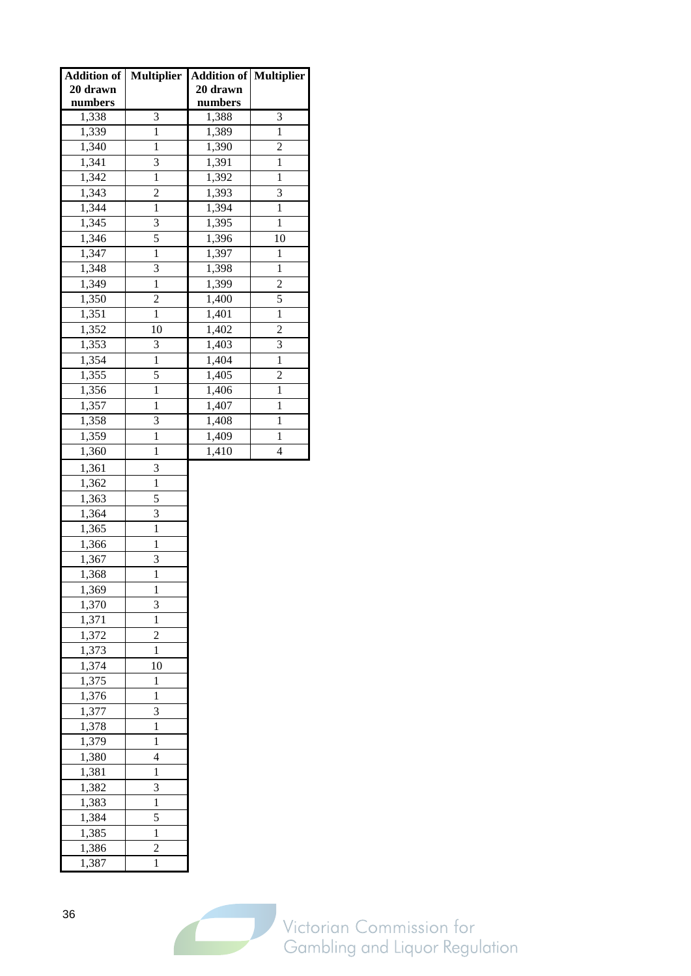| Addition of        | <b>Multiplier</b> | <b>Addition of Multiplier</b> |                |
|--------------------|-------------------|-------------------------------|----------------|
| 20 drawn           |                   | 20 drawn                      |                |
| numbers            |                   | numbers                       |                |
| 1,338              | 3                 | 1,388                         | 3              |
| 1,339              | $\mathbf{1}$      | 1,389                         | $\mathbf{1}$   |
| 1,340              | $\mathbf{1}$      | 1,390                         | $\overline{c}$ |
| 1,341              | 3                 | 1,391                         | $\mathbf 1$    |
| 1,342              | $\mathbf{1}$      | 1,392                         | 1              |
| 1,343              | $\overline{c}$    | 1,393                         | 3              |
| 1,344              | $\mathbf{1}$      | 1,394                         | $\mathbf{1}$   |
| $\frac{1}{1,345}$  | 3                 | $\overline{1,}395$            | $\mathbf{1}$   |
| 1,346              | $\overline{5}$    | 1,396                         | 10             |
| 1,347              | $\overline{1}$    | 1,397                         | $\mathbf{1}$   |
| 1,348              | 3                 | 1,398                         | 1              |
| 1,349              | $\mathbf{1}$      | 1,399                         | 2              |
| 1,350              | $\overline{c}$    | 1,400                         | $\overline{5}$ |
| 1,351              | $\mathbf{1}$      | 1,401                         | $\mathbf 1$    |
| 1,352              | 10                | 1,402                         | $\overline{c}$ |
| 1,353              | 3                 | 1,403                         | 3              |
| 1,354              | $\mathbf{1}$      | 1,404                         | $\mathbf{1}$   |
| 1,355              | 5                 | 1,405                         | $\overline{c}$ |
| 1,356              | $\mathbf{1}$      | 1,406                         | $\mathbf{1}$   |
| 1,357              | $\mathbf{1}$      | 1,407                         | $\mathbf{1}$   |
| 1,358              | 3                 | 1,408                         | 1              |
| 1,359              | $\mathbf{1}$      | 1,409                         | 1              |
| $\overline{1,360}$ | $\mathbf{1}$      | 1,410                         | $\overline{4}$ |
|                    |                   |                               |                |
| 1,361              | 3<br>$\mathbf{1}$ |                               |                |
| 1,362              | 5                 |                               |                |
| 1,363<br>1,364     | 3                 |                               |                |
| 1,365              | $\mathbf{1}$      |                               |                |
| 1,366              | $\overline{1}$    |                               |                |
|                    | 3                 |                               |                |
| 1,367              | $\mathbf{1}$      |                               |                |
| 1,368              |                   |                               |                |
| 1,369              | 1<br>3            |                               |                |
| 1,370              | $\mathbf{1}$      |                               |                |
| 1,371<br>1,372     | $\overline{c}$    |                               |                |
|                    | $\mathbf{1}$      |                               |                |
| 1,373<br>1,374     | 10                |                               |                |
| 1,375              | $\mathbf{1}$      |                               |                |
|                    | $\mathbf{1}$      |                               |                |
| 1,376              |                   |                               |                |
| 1,377              | 3<br>$\mathbf{1}$ |                               |                |
| 1,378              |                   |                               |                |
| 1,379              | $\mathbf{1}$      |                               |                |
| 1,380              | $\overline{4}$    |                               |                |
| 1,381              | $\mathbf{1}$      |                               |                |
| 1,382              | 3                 |                               |                |
| 1,383              | $\mathbf{1}$      |                               |                |
| 1,384              | 5                 |                               |                |
| 1,385              | $\mathbf{1}$      |                               |                |
| 1,386              | $\overline{2}$    |                               |                |
| 1,387              | $\mathbf{1}$      |                               |                |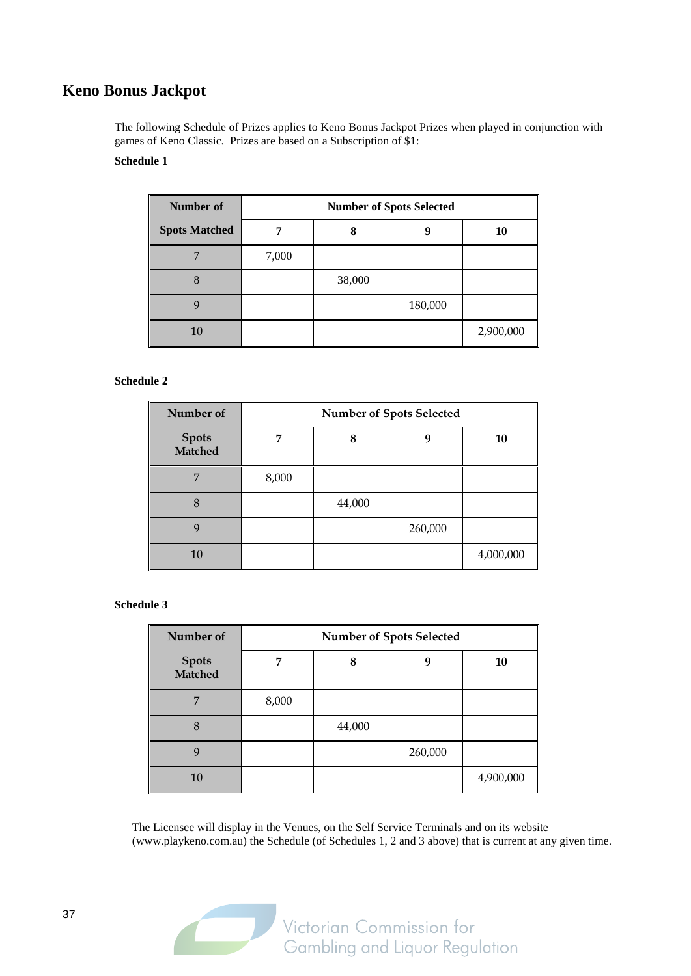## **Keno Bonus Jackpot**

The following Schedule of Prizes applies to Keno Bonus Jackpot Prizes when played in conjunction with games of Keno Classic. Prizes are based on a Subscription of \$1:

#### **Schedule 1**

| Number of            | <b>Number of Spots Selected</b> |        |         |           |  |  |  |
|----------------------|---------------------------------|--------|---------|-----------|--|--|--|
| <b>Spots Matched</b> |                                 | 8      | 9       | 10        |  |  |  |
|                      | 7,000                           |        |         |           |  |  |  |
| 8                    |                                 | 38,000 |         |           |  |  |  |
|                      |                                 |        | 180,000 |           |  |  |  |
| 10                   |                                 |        |         | 2,900,000 |  |  |  |

#### **Schedule 2**

| Number of                      | <b>Number of Spots Selected</b> |        |         |           |  |  |  |  |  |
|--------------------------------|---------------------------------|--------|---------|-----------|--|--|--|--|--|
| <b>Spots</b><br><b>Matched</b> |                                 | 8      | q       | 10        |  |  |  |  |  |
| $\overline{ }$                 | 8,000                           |        |         |           |  |  |  |  |  |
| 8                              |                                 | 44,000 |         |           |  |  |  |  |  |
| $\mathbf Q$                    |                                 |        | 260,000 |           |  |  |  |  |  |
| 10                             |                                 |        |         | 4,000,000 |  |  |  |  |  |

#### **Schedule 3**

| Number of                      | <b>Number of Spots Selected</b> |        |         |           |  |  |  |  |  |
|--------------------------------|---------------------------------|--------|---------|-----------|--|--|--|--|--|
| <b>Spots</b><br><b>Matched</b> | 7                               | 8      | 9       | 10        |  |  |  |  |  |
| 7                              | 8,000                           |        |         |           |  |  |  |  |  |
| 8                              |                                 | 44,000 |         |           |  |  |  |  |  |
| 9                              |                                 |        | 260,000 |           |  |  |  |  |  |
| 10                             |                                 |        |         | 4,900,000 |  |  |  |  |  |

The Licensee will display in the Venues, on the Self Service Terminals and on its website (www.playkeno.com.au) the Schedule (of Schedules 1, 2 and 3 above) that is current at any given time.

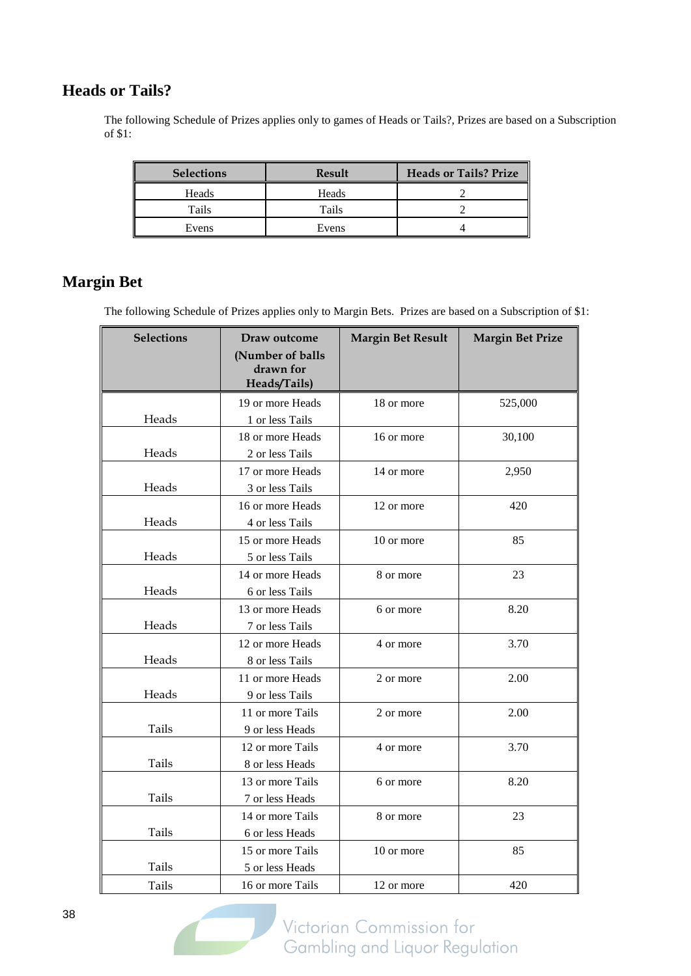## **Heads or Tails?**

The following Schedule of Prizes applies only to games of Heads or Tails?, Prizes are based on a Subscription of \$1:

| <b>Selections</b> | <b>Result</b> | <b>Heads or Tails? Prize</b> |
|-------------------|---------------|------------------------------|
| Heads             | Heads         |                              |
| Tails             | Tails         |                              |
| Evens             | Evens         |                              |

## **Margin Bet**

The following Schedule of Prizes applies only to Margin Bets. Prizes are based on a Subscription of \$1:

| <b>Selections</b> | Draw outcome<br>(Number of balls<br>drawn for<br>Heads/Tails) | <b>Margin Bet Result</b> | <b>Margin Bet Prize</b> |
|-------------------|---------------------------------------------------------------|--------------------------|-------------------------|
|                   | 19 or more Heads                                              | 18 or more               | 525,000                 |
| Heads             | 1 or less Tails                                               |                          |                         |
|                   | 18 or more Heads                                              | 16 or more               | 30,100                  |
| Heads             | 2 or less Tails                                               |                          |                         |
|                   | 17 or more Heads                                              | 14 or more               | 2,950                   |
| Heads             | 3 or less Tails                                               |                          |                         |
|                   | 16 or more Heads                                              | 12 or more               | 420                     |
| Heads             | 4 or less Tails                                               |                          |                         |
|                   | 15 or more Heads                                              | 10 or more               | 85                      |
| Heads             | 5 or less Tails                                               |                          |                         |
|                   | 14 or more Heads                                              | 8 or more                | 23                      |
| Heads             | 6 or less Tails                                               |                          |                         |
|                   | 13 or more Heads                                              | 6 or more                | 8.20                    |
| Heads             | 7 or less Tails                                               |                          |                         |
|                   | 12 or more Heads                                              | 4 or more                | 3.70                    |
| Heads             | 8 or less Tails                                               |                          |                         |
|                   | 11 or more Heads                                              | 2 or more                | 2.00                    |
| Heads             | 9 or less Tails                                               |                          |                         |
|                   | 11 or more Tails                                              | 2 or more                | 2.00                    |
| Tails             | 9 or less Heads                                               |                          |                         |
|                   | 12 or more Tails                                              | 4 or more                | 3.70                    |
| Tails             | 8 or less Heads                                               |                          |                         |
|                   | 13 or more Tails                                              | 6 or more                | 8.20                    |
| Tails             | 7 or less Heads                                               |                          |                         |
|                   | 14 or more Tails                                              | 8 or more                | 23                      |
| Tails             | 6 or less Heads                                               |                          |                         |
|                   | 15 or more Tails                                              | 10 or more               | 85                      |
| Tails             | 5 or less Heads                                               |                          |                         |
| Tails             | 16 or more Tails                                              | 12 or more               | 420                     |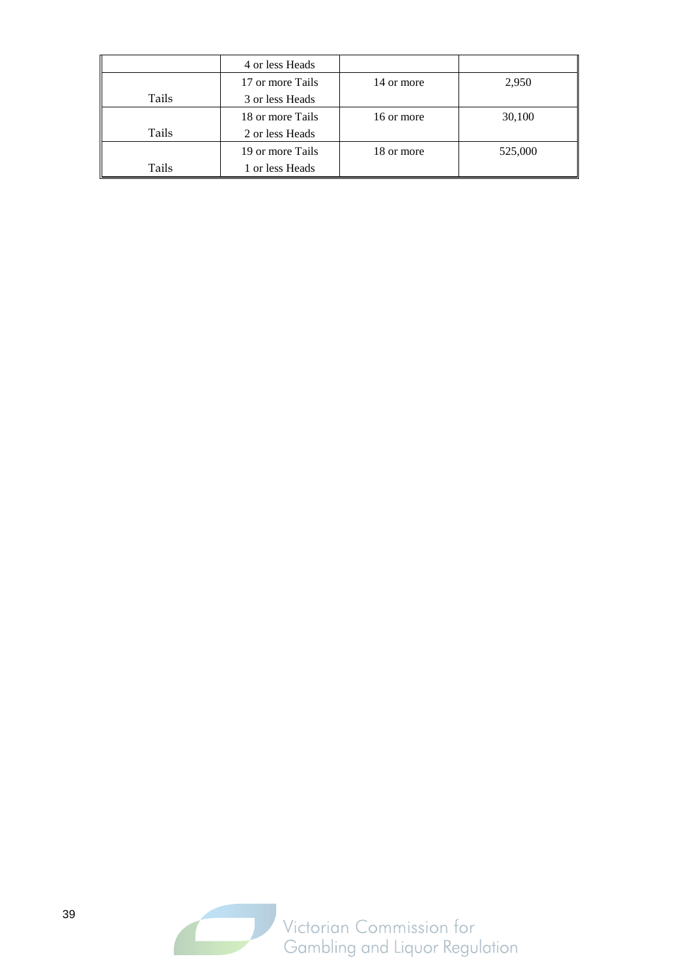|       | 4 or less Heads  |            |         |
|-------|------------------|------------|---------|
|       | 17 or more Tails | 14 or more | 2,950   |
| Tails | 3 or less Heads  |            |         |
|       | 18 or more Tails | 16 or more | 30,100  |
| Tails | 2 or less Heads  |            |         |
|       | 19 or more Tails | 18 or more | 525,000 |
| Tails | 1 or less Heads  |            |         |

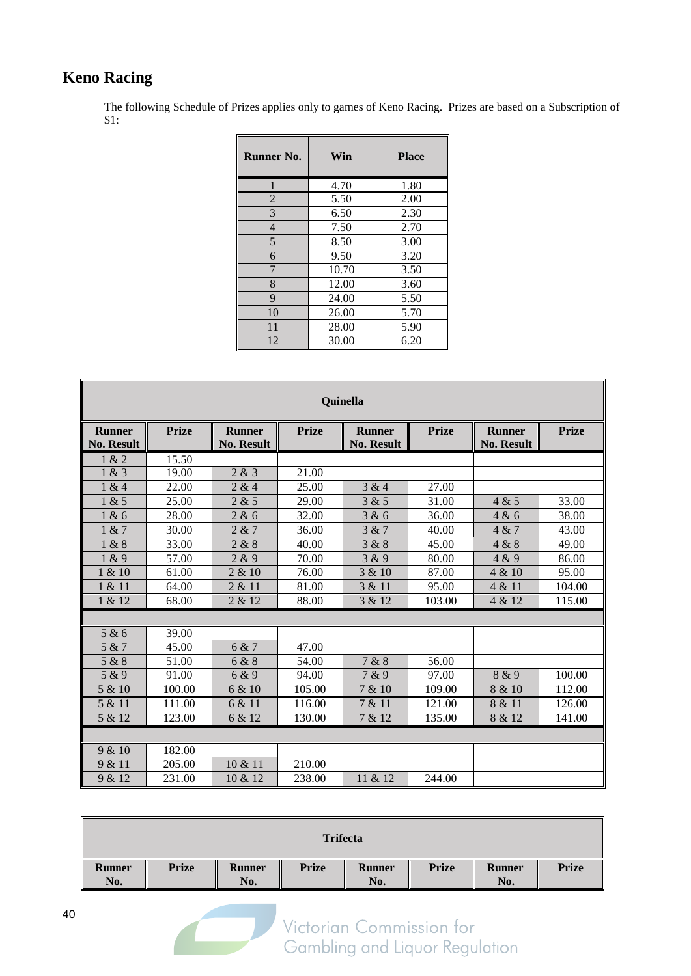## **Keno Racing**

The following Schedule of Prizes applies only to games of Keno Racing. Prizes are based on a Subscription of \$1:

| <b>Runner No.</b> | Win   | <b>Place</b> |
|-------------------|-------|--------------|
|                   | 4.70  | 1.80         |
| $\overline{2}$    | 5.50  | 2.00         |
| 3                 | 6.50  | 2.30         |
| $\overline{4}$    | 7.50  | 2.70         |
| 5                 | 8.50  | 3.00         |
| 6                 | 9.50  | 3.20         |
| 7                 | 10.70 | 3.50         |
| 8                 | 12.00 | 3.60         |
| 9                 | 24.00 | 5.50         |
| 10                | 26.00 | 5.70         |
| 11                | 28.00 | 5.90         |
| 12                | 30.00 | 6.20         |

| Quinella                           |              |                                    |              |                                    |              |                                    |              |  |  |  |
|------------------------------------|--------------|------------------------------------|--------------|------------------------------------|--------------|------------------------------------|--------------|--|--|--|
| <b>Runner</b><br><b>No. Result</b> | <b>Prize</b> | <b>Runner</b><br><b>No. Result</b> | <b>Prize</b> | <b>Runner</b><br><b>No. Result</b> | <b>Prize</b> | <b>Runner</b><br><b>No. Result</b> | <b>Prize</b> |  |  |  |
| 1 & 2                              | 15.50        |                                    |              |                                    |              |                                    |              |  |  |  |
| 1 & 3                              | 19.00        | 2 & 3                              | 21.00        |                                    |              |                                    |              |  |  |  |
| 1 & 4                              | 22.00        | 2 & 4                              | 25.00        | 3 & 4                              | 27.00        |                                    |              |  |  |  |
| 1 & 5                              | 25.00        | 2 & 5                              | 29.00        | 3 & 5                              | 31.00        | 4 & 5                              | 33.00        |  |  |  |
| 1 & 6                              | 28.00        | 2 & 6                              | 32.00        | 3 & 6                              | 36.00        | 4 & 6                              | 38.00        |  |  |  |
| 1 & 7                              | 30.00        | 2 & 7                              | 36.00        | 3 & 7                              | 40.00        | 4 & 7                              | 43.00        |  |  |  |
| 1 & 8                              | 33.00        | 2 & 8                              | 40.00        | 3 & 8                              | 45.00        | 4 & 8                              | 49.00        |  |  |  |
| 1 & 9                              | 57.00        | 2 & 9                              | 70.00        | 3 & 9                              | 80.00        | 4 & 9                              | 86.00        |  |  |  |
| 1 & 10                             | 61.00        | 2 & 10                             | 76.00        | 3 & 10                             | 87.00        | 4 & 10                             | 95.00        |  |  |  |
| 1 & 11                             | 64.00        | 2 & 11                             | 81.00        | 3 & 11                             | 95.00        | 4 & 11                             | 104.00       |  |  |  |
| 1 & 12                             | 68.00        | 2 & 12                             | 88.00        | 3 & 12                             | 103.00       | 4 & 12                             | 115.00       |  |  |  |
|                                    |              |                                    |              |                                    |              |                                    |              |  |  |  |
| 5 & 6                              | 39.00        |                                    |              |                                    |              |                                    |              |  |  |  |
| 5 & 7                              | 45.00        | 6 & 7                              | 47.00        |                                    |              |                                    |              |  |  |  |
| 5 & 8                              | 51.00        | 6 & 8                              | 54.00        | 7 & 8                              | 56.00        |                                    |              |  |  |  |
| 5 & 9                              | 91.00        | 6 & 9                              | 94.00        | 7 & 9                              | 97.00        | 8 & 9                              | 100.00       |  |  |  |
| 5 & 10                             | 100.00       | 6 & 10                             | 105.00       | 7 & 10                             | 109.00       | 8 & 10                             | 112.00       |  |  |  |
| 5 & 11                             | 111.00       | 6 & 11                             | 116.00       | 7 & 11                             | 121.00       | 8 & 11                             | 126.00       |  |  |  |
| 5 & 12                             | 123.00       | 6 & 12                             | 130.00       | 7 & 12                             | 135.00       | 8 & 12                             | 141.00       |  |  |  |
|                                    |              |                                    |              |                                    |              |                                    |              |  |  |  |
| 9 & 10                             | 182.00       |                                    |              |                                    |              |                                    |              |  |  |  |
| 9 & 11                             | 205.00       | 10 & 11                            | 210.00       |                                    |              |                                    |              |  |  |  |
| 9 & 12                             | 231.00       | 10 & 12                            | 238.00       | 11 & 12                            | 244.00       |                                    |              |  |  |  |

|               |              |                      | <b>Trifecta</b> |                      |              |                      |              |
|---------------|--------------|----------------------|-----------------|----------------------|--------------|----------------------|--------------|
| Runner<br>No. | <b>Prize</b> | <b>Runner</b><br>No. | <b>Prize</b>    | <b>Runner</b><br>No. | <b>Prize</b> | <b>Runner</b><br>No. | <b>Prize</b> |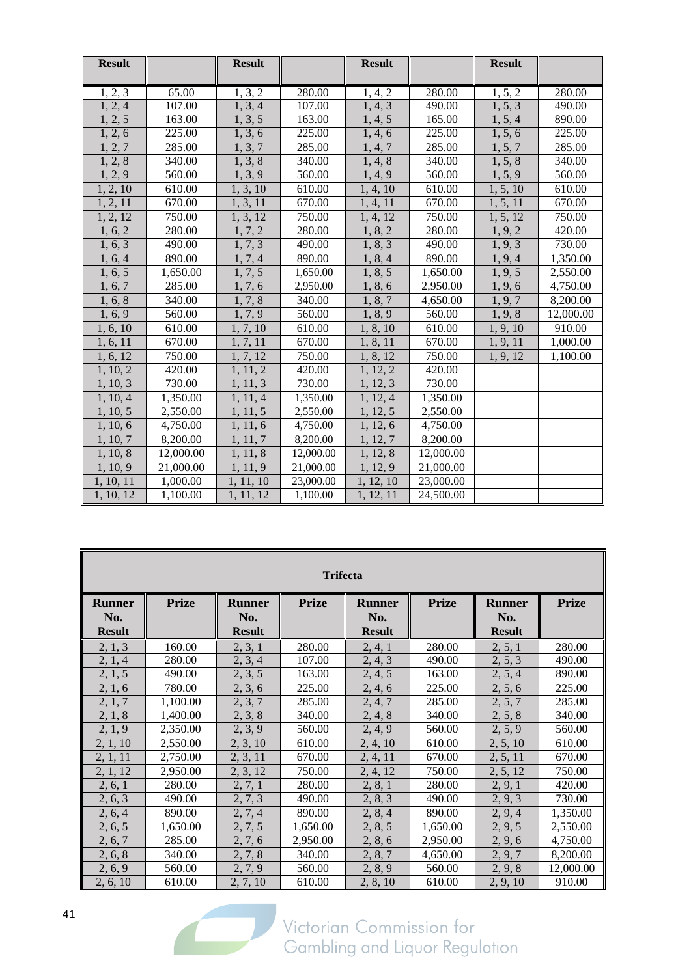| <b>Result</b> |                 | <b>Result</b> |                  | <b>Result</b>        |                  | <b>Result</b> |                  |
|---------------|-----------------|---------------|------------------|----------------------|------------------|---------------|------------------|
|               |                 |               |                  |                      |                  |               |                  |
| 1, 2, 3       | 65.00<br>107.00 | 1, 3, 2       | 280.00<br>107.00 | 1, 4, 2              | 280.00<br>490.00 | 1, 5, 2       | 280.00<br>490.00 |
| 1, 2, 4       |                 | 1, 3, 4       |                  | 1, 4, 3              |                  | 1, 5, 3       |                  |
| 1, 2, 5       | 163.00          | 1, 3, 5       | 163.00           | 1, 4, 5              | 165.00           | 1, 5, 4       | 890.00           |
| 1, 2, 6       | 225.00          | 1, 3, 6       | 225.00           | $\overline{1, 4, 6}$ | 225.00           | 1, 5, 6       | 225.00           |
| 1, 2, 7       | 285.00          | 1, 3, 7       | 285.00           | 1, 4, 7              | 285.00           | 1, 5, 7       | 285.00           |
| 1, 2, 8       | 340.00          | 1, 3, 8       | 340.00           | 1, 4, 8              | 340.00           | 1, 5, 8       | 340.00           |
| 1, 2, 9       | 560.00          | 1, 3, 9       | 560.00           | $\overline{1, 4, 9}$ | 560.00           | 1, 5, 9       | 560.00           |
| 1, 2, 10      | 610.00          | 1, 3, 10      | 610.00           | 1, 4, 10             | 610.00           | 1, 5, 10      | 610.00           |
| 1, 2, 11      | 670.00          | 1, 3, 11      | 670.00           | 1, 4, 11             | 670.00           | 1, 5, 11      | 670.00           |
| 1, 2, 12      | 750.00          | 1, 3, 12      | 750.00           | 1, 4, 12             | 750.00           | 1, 5, 12      | 750.00           |
| 1, 6, 2       | 280.00          | 1, 7, 2       | 280.00           | 1, 8, 2              | 280.00           | 1, 9, 2       | 420.00           |
| 1, 6, 3       | 490.00          | 1, 7, 3       | 490.00           | 1, 8, 3              | 490.00           | 1, 9, 3       | 730.00           |
| 1, 6, 4       | 890.00          | 1, 7, 4       | 890.00           | 1, 8, 4              | 890.00           | 1, 9, 4       | 1,350.00         |
| 1, 6, 5       | 1,650.00        | 1, 7, 5       | 1,650.00         | 1, 8, 5              | 1,650.00         | 1, 9, 5       | 2,550.00         |
| 1, 6, 7       | 285.00          | 1, 7, 6       | 2,950.00         | 1, 8, 6              | 2,950.00         | 1, 9, 6       | 4,750.00         |
| 1, 6, 8       | 340.00          | 1, 7, 8       | 340.00           | 1, 8, 7              | 4,650.00         | 1, 9, 7       | 8,200.00         |
| 1, 6, 9       | 560.00          | 1, 7, 9       | 560.00           | 1, 8, 9              | 560.00           | 1, 9, 8       | 12,000.00        |
| 1, 6, 10      | 610.00          | 1, 7, 10      | 610.00           | 1, 8, 10             | 610.00           | 1, 9, 10      | 910.00           |
| 1, 6, 11      | 670.00          | 1, 7, 11      | 670.00           | 1, 8, 11             | 670.00           | 1, 9, 11      | 1,000.00         |
| 1, 6, 12      | 750.00          | 1, 7, 12      | 750.00           | 1, 8, 12             | 750.00           | 1, 9, 12      | 1,100.00         |
| 1, 10, 2      | 420.00          | 1, 11, 2      | 420.00           | 1, 12, 2             | 420.00           |               |                  |
| 1, 10, 3      | 730.00          | 1, 11, 3      | 730.00           | 1, 12, 3             | 730.00           |               |                  |
| 1, 10, 4      | 1,350.00        | 1, 11, 4      | 1,350.00         | 1, 12, 4             | 1,350.00         |               |                  |
| 1, 10, 5      | 2,550.00        | 1, 11, 5      | 2,550.00         | 1, 12, 5             | 2,550.00         |               |                  |
| 1, 10, 6      | 4,750.00        | 1, 11, 6      | 4,750.00         | 1, 12, 6             | 4,750.00         |               |                  |
| 1, 10, 7      | 8,200.00        | 1, 11, 7      | 8,200.00         | 1, 12, 7             | 8,200.00         |               |                  |
| 1, 10, 8      | 12,000.00       | 1, 11, 8      | 12,000.00        | 1, 12, 8             | 12,000.00        |               |                  |
| 1, 10, 9      | 21,000.00       | 1, 11, 9      | 21,000.00        | 1, 12, 9             | 21,000.00        |               |                  |
| 1, 10, 11     | 1,000.00        | 1, 11, 10     | 23,000.00        | 1, 12, 10            | 23,000.00        |               |                  |
| 1, 10, 12     | 1,100.00        | 1, 11, 12     | 1,100.00         | 1, 12, 11            | 24,500.00        |               |                  |

| <b>Trifecta</b>                       |              |                                       |              |                                       |              |                                       |              |  |  |  |
|---------------------------------------|--------------|---------------------------------------|--------------|---------------------------------------|--------------|---------------------------------------|--------------|--|--|--|
| <b>Runner</b><br>No.<br><b>Result</b> | <b>Prize</b> | <b>Runner</b><br>No.<br><b>Result</b> | <b>Prize</b> | <b>Runner</b><br>No.<br><b>Result</b> | <b>Prize</b> | <b>Runner</b><br>No.<br><b>Result</b> | <b>Prize</b> |  |  |  |
| 2, 1, 3                               | 160.00       | 2, 3, 1                               | 280.00       | 2, 4, 1                               | 280.00       | 2, 5, 1                               | 280.00       |  |  |  |
| 2, 1, 4                               | 280.00       | 2, 3, 4                               | 107.00       | 2, 4, 3                               | 490.00       | 2, 5, 3                               | 490.00       |  |  |  |
| 2, 1, 5                               | 490.00       | 2, 3, 5                               | 163.00       | 2, 4, 5                               | 163.00       | 2, 5, 4                               | 890.00       |  |  |  |
| 2, 1, 6                               | 780.00       | 2, 3, 6                               | 225.00       | 2, 4, 6                               | 225.00       | 2, 5, 6                               | 225.00       |  |  |  |
| 2, 1, 7                               | 1,100.00     | 2, 3, 7                               | 285.00       | 2, 4, 7                               | 285.00       | 2, 5, 7                               | 285.00       |  |  |  |
| 2, 1, 8                               | 1,400.00     | 2, 3, 8                               | 340.00       | 2, 4, 8                               | 340.00       | 2, 5, 8                               | 340.00       |  |  |  |
| 2, 1, 9                               | 2,350.00     | 2, 3, 9                               | 560.00       | 2, 4, 9                               | 560.00       | 2, 5, 9                               | 560.00       |  |  |  |
| 2, 1, 10                              | 2,550.00     | 2, 3, 10                              | 610.00       | 2, 4, 10                              | 610.00       | 2, 5, 10                              | 610.00       |  |  |  |
| 2, 1, 11                              | 2,750.00     | 2, 3, 11                              | 670.00       | 2, 4, 11                              | 670.00       | 2, 5, 11                              | 670.00       |  |  |  |
| 2, 1, 12                              | 2,950.00     | 2, 3, 12                              | 750.00       | 2, 4, 12                              | 750.00       | 2, 5, 12                              | 750.00       |  |  |  |
| 2, 6, 1                               | 280.00       | 2, 7, 1                               | 280.00       | 2, 8, 1                               | 280.00       | 2, 9, 1                               | 420.00       |  |  |  |
| 2, 6, 3                               | 490.00       | 2, 7, 3                               | 490.00       | 2, 8, 3                               | 490.00       | 2, 9, 3                               | 730.00       |  |  |  |
| 2, 6, 4                               | 890.00       | 2, 7, 4                               | 890.00       | 2, 8, 4                               | 890.00       | 2, 9, 4                               | 1,350.00     |  |  |  |
| 2, 6, 5                               | 1,650.00     | 2, 7, 5                               | 1,650.00     | 2, 8, 5                               | 1,650.00     | 2, 9, 5                               | 2,550.00     |  |  |  |
| 2, 6, 7                               | 285.00       | 2, 7, 6                               | 2,950.00     | 2, 8, 6                               | 2,950.00     | 2, 9, 6                               | 4,750.00     |  |  |  |
| 2, 6, 8                               | 340.00       | 2, 7, 8                               | 340.00       | 2, 8, 7                               | 4,650.00     | 2, 9, 7                               | 8,200.00     |  |  |  |
| 2, 6, 9                               | 560.00       | 2, 7, 9                               | 560.00       | 2, 8, 9                               | 560.00       | 2, 9, 8                               | 12,000.00    |  |  |  |
| 2, 6, 10                              | 610.00       | 2, 7, 10                              | 610.00       | 2, 8, 10                              | 610.00       | 2, 9, 10                              | 910.00       |  |  |  |

 $\sqrt{2}$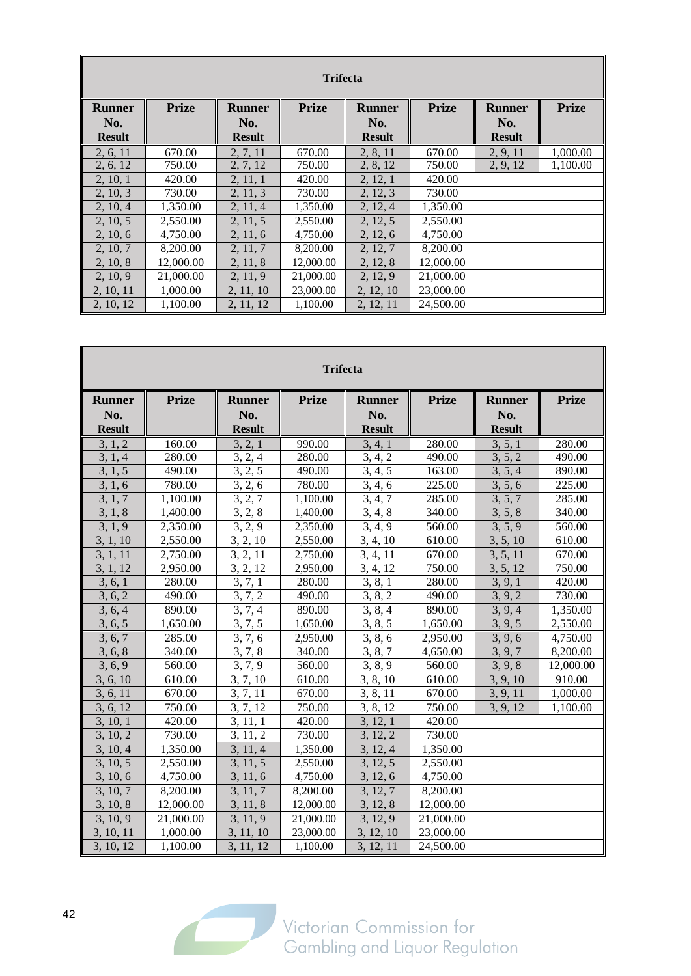|                      | <b>Trifecta</b> |                      |              |                      |              |                      |              |  |  |  |  |
|----------------------|-----------------|----------------------|--------------|----------------------|--------------|----------------------|--------------|--|--|--|--|
| <b>Runner</b><br>No. | <b>Prize</b>    | <b>Runner</b><br>No. | <b>Prize</b> | <b>Runner</b><br>No. | <b>Prize</b> | <b>Runner</b><br>No. | <b>Prize</b> |  |  |  |  |
| <b>Result</b>        |                 | <b>Result</b>        |              | <b>Result</b>        |              | <b>Result</b>        |              |  |  |  |  |
| 2, 6, 11             | 670.00          | 2, 7, 11             | 670.00       | 2, 8, 11             | 670.00       | 2, 9, 11             | 1,000.00     |  |  |  |  |
| 2, 6, 12             | 750.00          | 2, 7, 12             | 750.00       | 2, 8, 12             | 750.00       | 2, 9, 12             | 1,100.00     |  |  |  |  |
| 2, 10, 1             | 420.00          | 2, 11, 1             | 420.00       | 2, 12, 1             | 420.00       |                      |              |  |  |  |  |
| 2, 10, 3             | 730.00          | 2, 11, 3             | 730.00       | 2, 12, 3             | 730.00       |                      |              |  |  |  |  |
| 2, 10, 4             | 1,350.00        | 2, 11, 4             | 1,350.00     | 2, 12, 4             | 1,350.00     |                      |              |  |  |  |  |
| 2, 10, 5             | 2,550.00        | 2, 11, 5             | 2,550.00     | 2, 12, 5             | 2,550.00     |                      |              |  |  |  |  |
| 2, 10, 6             | 4,750.00        | 2, 11, 6             | 4,750.00     | 2, 12, 6             | 4,750.00     |                      |              |  |  |  |  |
| 2, 10, 7             | 8,200.00        | 2, 11, 7             | 8,200.00     | 2, 12, 7             | 8,200.00     |                      |              |  |  |  |  |
| 2, 10, 8             | 12,000.00       | 2, 11, 8             | 12,000.00    | 2, 12, 8             | 12,000.00    |                      |              |  |  |  |  |
| 2, 10, 9             | 21,000.00       | 2, 11, 9             | 21,000.00    | 2, 12, 9             | 21,000.00    |                      |              |  |  |  |  |
| 2, 10, 11            | 1,000.00        | 2, 11, 10            | 23,000.00    | 2, 12, 10            | 23,000.00    |                      |              |  |  |  |  |
| 2, 10, 12            | 1.100.00        | 2, 11, 12            | 1,100.00     | 2, 12, 11            | 24,500.00    |                      |              |  |  |  |  |

| <b>Trifecta</b>      |              |                      |              |                      |              |                      |              |  |  |  |
|----------------------|--------------|----------------------|--------------|----------------------|--------------|----------------------|--------------|--|--|--|
| <b>Runner</b>        | <b>Prize</b> | <b>Runner</b><br>No. | <b>Prize</b> | <b>Runner</b>        | <b>Prize</b> | <b>Runner</b>        | <b>Prize</b> |  |  |  |
| No.<br><b>Result</b> |              | <b>Result</b>        |              | No.<br><b>Result</b> |              | No.<br><b>Result</b> |              |  |  |  |
| 3, 1, 2              | 160.00       | 3, 2, 1              | 990.00       | 3, 4, 1              | 280.00       | 3, 5, 1              | 280.00       |  |  |  |
| 3, 1, 4              | 280.00       | 3, 2, 4              | 280.00       | 3, 4, 2              | 490.00       | 3, 5, 2              | 490.00       |  |  |  |
| 3, 1, 5              | 490.00       | 3, 2, 5              | 490.00       | 3, 4, 5              | 163.00       | 3, 5, 4              | 890.00       |  |  |  |
| 3, 1, 6              | 780.00       | 3, 2, 6              | 780.00       | 3, 4, 6              | 225.00       | 3, 5, 6              | 225.00       |  |  |  |
| 3, 1, 7              | 1,100.00     | 3, 2, 7              | 1,100.00     | 3, 4, 7              | 285.00       | 3, 5, 7              | 285.00       |  |  |  |
| 3, 1, 8              | 1,400.00     | 3, 2, 8              | 1,400.00     | 3, 4, 8              | 340.00       | 3, 5, 8              | 340.00       |  |  |  |
| 3, 1, 9              | 2,350.00     | 3, 2, 9              | 2,350.00     | 3, 4, 9              | 560.00       | 3, 5, 9              | 560.00       |  |  |  |
| 3, 1, 10             | 2,550.00     | 3, 2, 10             | 2,550.00     | 3, 4, 10             | 610.00       | 3, 5, 10             | 610.00       |  |  |  |
| 3, 1, 11             | 2,750.00     | 3, 2, 11             | 2,750.00     | 3, 4, 11             | 670.00       | 3, 5, 11             | 670.00       |  |  |  |
| 3, 1, 12             | 2,950.00     | 3, 2, 12             | 2,950.00     | 3, 4, 12             | 750.00       | 3, 5, 12             | 750.00       |  |  |  |
| 3, 6, 1              | 280.00       | 3, 7, 1              | 280.00       | 3, 8, 1              | 280.00       | 3, 9, 1              | 420.00       |  |  |  |
| 3, 6, 2              | 490.00       | 3, 7, 2              | 490.00       | 3, 8, 2              | 490.00       | 3, 9, 2              | 730.00       |  |  |  |
| 3, 6, 4              | 890.00       | 3, 7, 4              | 890.00       | 3, 8, 4              | 890.00       | 3, 9, 4              | 1,350.00     |  |  |  |
| 3, 6, 5              | 1,650.00     | 3, 7, 5              | 1,650.00     | 3, 8, 5              | 1,650.00     | 3, 9, 5              | 2,550.00     |  |  |  |
| 3, 6, 7              | 285.00       | 3, 7, 6              | 2,950.00     | 3, 8, 6              | 2,950.00     | 3, 9, 6              | 4,750.00     |  |  |  |
| 3, 6, 8              | 340.00       | 3, 7, 8              | 340.00       | 3, 8, 7              | 4,650.00     | 3, 9, 7              | 8,200.00     |  |  |  |
| 3, 6, 9              | 560.00       | $\overline{3}, 7, 9$ | 560.00       | 3, 8, 9              | 560.00       | 3, 9, 8              | 12,000.00    |  |  |  |
| 3, 6, 10             | 610.00       | 3, 7, 10             | 610.00       | 3, 8, 10             | 610.00       | 3, 9, 10             | 910.00       |  |  |  |
| 3, 6, 11             | 670.00       | 3, 7, 11             | 670.00       | 3, 8, 11             | 670.00       | 3, 9, 11             | 1,000.00     |  |  |  |
| 3, 6, 12             | 750.00       | 3, 7, 12             | 750.00       | 3, 8, 12             | 750.00       | 3, 9, 12             | 1,100.00     |  |  |  |
| 3, 10, 1             | 420.00       | 3, 11, 1             | 420.00       | 3, 12, 1             | 420.00       |                      |              |  |  |  |
| 3, 10, 2             | 730.00       | 3, 11, 2             | 730.00       | 3, 12, 2             | 730.00       |                      |              |  |  |  |
| 3, 10, 4             | 1,350.00     | 3, 11, 4             | 1,350.00     | 3, 12, 4             | 1,350.00     |                      |              |  |  |  |
| 3, 10, 5             | 2,550.00     | 3, 11, 5             | 2,550.00     | 3, 12, 5             | 2,550.00     |                      |              |  |  |  |
| 3, 10, 6             | 4,750.00     | 3, 11, 6             | 4,750.00     | 3, 12, 6             | 4,750.00     |                      |              |  |  |  |
| 3, 10, 7             | 8,200.00     | 3, 11, 7             | 8,200.00     | 3, 12, 7             | 8,200.00     |                      |              |  |  |  |
| 3, 10, 8             | 12,000.00    | 3, 11, 8             | 12,000.00    | 3, 12, 8             | 12,000.00    |                      |              |  |  |  |
| 3, 10, 9             | 21,000.00    | 3, 11, 9             | 21,000.00    | 3, 12, 9             | 21,000.00    |                      |              |  |  |  |
| 3, 10, 11            | 1,000.00     | 3, 11, 10            | 23,000.00    | 3, 12, 10            | 23,000.00    |                      |              |  |  |  |
| 3, 10, 12            | 1,100.00     | 3, 11, 12            | 1,100.00     | 3, 12, 11            | 24,500.00    |                      |              |  |  |  |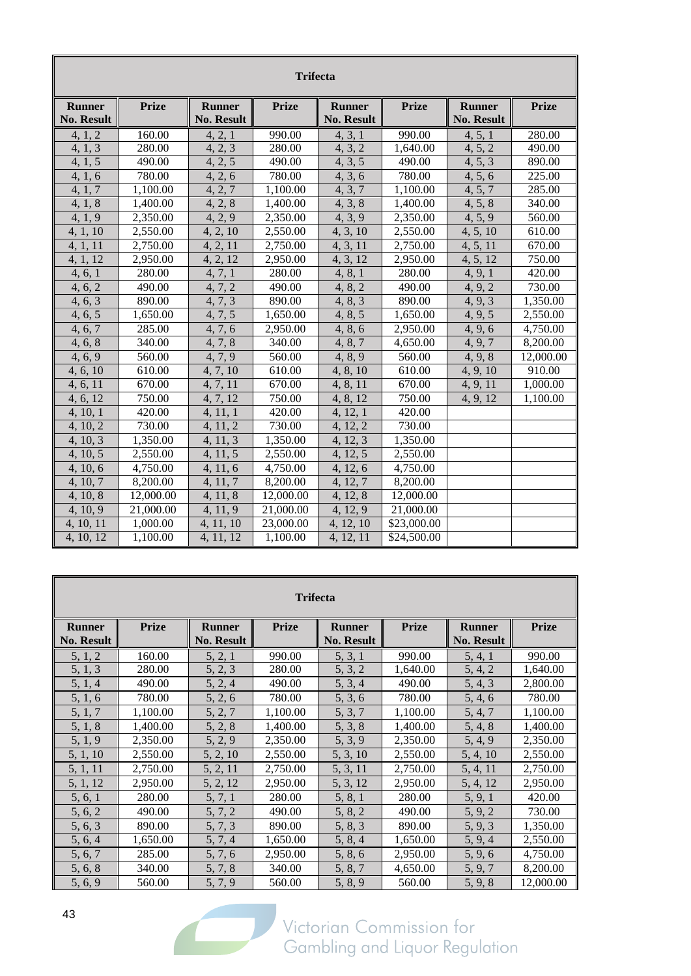|                                    | <b>Trifecta</b> |                                    |              |                                    |              |                                    |              |  |  |  |
|------------------------------------|-----------------|------------------------------------|--------------|------------------------------------|--------------|------------------------------------|--------------|--|--|--|
| <b>Runner</b><br><b>No. Result</b> | <b>Prize</b>    | <b>Runner</b><br><b>No. Result</b> | <b>Prize</b> | <b>Runner</b><br><b>No. Result</b> | <b>Prize</b> | <b>Runner</b><br><b>No. Result</b> | <b>Prize</b> |  |  |  |
| 4, 1, 2                            | 160.00          | 4, 2, 1                            | 990.00       | 4, 3, 1                            | 990.00       | 4, 5, 1                            | 280.00       |  |  |  |
| $\overline{4, 1, 3}$               | 280.00          | 4, 2, 3                            | 280.00       | 4, 3, 2                            | 1,640.00     | 4, 5, 2                            | 490.00       |  |  |  |
| 4, 1, 5                            | 490.00          | 4, 2, 5                            | 490.00       | 4, 3, 5                            | 490.00       | 4, 5, 3                            | 890.00       |  |  |  |
| 4, 1, 6                            | 780.00          | 4, 2, 6                            | 780.00       | 4, 3, 6                            | 780.00       | 4, 5, 6                            | 225.00       |  |  |  |
| 4, 1, 7                            | 1,100.00        | 4, 2, 7                            | 1,100.00     | 4, 3, 7                            | 1,100.00     | 4, 5, 7                            | 285.00       |  |  |  |
| 4, 1, 8                            | 1,400.00        | 4, 2, 8                            | 1,400.00     | 4, 3, 8                            | 1,400.00     | 4, 5, 8                            | 340.00       |  |  |  |
| 4, 1, 9                            | 2,350.00        | 4, 2, 9                            | 2,350.00     | 4, 3, 9                            | 2,350.00     | 4, 5, 9                            | 560.00       |  |  |  |
| 4, 1, 10                           | 2,550.00        | 4, 2, 10                           | 2,550.00     | 4, 3, 10                           | 2,550.00     | 4, 5, 10                           | 610.00       |  |  |  |
| 4, 1, 11                           | 2,750.00        | 4, 2, 11                           | 2,750.00     | 4, 3, 11                           | 2,750.00     | 4, 5, 11                           | 670.00       |  |  |  |
| 4, 1, 12                           | 2,950.00        | 4, 2, 12                           | 2,950.00     | 4, 3, 12                           | 2,950.00     | 4, 5, 12                           | 750.00       |  |  |  |
| 4, 6, 1                            | 280.00          | 4, 7, 1                            | 280.00       | 4, 8, 1                            | 280.00       | 4, 9, 1                            | 420.00       |  |  |  |
| 4, 6, 2                            | 490.00          | 4, 7, 2                            | 490.00       | 4, 8, 2                            | 490.00       | 4, 9, 2                            | 730.00       |  |  |  |
| 4, 6, 3                            | 890.00          | 4, 7, 3                            | 890.00       | 4, 8, 3                            | 890.00       | 4, 9, 3                            | 1,350.00     |  |  |  |
| 4, 6, 5                            | 1,650.00        | 4, 7, 5                            | 1,650.00     | 4, 8, 5                            | 1,650.00     | 4, 9, 5                            | 2,550.00     |  |  |  |
| 4, 6, 7                            | 285.00          | 4, 7, 6                            | 2,950.00     | 4, 8, 6                            | 2,950.00     | 4, 9, 6                            | 4,750.00     |  |  |  |
| 4, 6, 8                            | 340.00          | 4, 7, 8                            | 340.00       | 4, 8, 7                            | 4,650.00     | 4, 9, 7                            | 8,200.00     |  |  |  |
| 4, 6, 9                            | 560.00          | 4, 7, 9                            | 560.00       | 4, 8, 9                            | 560.00       | 4, 9, 8                            | 12,000.00    |  |  |  |
| 4, 6, 10                           | 610.00          | 4, 7, 10                           | 610.00       | 4, 8, 10                           | 610.00       | 4, 9, 10                           | 910.00       |  |  |  |
| 4, 6, 11                           | 670.00          | 4, 7, 11                           | 670.00       | 4, 8, 11                           | 670.00       | 4, 9, 11                           | 1,000.00     |  |  |  |
| 4, 6, 12                           | 750.00          | 4, 7, 12                           | 750.00       | 4, 8, 12                           | 750.00       | 4, 9, 12                           | 1.100.00     |  |  |  |
| 4, 10, 1                           | 420.00          | 4, 11, 1                           | 420.00       | 4, 12, 1                           | 420.00       |                                    |              |  |  |  |
| 4, 10, 2                           | 730.00          | 4, 11, 2                           | 730.00       | 4, 12, 2                           | 730.00       |                                    |              |  |  |  |
| 4, 10, 3                           | 1,350.00        | 4, 11, 3                           | 1,350.00     | 4, 12, 3                           | 1,350.00     |                                    |              |  |  |  |
| 4, 10, 5                           | 2,550.00        | 4, 11, 5                           | 2,550.00     | 4, 12, 5                           | 2,550.00     |                                    |              |  |  |  |
| 4, 10, 6                           | 4,750.00        | 4, 11, 6                           | 4,750.00     | 4, 12, 6                           | 4,750.00     |                                    |              |  |  |  |
| 4, 10, 7                           | 8,200.00        | 4, 11, 7                           | 8,200.00     | 4, 12, 7                           | 8,200.00     |                                    |              |  |  |  |
| 4, 10, 8                           | 12,000.00       | 4, 11, 8                           | 12,000.00    | 4, 12, 8                           | 12,000.00    |                                    |              |  |  |  |
| 4, 10, 9                           | 21,000.00       | 4, 11, 9                           | 21,000.00    | 4, 12, 9                           | 21,000.00    |                                    |              |  |  |  |
| 4, 10, 11                          | 1,000.00        | 4, 11, 10                          | 23,000.00    | 4, 12, 10                          | \$23,000.00  |                                    |              |  |  |  |
| 4, 10, 12                          | 1,100.00        | 4, 11, 12                          | 1,100.00     | 4, 12, 11                          | \$24,500.00  |                                    |              |  |  |  |

| <b>Trifecta</b>                    |              |                                    |              |                                    |              |                                    |              |  |  |  |
|------------------------------------|--------------|------------------------------------|--------------|------------------------------------|--------------|------------------------------------|--------------|--|--|--|
| <b>Runner</b><br><b>No. Result</b> | <b>Prize</b> | <b>Runner</b><br><b>No. Result</b> | <b>Prize</b> | <b>Runner</b><br><b>No. Result</b> | <b>Prize</b> | <b>Runner</b><br><b>No. Result</b> | <b>Prize</b> |  |  |  |
| 5, 1, 2                            | 160.00       | 5, 2, 1                            | 990.00       | 5, 3, 1                            | 990.00       | 5, 4, 1                            | 990.00       |  |  |  |
| 5, 1, 3                            | 280.00       | 5, 2, 3                            | 280.00       | 5, 3, 2                            | 1,640.00     | 5, 4, 2                            | 1,640.00     |  |  |  |
| 5, 1, 4                            | 490.00       | 5, 2, 4                            | 490.00       | 5, 3, 4                            | 490.00       | 5, 4, 3                            | 2,800.00     |  |  |  |
| 5, 1, 6                            | 780.00       | 5, 2, 6                            | 780.00       | 5, 3, 6                            | 780.00       | 5, 4, 6                            | 780.00       |  |  |  |
| 5, 1, 7                            | 1,100.00     | 5, 2, 7                            | 1,100.00     | 5, 3, 7                            | 1,100.00     | 5, 4, 7                            | 1,100.00     |  |  |  |
| 5, 1, 8                            | 1,400.00     | 5, 2, 8                            | 1,400.00     | 5, 3, 8                            | 1,400.00     | 5, 4, 8                            | 1,400.00     |  |  |  |
| 5, 1, 9                            | 2,350.00     | 5, 2, 9                            | 2,350.00     | 5, 3, 9                            | 2,350.00     | 5, 4, 9                            | 2,350.00     |  |  |  |
| 5, 1, 10                           | 2,550.00     | 5, 2, 10                           | 2,550.00     | 5, 3, 10                           | 2,550.00     | 5, 4, 10                           | 2,550.00     |  |  |  |
| 5, 1, 11                           | 2,750.00     | 5, 2, 11                           | 2,750.00     | 5, 3, 11                           | 2,750.00     | 5, 4, 11                           | 2,750.00     |  |  |  |
| 5, 1, 12                           | 2,950.00     | 5, 2, 12                           | 2,950.00     | 5, 3, 12                           | 2,950.00     | 5, 4, 12                           | 2,950.00     |  |  |  |
| 5, 6, 1                            | 280.00       | 5, 7, 1                            | 280.00       | 5, 8, 1                            | 280.00       | 5, 9, 1                            | 420.00       |  |  |  |
| 5, 6, 2                            | 490.00       | 5, 7, 2                            | 490.00       | 5, 8, 2                            | 490.00       | 5, 9, 2                            | 730.00       |  |  |  |
| 5, 6, 3                            | 890.00       | 5, 7, 3                            | 890.00       | 5, 8, 3                            | 890.00       | 5, 9, 3                            | 1,350.00     |  |  |  |
| 5, 6, 4                            | 1,650.00     | 5, 7, 4                            | 1,650.00     | 5, 8, 4                            | 1,650.00     | 5, 9, 4                            | 2,550.00     |  |  |  |
| 5, 6, 7                            | 285.00       | 5, 7, 6                            | 2,950.00     | 5, 8, 6                            | 2,950.00     | 5, 9, 6                            | 4,750.00     |  |  |  |
| 5, 6, 8                            | 340.00       | 5, 7, 8                            | 340.00       | 5, 8, 7                            | 4,650.00     | 5, 9, 7                            | 8,200.00     |  |  |  |
| 5, 6, 9                            | 560.00       | 5, 7, 9                            | 560.00       | 5, 8, 9                            | 560.00       | 5, 9, 8                            | 12,000.00    |  |  |  |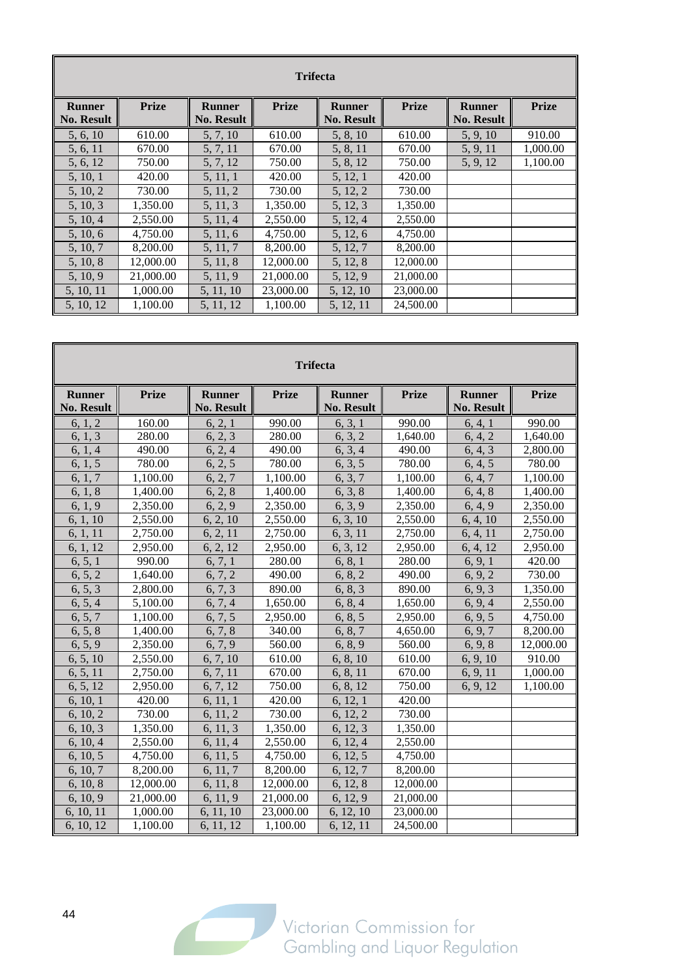| <b>Trifecta</b>   |              |                   |              |                   |              |                   |              |  |  |  |  |
|-------------------|--------------|-------------------|--------------|-------------------|--------------|-------------------|--------------|--|--|--|--|
|                   |              |                   |              |                   |              |                   |              |  |  |  |  |
| <b>Runner</b>     | <b>Prize</b> | <b>Runner</b>     | <b>Prize</b> | <b>Runner</b>     | <b>Prize</b> | <b>Runner</b>     | <b>Prize</b> |  |  |  |  |
| <b>No. Result</b> |              | <b>No. Result</b> |              | <b>No. Result</b> |              | <b>No. Result</b> |              |  |  |  |  |
| 5, 6, 10          | 610.00       | 5, 7, 10          | 610.00       | 5, 8, 10          | 610.00       | 5, 9, 10          | 910.00       |  |  |  |  |
| 5, 6, 11          | 670.00       | 5, 7, 11          | 670.00       | 5, 8, 11          | 670.00       | 5, 9, 11          | 1,000.00     |  |  |  |  |
| 5, 6, 12          | 750.00       | 5, 7, 12          | 750.00       | 5, 8, 12          | 750.00       | 5, 9, 12          | 1,100.00     |  |  |  |  |
| 5, 10, 1          | 420.00       | 5, 11, 1          | 420.00       | 5, 12, 1          | 420.00       |                   |              |  |  |  |  |
| 5, 10, 2          | 730.00       | 5, 11, 2          | 730.00       | 5, 12, 2          | 730.00       |                   |              |  |  |  |  |
| 5, 10, 3          | 1,350.00     | 5, 11, 3          | 1,350.00     | 5, 12, 3          | 1,350.00     |                   |              |  |  |  |  |
| 5, 10, 4          | 2,550.00     | 5, 11, 4          | 2,550.00     | 5, 12, 4          | 2,550.00     |                   |              |  |  |  |  |
| 5, 10, 6          | 4,750.00     | 5, 11, 6          | 4,750.00     | 5, 12, 6          | 4,750.00     |                   |              |  |  |  |  |
| 5, 10, 7          | 8,200.00     | 5, 11, 7          | 8,200.00     | 5, 12, 7          | 8,200.00     |                   |              |  |  |  |  |
| 5, 10, 8          | 12,000.00    | 5, 11, 8          | 12,000.00    | 5, 12, 8          | 12,000.00    |                   |              |  |  |  |  |
| 5, 10, 9          | 21,000.00    | 5, 11, 9          | 21,000.00    | 5, 12, 9          | 21,000.00    |                   |              |  |  |  |  |
| 5, 10, 11         | 1,000.00     | 5, 11, 10         | 23,000.00    | 5, 12, 10         | 23,000.00    |                   |              |  |  |  |  |
| 5, 10, 12         | 1,100.00     | 5, 11, 12         | 1,100.00     | 5, 12, 11         | 24,500.00    |                   |              |  |  |  |  |

| <b>Trifecta</b>   |              |                   |              |                   |              |                   |              |  |  |  |
|-------------------|--------------|-------------------|--------------|-------------------|--------------|-------------------|--------------|--|--|--|
| <b>Runner</b>     | <b>Prize</b> | <b>Runner</b>     | <b>Prize</b> | <b>Runner</b>     | <b>Prize</b> | <b>Runner</b>     | <b>Prize</b> |  |  |  |
| <b>No. Result</b> |              | <b>No. Result</b> |              | <b>No. Result</b> |              | <b>No. Result</b> |              |  |  |  |
| 6, 1, 2           | 160.00       | 6, 2, 1           | 990.00       | 6, 3, 1           | 990.00       | 6, 4, 1           | 990.00       |  |  |  |
| 6, 1, 3           | 280.00       | 6, 2, 3           | 280.00       | 6, 3, 2           | 1,640.00     | 6, 4, 2           | 1,640.00     |  |  |  |
| 6, 1, 4           | 490.00       | 6, 2, 4           | 490.00       | 6, 3, 4           | 490.00       | 6, 4, 3           | 2,800.00     |  |  |  |
| 6, 1, 5           | 780.00       | 6, 2, 5           | 780.00       | 6, 3, 5           | 780.00       | 6, 4, 5           | 780.00       |  |  |  |
| 6, 1, 7           | 1,100.00     | 6, 2, 7           | 1,100.00     | 6, 3, 7           | 1,100.00     | 6, 4, 7           | 1,100.00     |  |  |  |
| 6, 1, 8           | 1,400.00     | 6, 2, 8           | 1,400.00     | 6, 3, 8           | 1,400.00     | 6, 4, 8           | 1,400.00     |  |  |  |
| 6, 1, 9           | 2,350.00     | 6, 2, 9           | 2,350.00     | 6, 3, 9           | 2,350.00     | 6, 4, 9           | 2,350.00     |  |  |  |
| 6, 1, 10          | 2,550.00     | 6, 2, 10          | 2,550.00     | 6, 3, 10          | 2,550.00     | 6, 4, 10          | 2,550.00     |  |  |  |
| 6, 1, 11          | 2,750.00     | 6, 2, 11          | 2,750.00     | 6, 3, 11          | 2,750.00     | 6, 4, 11          | 2,750.00     |  |  |  |
| 6, 1, 12          | 2,950.00     | 6, 2, 12          | 2,950.00     | 6, 3, 12          | 2,950.00     | 6, 4, 12          | 2,950.00     |  |  |  |
| 6, 5, 1           | 990.00       | 6, 7, 1           | 280.00       | 6, 8, 1           | 280.00       | 6, 9, 1           | 420.00       |  |  |  |
| 6, 5, 2           | 1,640.00     | 6, 7, 2           | 490.00       | 6, 8, 2           | 490.00       | 6, 9, 2           | 730.00       |  |  |  |
| 6, 5, 3           | 2,800.00     | 6, 7, 3           | 890.00       | 6, 8, 3           | 890.00       | 6, 9, 3           | 1,350.00     |  |  |  |
| 6, 5, 4           | 5,100.00     | 6, 7, 4           | 1,650.00     | 6, 8, 4           | 1,650.00     | 6, 9, 4           | 2,550.00     |  |  |  |
| 6, 5, 7           | 1,100.00     | 6, 7, 5           | 2,950.00     | 6, 8, 5           | 2,950.00     | 6, 9, 5           | 4,750.00     |  |  |  |
| 6, 5, 8           | 1,400.00     | 6, 7, 8           | 340.00       | 6, 8, 7           | 4,650.00     | 6, 9, 7           | 8,200.00     |  |  |  |
| 6, 5, 9           | 2,350.00     | 6, 7, 9           | 560.00       | 6, 8, 9           | 560.00       | 6, 9, 8           | 12,000.00    |  |  |  |
| 6, 5, 10          | 2,550.00     | 6, 7, 10          | 610.00       | 6, 8, 10          | 610.00       | 6, 9, 10          | 910.00       |  |  |  |
| 6, 5, 11          | 2,750.00     | 6, 7, 11          | 670.00       | 6, 8, 11          | 670.00       | 6, 9, 11          | 1,000.00     |  |  |  |
| 6, 5, 12          | 2,950.00     | 6, 7, 12          | 750.00       | 6, 8, 12          | 750.00       | 6, 9, 12          | 1,100.00     |  |  |  |
| 6, 10, 1          | 420.00       | 6, 11, 1          | 420.00       | 6, 12, 1          | 420.00       |                   |              |  |  |  |
| 6, 10, 2          | 730.00       | 6, 11, 2          | 730.00       | 6, 12, 2          | 730.00       |                   |              |  |  |  |
| 6, 10, 3          | 1,350.00     | 6, 11, 3          | 1,350.00     | 6, 12, 3          | 1,350.00     |                   |              |  |  |  |
| 6, 10, 4          | 2,550.00     | 6, 11, 4          | 2,550.00     | 6, 12, 4          | 2,550.00     |                   |              |  |  |  |
| 6, 10, 5          | 4,750.00     | 6, 11, 5          | 4,750.00     | 6, 12, 5          | 4,750.00     |                   |              |  |  |  |
| 6, 10, 7          | 8,200.00     | 6, 11, 7          | 8,200.00     | 6, 12, 7          | 8,200.00     |                   |              |  |  |  |
| 6, 10, 8          | 12,000.00    | 6, 11, 8          | 12,000.00    | 6, 12, 8          | 12,000.00    |                   |              |  |  |  |
| 6, 10, 9          | 21,000.00    | 6, 11, 9          | 21,000.00    | 6, 12, 9          | 21,000.00    |                   |              |  |  |  |
| 6, 10, 11         | 1,000.00     | 6, 11, 10         | 23,000.00    | 6, 12, 10         | 23,000.00    |                   |              |  |  |  |
| 6, 10, 12         | 1,100.00     | 6, 11, 12         | 1,100.00     | 6, 12, 11         | 24,500.00    |                   |              |  |  |  |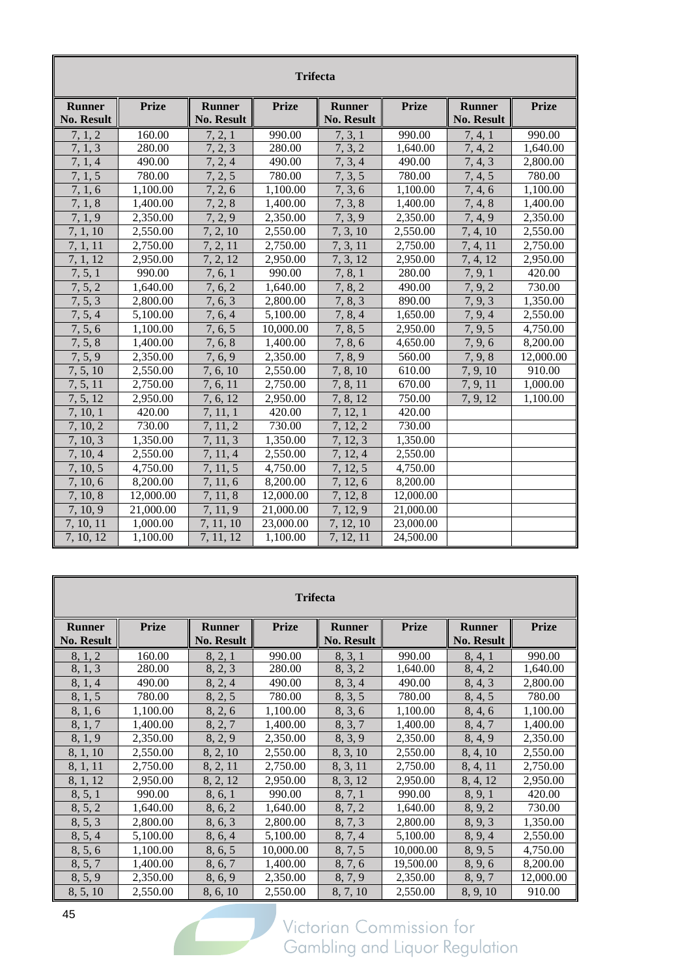|                   | <b>Trifecta</b>       |                   |              |                   |              |                   |              |  |  |  |  |
|-------------------|-----------------------|-------------------|--------------|-------------------|--------------|-------------------|--------------|--|--|--|--|
| <b>Runner</b>     | <b>Prize</b>          | <b>Runner</b>     | <b>Prize</b> | <b>Runner</b>     | <b>Prize</b> | <b>Runner</b>     | <b>Prize</b> |  |  |  |  |
| <b>No. Result</b> |                       | <b>No. Result</b> |              | <b>No. Result</b> |              | <b>No. Result</b> |              |  |  |  |  |
| 7.1.2             | 160.00                | 7, 2, 1           | 990.00       | 7, 3, 1           | 990.00       | 7, 4, 1           | 990.00       |  |  |  |  |
| 7, 1, 3           | 280.00                | 7, 2, 3           | 280.00       | 7, 3, 2           | 1,640.00     | 7, 4, 2           | 1,640.00     |  |  |  |  |
| 7, 1, 4           | 490.00                | 7, 2, 4           | 490.00       | 7, 3, 4           | 490.00       | 7, 4, 3           | 2,800.00     |  |  |  |  |
| 7, 1, 5           | 780.00                | 7, 2, 5           | 780.00       | 7, 3, 5           | 780.00       | 7, 4, 5           | 780.00       |  |  |  |  |
| 7, 1, 6           | 1,100.00              | 7, 2, 6           | 1,100.00     | 7, 3, 6           | 1,100.00     | 7, 4, 6           | 1,100.00     |  |  |  |  |
| 7, 1, 8           | 1,400.00              | 7, 2, 8           | 1.400.00     | 7, 3, 8           | 1.400.00     | 7, 4, 8           | 1.400.00     |  |  |  |  |
| 7, 1, 9           | 2,350.00              | 7, 2, 9           | 2,350.00     | 7, 3, 9           | 2,350.00     | 7, 4, 9           | 2,350.00     |  |  |  |  |
| 7, 1, 10          | 2,550.00              | 7, 2, 10          | 2,550.00     | 7, 3, 10          | 2,550.00     | 7, 4, 10          | 2,550.00     |  |  |  |  |
| 7, 1, 11          | 2,750.00              | 7, 2, 11          | 2,750.00     | 7, 3, 11          | 2,750.00     | 7, 4, 11          | 2,750.00     |  |  |  |  |
| 7, 1, 12          | 2,950.00              | 7, 2, 12          | 2,950.00     | 7, 3, 12          | 2,950.00     | 7, 4, 12          | 2,950.00     |  |  |  |  |
| 7, 5, 1           | 990.00                | 7, 6, 1           | 990.00       | 7, 8, 1           | 280.00       | 7, 9, 1           | 420.00       |  |  |  |  |
| 7, 5, 2           | 1,640.00              | 7, 6, 2           | 1,640.00     | 7, 8, 2           | 490.00       | 7, 9, 2           | 730.00       |  |  |  |  |
| 7, 5, 3           | 2,800.00              | 7, 6, 3           | 2,800.00     | 7, 8, 3           | 890.00       | 7, 9, 3           | 1,350.00     |  |  |  |  |
| 7, 5, 4           | 5,100.00              | 7, 6, 4           | 5,100.00     | 7, 8, 4           | 1,650.00     | 7, 9, 4           | 2,550.00     |  |  |  |  |
| 7, 5, 6           | 1.100.00              | 7, 6, 5           | 10,000.00    | 7, 8, 5           | 2,950.00     | 7, 9, 5           | 4,750.00     |  |  |  |  |
| 7, 5, 8           | 1,400.00              | 7, 6, 8           | 1,400.00     | 7, 8, 6           | 4,650.00     | 7, 9, 6           | 8,200.00     |  |  |  |  |
| 7, 5, 9           | 2,350.00              | 7, 6, 9           | 2,350.00     | 7, 8, 9           | 560.00       | 7, 9, 8           | 12,000.00    |  |  |  |  |
| 7, 5, 10          | 2,550.00              | 7, 6, 10          | 2,550.00     | 7, 8, 10          | 610.00       | 7, 9, 10          | 910.00       |  |  |  |  |
| 7, 5, 11          | 2,750.00              | 7, 6, 11          | 2,750.00     | 7, 8, 11          | 670.00       | 7, 9, 11          | 1,000.00     |  |  |  |  |
| 7, 5, 12          | 2.950.00              | 7, 6, 12          | 2.950.00     | 7, 8, 12          | 750.00       | 7, 9, 12          | 1.100.00     |  |  |  |  |
| 7, 10, 1          | 420.00                | 7, 11, 1          | 420.00       | 7, 12, 1          | 420.00       |                   |              |  |  |  |  |
| 7, 10, 2          | 730.00                | 7, 11, 2          | 730.00       | 7, 12, 2          | 730.00       |                   |              |  |  |  |  |
| 7, 10, 3          | 1,350.00              | 7, 11, 3          | 1,350.00     | 7, 12, 3          | 1,350.00     |                   |              |  |  |  |  |
| 7, 10, 4          | $\overline{2,550.00}$ | 7, 11, 4          | 2,550.00     | 7, 12, 4          | 2,550.00     |                   |              |  |  |  |  |
| 7, 10, 5          | 4,750.00              | 7, 11, 5          | 4,750.00     | 7, 12, 5          | 4,750.00     |                   |              |  |  |  |  |
| 7, 10, 6          | 8,200.00              | 7, 11, 6          | 8,200.00     | 7, 12, 6          | 8,200.00     |                   |              |  |  |  |  |
| 7, 10, 8          | 12,000.00             | 7, 11, 8          | 12,000.00    | 7, 12, 8          | 12,000.00    |                   |              |  |  |  |  |
| 7, 10, 9          | 21,000.00             | 7, 11, 9          | 21,000.00    | 7, 12, 9          | 21,000.00    |                   |              |  |  |  |  |
| 7, 10, 11         | 1,000.00              | 7, 11, 10         | 23,000.00    | 7, 12, 10         | 23,000.00    |                   |              |  |  |  |  |
| 7, 10, 12         | 1,100.00              | 7, 11, 12         | 1,100.00     | 7, 12, 11         | 24,500.00    |                   |              |  |  |  |  |

| <b>Trifecta</b>   |              |                   |              |                   |              |                   |              |  |  |  |
|-------------------|--------------|-------------------|--------------|-------------------|--------------|-------------------|--------------|--|--|--|
| <b>Runner</b>     | <b>Prize</b> | <b>Runner</b>     | <b>Prize</b> | <b>Runner</b>     | <b>Prize</b> | <b>Runner</b>     | <b>Prize</b> |  |  |  |
| <b>No. Result</b> |              | <b>No. Result</b> |              | <b>No. Result</b> |              | <b>No. Result</b> |              |  |  |  |
| 8, 1, 2           | 160.00       | 8, 2, 1           | 990.00       | 8, 3, 1           | 990.00       | 8, 4, 1           | 990.00       |  |  |  |
| 8, 1, 3           | 280.00       | 8, 2, 3           | 280.00       | 8, 3, 2           | 1,640.00     | 8, 4, 2           | 1,640.00     |  |  |  |
| 8, 1, 4           | 490.00       | 8, 2, 4           | 490.00       | 8, 3, 4           | 490.00       | 8, 4, 3           | 2,800.00     |  |  |  |
| 8, 1, 5           | 780.00       | 8, 2, 5           | 780.00       | 8, 3, 5           | 780.00       | 8, 4, 5           | 780.00       |  |  |  |
| 8, 1, 6           | 1,100.00     | 8, 2, 6           | 1,100.00     | 8, 3, 6           | 1,100.00     | 8, 4, 6           | 1,100.00     |  |  |  |
| 8, 1, 7           | 1,400.00     | 8, 2, 7           | 1,400.00     | 8, 3, 7           | 1,400.00     | 8, 4, 7           | 1,400.00     |  |  |  |
| 8, 1, 9           | 2,350.00     | 8, 2, 9           | 2,350.00     | 8, 3, 9           | 2,350.00     | 8, 4, 9           | 2,350.00     |  |  |  |
| 8, 1, 10          | 2,550.00     | 8, 2, 10          | 2,550.00     | 8, 3, 10          | 2,550.00     | 8, 4, 10          | 2,550.00     |  |  |  |
| 8, 1, 11          | 2,750.00     | 8, 2, 11          | 2,750.00     | 8, 3, 11          | 2,750.00     | 8, 4, 11          | 2,750.00     |  |  |  |
| 8, 1, 12          | 2,950.00     | 8, 2, 12          | 2,950.00     | 8, 3, 12          | 2,950.00     | 8, 4, 12          | 2,950.00     |  |  |  |
| 8, 5, 1           | 990.00       | 8, 6, 1           | 990.00       | 8, 7, 1           | 990.00       | 8, 9, 1           | 420.00       |  |  |  |
| 8, 5, 2           | 1,640.00     | 8, 6, 2           | 1,640.00     | 8, 7, 2           | 1,640.00     | 8, 9, 2           | 730.00       |  |  |  |
| 8, 5, 3           | 2,800.00     | 8, 6, 3           | 2,800.00     | 8, 7, 3           | 2,800.00     | 8, 9, 3           | 1,350.00     |  |  |  |
| 8, 5, 4           | 5,100.00     | 8, 6, 4           | 5,100.00     | 8, 7, 4           | 5,100.00     | 8, 9, 4           | 2,550.00     |  |  |  |
| 8, 5, 6           | 1,100.00     | 8, 6, 5           | 10,000.00    | 8, 7, 5           | 10,000.00    | 8, 9, 5           | 4,750.00     |  |  |  |
| 8, 5, 7           | 1,400.00     | 8, 6, 7           | 1,400.00     | 8, 7, 6           | 19,500.00    | 8, 9, 6           | 8,200.00     |  |  |  |
| 8, 5, 9           | 2,350.00     | 8, 6, 9           | 2,350.00     | 8, 7, 9           | 2,350.00     | 8, 9, 7           | 12,000.00    |  |  |  |
| 8, 5, 10          | 2,550.00     | 8, 6, 10          | 2,550.00     | 8, 7, 10          | 2,550.00     | 8, 9, 10          | 910.00       |  |  |  |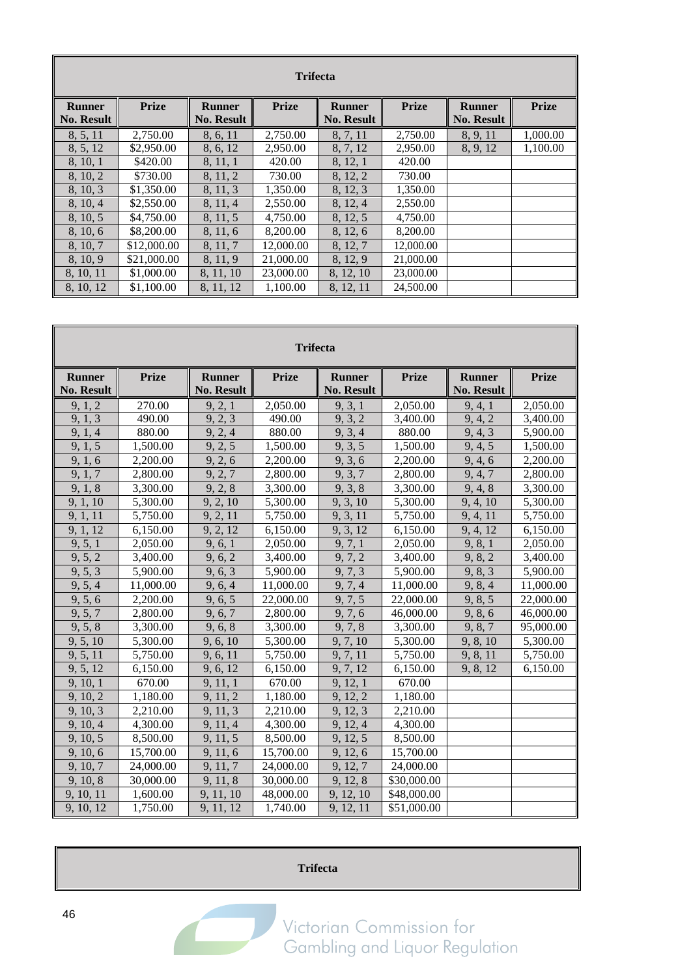| <b>Trifecta</b>                    |              |                                    |              |                                    |              |                                    |              |  |  |  |
|------------------------------------|--------------|------------------------------------|--------------|------------------------------------|--------------|------------------------------------|--------------|--|--|--|
| <b>Runner</b><br><b>No. Result</b> | <b>Prize</b> | <b>Runner</b><br><b>No. Result</b> | <b>Prize</b> | <b>Runner</b><br><b>No. Result</b> | <b>Prize</b> | <b>Runner</b><br><b>No. Result</b> | <b>Prize</b> |  |  |  |
| 8, 5, 11                           | 2,750.00     | 8, 6, 11                           | 2,750.00     | 8, 7, 11                           | 2,750.00     | 8, 9, 11                           | 1,000.00     |  |  |  |
| 8, 5, 12                           | \$2,950.00   | 8, 6, 12                           | 2,950.00     | 8, 7, 12                           | 2,950.00     | 8, 9, 12                           | 1,100.00     |  |  |  |
| 8, 10, 1                           | \$420.00     | 8, 11, 1                           | 420.00       | 8, 12, 1                           | 420.00       |                                    |              |  |  |  |
| 8, 10, 2                           | \$730.00     | 8, 11, 2                           | 730.00       | 8, 12, 2                           | 730.00       |                                    |              |  |  |  |
| 8, 10, 3                           | \$1,350.00   | 8, 11, 3                           | 1,350.00     | 8, 12, 3                           | 1,350.00     |                                    |              |  |  |  |
| 8, 10, 4                           | \$2,550.00   | 8, 11, 4                           | 2,550.00     | 8, 12, 4                           | 2,550.00     |                                    |              |  |  |  |
| 8, 10, 5                           | \$4,750.00   | 8, 11, 5                           | 4,750.00     | 8, 12, 5                           | 4,750.00     |                                    |              |  |  |  |
| 8, 10, 6                           | \$8,200.00   | 8, 11, 6                           | 8,200.00     | 8, 12, 6                           | 8,200.00     |                                    |              |  |  |  |
| 8, 10, 7                           | \$12,000.00  | 8, 11, 7                           | 12,000.00    | 8, 12, 7                           | 12,000.00    |                                    |              |  |  |  |
| 8, 10, 9                           | \$21,000.00  | 8, 11, 9                           | 21,000.00    | 8, 12, 9                           | 21,000.00    |                                    |              |  |  |  |
| 8, 10, 11                          | \$1,000.00   | 8, 11, 10                          | 23,000.00    | 8, 12, 10                          | 23,000.00    |                                    |              |  |  |  |
| 8, 10, 12                          | \$1,100.00   | 8, 11, 12                          | 1.100.00     | 8, 12, 11                          | 24,500.00    |                                    |              |  |  |  |

| <b>Trifecta</b>                    |              |                                    |              |                                    |              |                                    |              |  |  |
|------------------------------------|--------------|------------------------------------|--------------|------------------------------------|--------------|------------------------------------|--------------|--|--|
| <b>Runner</b><br><b>No. Result</b> | <b>Prize</b> | <b>Runner</b><br><b>No. Result</b> | <b>Prize</b> | <b>Runner</b><br><b>No. Result</b> | <b>Prize</b> | <b>Runner</b><br><b>No. Result</b> | <b>Prize</b> |  |  |
| 9, 1, 2                            | 270.00       | 9, 2, 1                            | 2,050.00     | 9, 3, 1                            | 2,050.00     | 9, 4, 1                            | 2,050.00     |  |  |
| 9, 1, 3                            | 490.00       | 9, 2, 3                            | 490.00       | 9, 3, 2                            | 3,400.00     | 9, 4, 2                            | 3,400.00     |  |  |
| 9, 1, 4                            | 880.00       | 9, 2, 4                            | 880.00       | 9, 3, 4                            | 880.00       | 9, 4, 3                            | 5,900.00     |  |  |
| 9, 1, 5                            | 1,500.00     | 9, 2, 5                            | 1,500.00     | 9, 3, 5                            | 1,500.00     | 9, 4, 5                            | 1,500.00     |  |  |
| 9, 1, 6                            | 2,200.00     | 9, 2, 6                            | 2,200.00     | 9, 3, 6                            | 2,200.00     | 9, 4, 6                            | 2,200.00     |  |  |
| 9, 1, 7                            | 2,800.00     | 9, 2, 7                            | 2,800.00     | 9, 3, 7                            | 2,800.00     | 9, 4, 7                            | 2,800.00     |  |  |
| 9, 1, 8                            | 3,300.00     | 9, 2, 8                            | 3,300.00     | 9, 3, 8                            | 3,300.00     | 9, 4, 8                            | 3,300.00     |  |  |
| 9, 1, 10                           | 5,300.00     | 9, 2, 10                           | 5,300.00     | 9, 3, 10                           | 5,300.00     | 9, 4, 10                           | 5,300.00     |  |  |
| 9, 1, 11                           | 5,750.00     | 9, 2, 11                           | 5,750.00     | 9, 3, 11                           | 5,750.00     | 9, 4, 11                           | 5,750.00     |  |  |
| 9, 1, 12                           | 6,150.00     | 9, 2, 12                           | 6,150.00     | 9, 3, 12                           | 6,150.00     | 9, 4, 12                           | 6,150.00     |  |  |
| 9, 5, 1                            | 2,050.00     | 9, 6, 1                            | 2,050.00     | 9, 7, 1                            | 2,050.00     | 9, 8, 1                            | 2,050.00     |  |  |
| 9, 5, 2                            | 3,400.00     | 9, 6, 2                            | 3,400.00     | 9, 7, 2                            | 3,400.00     | 9, 8, 2                            | 3,400.00     |  |  |
| 9, 5, 3                            | 5,900.00     | 9, 6, 3                            | 5,900.00     | 9, 7, 3                            | 5,900.00     | 9, 8, 3                            | 5,900.00     |  |  |
| 9, 5, 4                            | 11,000.00    | 9, 6, 4                            | 11,000.00    | 9, 7, 4                            | 11,000.00    | 9, 8, 4                            | 11,000.00    |  |  |
| 9, 5, 6                            | 2,200.00     | 9, 6, 5                            | 22,000.00    | 9, 7, 5                            | 22,000.00    | 9, 8, 5                            | 22,000.00    |  |  |
| 9, 5, 7                            | 2,800.00     | 9, 6, 7                            | 2,800.00     | 9, 7, 6                            | 46,000.00    | 9, 8, 6                            | 46,000.00    |  |  |
| 9, 5, 8                            | 3,300.00     | 9, 6, 8                            | 3,300.00     | 9, 7, 8                            | 3,300.00     | 9, 8, 7                            | 95,000.00    |  |  |
| 9, 5, 10                           | 5,300.00     | 9, 6, 10                           | 5,300.00     | 9, 7, 10                           | 5,300.00     | 9, 8, 10                           | 5,300.00     |  |  |
| 9, 5, 11                           | 5,750.00     | 9, 6, 11                           | 5,750.00     | 9, 7, 11                           | 5,750.00     | 9, 8, 11                           | 5,750.00     |  |  |
| 9, 5, 12                           | 6,150.00     | 9, 6, 12                           | 6,150.00     | 9, 7, 12                           | 6,150.00     | 9, 8, 12                           | 6,150.00     |  |  |
| 9, 10, 1                           | 670.00       | 9, 11, 1                           | 670.00       | 9, 12, 1                           | 670.00       |                                    |              |  |  |
| 9, 10, 2                           | 1,180.00     | 9, 11, 2                           | 1,180.00     | 9, 12, 2                           | 1,180.00     |                                    |              |  |  |
| 9, 10, 3                           | 2,210.00     | 9, 11, 3                           | 2,210.00     | 9, 12, 3                           | 2,210.00     |                                    |              |  |  |
| 9, 10, 4                           | 4,300.00     | 9, 11, 4                           | 4,300.00     | 9, 12, 4                           | 4,300.00     |                                    |              |  |  |
| 9, 10, 5                           | 8,500.00     | 9, 11, 5                           | 8,500.00     | 9, 12, 5                           | 8,500.00     |                                    |              |  |  |
| 9, 10, 6                           | 15,700.00    | 9, 11, 6                           | 15,700.00    | 9, 12, 6                           | 15,700.00    |                                    |              |  |  |
| 9, 10, 7                           | 24,000.00    | 9, 11, 7                           | 24,000.00    | 9, 12, 7                           | 24,000.00    |                                    |              |  |  |
| 9, 10, 8                           | 30,000.00    | 9, 11, 8                           | 30,000.00    | 9, 12, 8                           | \$30,000.00  |                                    |              |  |  |
| 9, 10, 11                          | 1,600.00     | 9, 11, 10                          | 48,000.00    | 9, 12, 10                          | \$48,000.00  |                                    |              |  |  |
| 9, 10, 12                          | 1,750.00     | 9, 11, 12                          | 1,740.00     | 9, 12, 11                          | \$51,000.00  |                                    |              |  |  |

#### **Trifecta**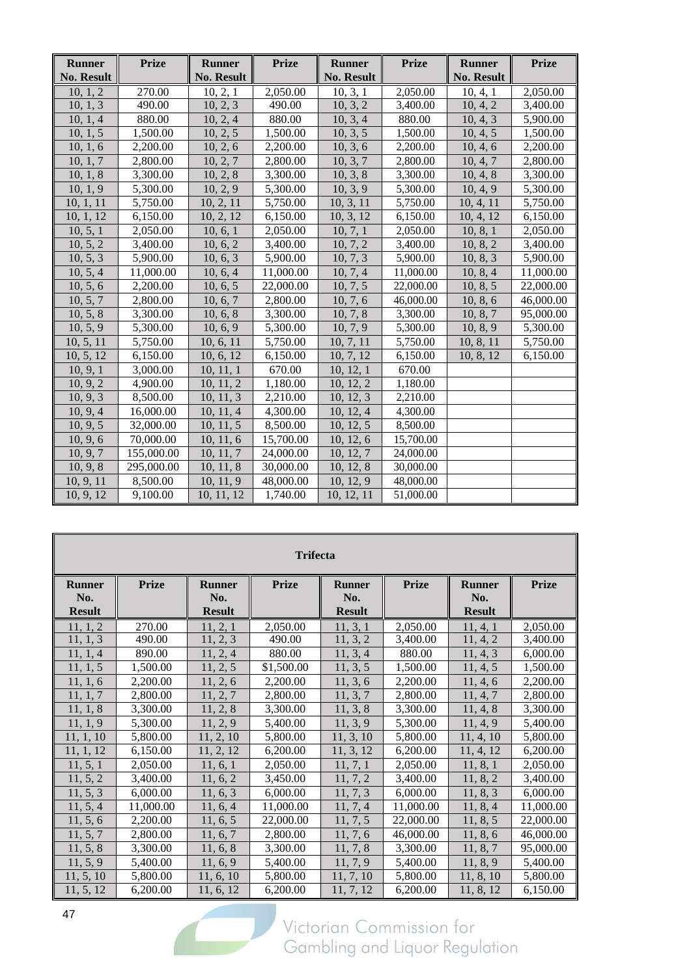| <b>Runner</b>     | <b>Prize</b> | <b>Runner</b>     | <b>Prize</b> | <b>Runner</b>         | <b>Prize</b> | <b>Runner</b>     | <b>Prize</b> |
|-------------------|--------------|-------------------|--------------|-----------------------|--------------|-------------------|--------------|
| <b>No. Result</b> |              | <b>No. Result</b> |              | <b>No. Result</b>     |              | <b>No. Result</b> |              |
| 10, 1, 2          | 270.00       | 10, 2, 1          | 2,050.00     | 10, 3, 1              | 2,050.00     | 10, 4, 1          | 2,050.00     |
| 10, 1, 3          | 490.00       | 10, 2, 3          | 490.00       | 10, 3, 2              | 3,400.00     | 10, 4, 2          | 3,400.00     |
| 10, 1, 4          | 880.00       | 10, 2, 4          | 880.00       | 10, 3, 4              | 880.00       | 10, 4, 3          | 5,900.00     |
| 10, 1, 5          | 1,500.00     | 10, 2, 5          | 1,500.00     | 10, 3, 5              | 1,500.00     | 10, 4, 5          | 1,500.00     |
| 10, 1, 6          | 2,200.00     | 10, 2, 6          | 2,200.00     | 10, 3, 6              | 2,200.00     | 10, 4, 6          | 2,200.00     |
| 10, 1, 7          | 2,800.00     | 10, 2, 7          | 2,800.00     | 10, 3, 7              | 2,800.00     | 10, 4, 7          | 2,800.00     |
| 10, 1, 8          | 3,300.00     | 10, 2, 8          | 3,300.00     | 10, 3, 8              | 3,300.00     | 10, 4, 8          | 3,300.00     |
| 10, 1, 9          | 5,300.00     | 10, 2, 9          | 5,300.00     | 10, 3, 9              | 5,300.00     | 10, 4, 9          | 5,300.00     |
| 10, 1, 11         | 5,750.00     | 10, 2, 11         | 5,750.00     | 10, 3, 11             | 5,750.00     | 10, 4, 11         | 5,750.00     |
| 10, 1, 12         | 6,150.00     | 10, 2, 12         | 6,150.00     | 10, 3, 12             | 6,150.00     | 10, 4, 12         | 6,150.00     |
| 10, 5, 1          | 2,050.00     | 10, 6, 1          | 2,050.00     | $\overline{10, 7, 1}$ | 2,050.00     | 10, 8, 1          | 2,050.00     |
| 10, 5, 2          | 3,400.00     | 10, 6, 2          | 3,400.00     | 10, 7, 2              | 3,400.00     | 10, 8, 2          | 3,400.00     |
| 10, 5, 3          | 5,900.00     | 10, 6, 3          | 5,900.00     | 10, 7, 3              | 5,900.00     | 10, 8, 3          | 5,900.00     |
| 10, 5, 4          | 11,000.00    | 10, 6, 4          | 11,000.00    | 10, 7, 4              | 11,000.00    | 10, 8, 4          | 11,000.00    |
| 10, 5, 6          | 2,200.00     | 10, 6, 5          | 22,000.00    | 10, 7, 5              | 22,000.00    | 10, 8, 5          | 22,000.00    |
| 10, 5, 7          | 2,800.00     | 10, 6, 7          | 2,800.00     | 10, 7, 6              | 46,000.00    | 10, 8, 6          | 46,000.00    |
| 10, 5, 8          | 3,300.00     | 10, 6, 8          | 3,300.00     | 10, 7, 8              | 3,300.00     | 10, 8, 7          | 95,000.00    |
| 10, 5, 9          | 5,300.00     | 10, 6, 9          | 5,300.00     | 10, 7, 9              | 5,300.00     | 10, 8, 9          | 5,300.00     |
| 10, 5, 11         | 5,750.00     | 10, 6, 11         | 5,750.00     | 10, 7, 11             | 5,750.00     | 10, 8, 11         | 5,750.00     |
| 10, 5, 12         | 6,150.00     | 10, 6, 12         | 6,150.00     | 10, 7, 12             | 6,150.00     | 10, 8, 12         | 6,150.00     |
| 10, 9, 1          | 3,000.00     | 10, 11, 1         | 670.00       | 10, 12, 1             | 670.00       |                   |              |
| 10, 9, 2          | 4,900.00     | 10, 11, 2         | 1,180.00     | 10, 12, 2             | 1,180.00     |                   |              |
| 10, 9, 3          | 8,500.00     | 10, 11, 3         | 2,210.00     | 10, 12, 3             | 2,210.00     |                   |              |
| 10, 9, 4          | 16,000.00    | 10, 11, 4         | 4,300.00     | 10, 12, 4             | 4,300.00     |                   |              |
| 10, 9, 5          | 32,000.00    | 10, 11, 5         | 8,500.00     | 10, 12, 5             | 8,500.00     |                   |              |
| 10, 9, 6          | 70,000.00    | 10, 11, 6         | 15,700.00    | 10, 12, 6             | 15,700.00    |                   |              |
| 10, 9, 7          | 155,000.00   | 10, 11, 7         | 24,000.00    | 10, 12, 7             | 24,000.00    |                   |              |
| 10, 9, 8          | 295,000.00   | 10, 11, 8         | 30,000.00    | 10, 12, 8             | 30,000.00    |                   |              |
| 10, 9, 11         | 8,500.00     | 10, 11, 9         | 48,000.00    | 10, 12, 9             | 48,000.00    |                   |              |
| 10, 9, 12         | 9,100.00     | 10, 11, 12        | 1,740.00     | 10, 12, 11            | 51,000.00    |                   |              |

| <b>Trifecta</b> |              |               |              |               |              |               |              |  |  |  |
|-----------------|--------------|---------------|--------------|---------------|--------------|---------------|--------------|--|--|--|
| <b>Runner</b>   | <b>Prize</b> | <b>Runner</b> | <b>Prize</b> | <b>Runner</b> | <b>Prize</b> | <b>Runner</b> | <b>Prize</b> |  |  |  |
| No.             |              | No.           |              | No.           |              | No.           |              |  |  |  |
| <b>Result</b>   |              | <b>Result</b> |              | <b>Result</b> |              | <b>Result</b> |              |  |  |  |
| 11, 1, 2        | 270.00       | 11, 2, 1      | 2,050.00     | 11, 3, 1      | 2,050.00     | 11, 4, 1      | 2,050.00     |  |  |  |
| 11, 1, 3        | 490.00       | 11, 2, 3      | 490.00       | 11, 3, 2      | 3,400.00     | 11, 4, 2      | 3,400.00     |  |  |  |
| 11, 1, 4        | 890.00       | 11, 2, 4      | 880.00       | 11, 3, 4      | 880.00       | 11, 4, 3      | 6,000.00     |  |  |  |
| 11, 1, 5        | 1,500.00     | 11, 2, 5      | \$1,500.00   | 11, 3, 5      | 1,500.00     | 11, 4, 5      | 1,500.00     |  |  |  |
| 11, 1, 6        | 2,200.00     | 11, 2, 6      | 2,200.00     | 11, 3, 6      | 2,200.00     | 11, 4, 6      | 2,200.00     |  |  |  |
| 11, 1, 7        | 2,800.00     | 11, 2, 7      | 2,800.00     | 11, 3, 7      | 2,800.00     | 11, 4, 7      | 2,800.00     |  |  |  |
| 11, 1, 8        | 3,300.00     | 11, 2, 8      | 3,300.00     | 11, 3, 8      | 3,300.00     | 11, 4, 8      | 3,300.00     |  |  |  |
| 11, 1, 9        | 5,300.00     | 11, 2, 9      | 5,400.00     | 11, 3, 9      | 5,300.00     | 11, 4, 9      | 5,400.00     |  |  |  |
| 11, 1, 10       | 5,800.00     | 11, 2, 10     | 5,800.00     | 11, 3, 10     | 5,800.00     | 11, 4, 10     | 5,800.00     |  |  |  |
| 11, 1, 12       | 6,150.00     | 11, 2, 12     | 6,200.00     | 11, 3, 12     | 6,200.00     | 11, 4, 12     | 6,200.00     |  |  |  |
| 11, 5, 1        | 2,050.00     | 11, 6, 1      | 2,050.00     | 11, 7, 1      | 2,050.00     | 11, 8, 1      | 2,050.00     |  |  |  |
| 11, 5, 2        | 3.400.00     | 11, 6, 2      | 3,450.00     | 11, 7, 2      | 3,400.00     | 11, 8, 2      | 3,400.00     |  |  |  |
| 11, 5, 3        | 6,000.00     | 11, 6, 3      | 6,000.00     | 11, 7, 3      | 6,000.00     | 11, 8, 3      | 6,000.00     |  |  |  |
| 11, 5, 4        | 11,000.00    | 11, 6, 4      | 11,000.00    | 11, 7, 4      | 11,000.00    | 11, 8, 4      | 11,000.00    |  |  |  |
| 11, 5, 6        | 2,200.00     | 11, 6, 5      | 22,000.00    | 11, 7, 5      | 22,000.00    | 11, 8, 5      | 22,000.00    |  |  |  |
| 11, 5, 7        | 2,800.00     | 11, 6, 7      | 2,800.00     | 11, 7, 6      | 46,000.00    | 11, 8, 6      | 46,000.00    |  |  |  |
| 11, 5, 8        | 3,300.00     | 11, 6, 8      | 3,300.00     | 11, 7, 8      | 3,300.00     | 11, 8, 7      | 95,000.00    |  |  |  |
| 11, 5, 9        | 5,400.00     | 11, 6, 9      | 5,400.00     | 11, 7, 9      | 5,400.00     | 11, 8, 9      | 5,400.00     |  |  |  |
| 11, 5, 10       | 5,800.00     | 11, 6, 10     | 5,800.00     | 11, 7, 10     | 5,800.00     | 11, 8, 10     | 5,800.00     |  |  |  |
| 11, 5, 12       | 6,200.00     | 11, 6, 12     | 6,200.00     | 11, 7, 12     | 6,200.00     | 11, 8, 12     | 6,150.00     |  |  |  |